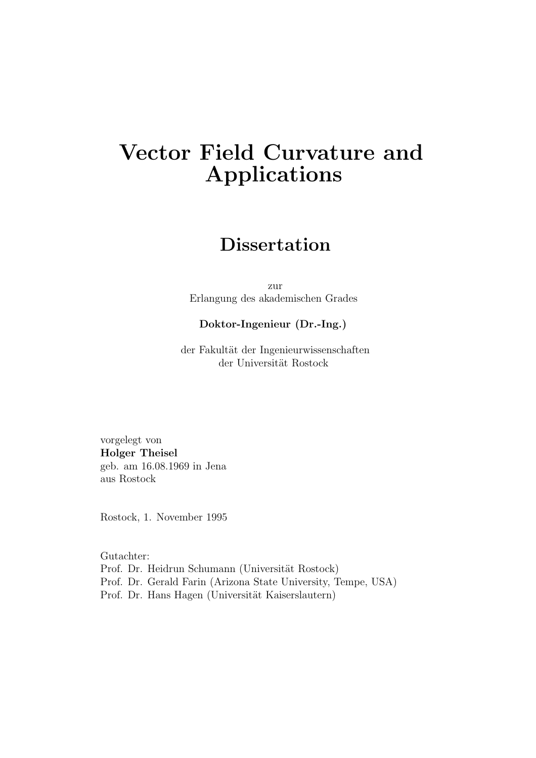# **Vector Field Curvature and Applications**

## **Dissertation**

zur Erlangung des akademischen Grades

### **Doktor-Ingenieur (Dr.-Ing.)**

der Fakultät der Ingenieurwissenschaften der Universität Rostock

vorgelegt von **Holger Theisel** geb. am 16.08.1969 in Jena aus Rostock

Rostock, 1. November 1995

Gutachter: Prof. Dr. Heidrun Schumann (Universität Rostock) Prof. Dr. Gerald Farin (Arizona State University, Tempe, USA) Prof. Dr. Hans Hagen (Universität Kaiserslautern)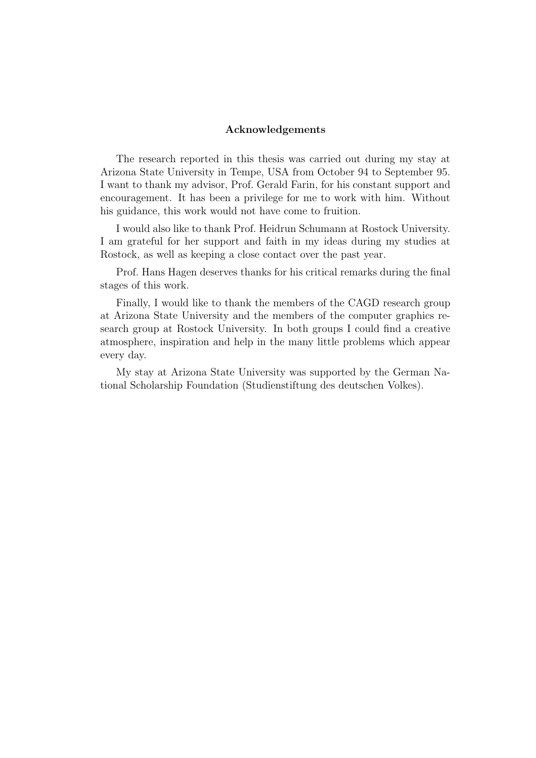#### **Acknowledgements**

The research reported in this thesis was carried out during my stay at Arizona State University in Tempe, USA from October 94 to September 95. I want to thank my advisor, Prof. Gerald Farin, for his constant support and encouragement. It has been a privilege for me to work with him. Without his guidance, this work would not have come to fruition.

I would also like to thank Prof. Heidrun Schumann at Rostock University. I am grateful for her support and faith in my ideas during my studies at Rostock, as well as keeping a close contact over the past year.

Prof. Hans Hagen deserves thanks for his critical remarks during the final stages of this work.

Finally, I would like to thank the members of the CAGD research group at Arizona State University and the members of the computer graphics research group at Rostock University. In both groups I could find a creative atmosphere, inspiration and help in the many little problems which appear every day.

My stay at Arizona State University was supported by the German National Scholarship Foundation (Studienstiftung des deutschen Volkes).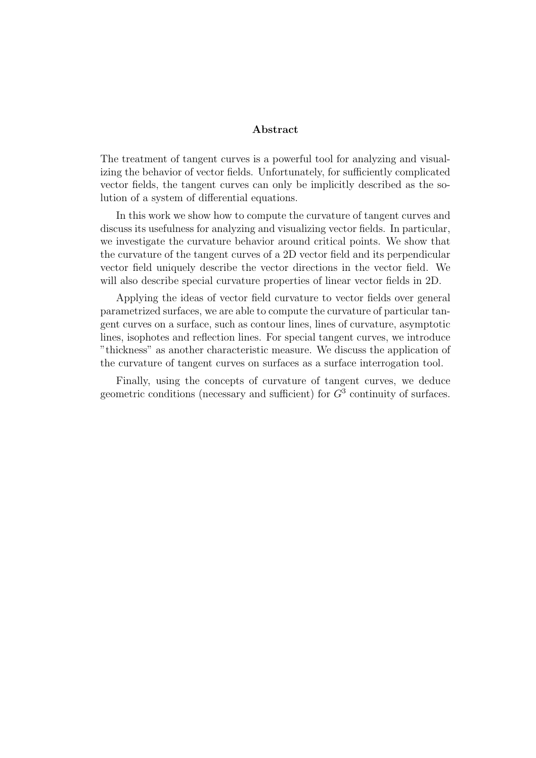#### **Abstract**

The treatment of tangent curves is a powerful tool for analyzing and visualizing the behavior of vector fields. Unfortunately, for sufficiently complicated vector fields, the tangent curves can only be implicitly described as the solution of a system of differential equations.

In this work we show how to compute the curvature of tangent curves and discuss its usefulness for analyzing and visualizing vector fields. In particular, we investigate the curvature behavior around critical points. We show that the curvature of the tangent curves of a 2D vector field and its perpendicular vector field uniquely describe the vector directions in the vector field. We will also describe special curvature properties of linear vector fields in 2D.

Applying the ideas of vector field curvature to vector fields over general parametrized surfaces, we are able to compute the curvature of particular tangent curves on a surface, such as contour lines, lines of curvature, asymptotic lines, isophotes and reflection lines. For special tangent curves, we introduce "thickness" as another characteristic measure. We discuss the application of the curvature of tangent curves on surfaces as a surface interrogation tool.

Finally, using the concepts of curvature of tangent curves, we deduce geometric conditions (necessary and sufficient) for  $G<sup>3</sup>$  continuity of surfaces.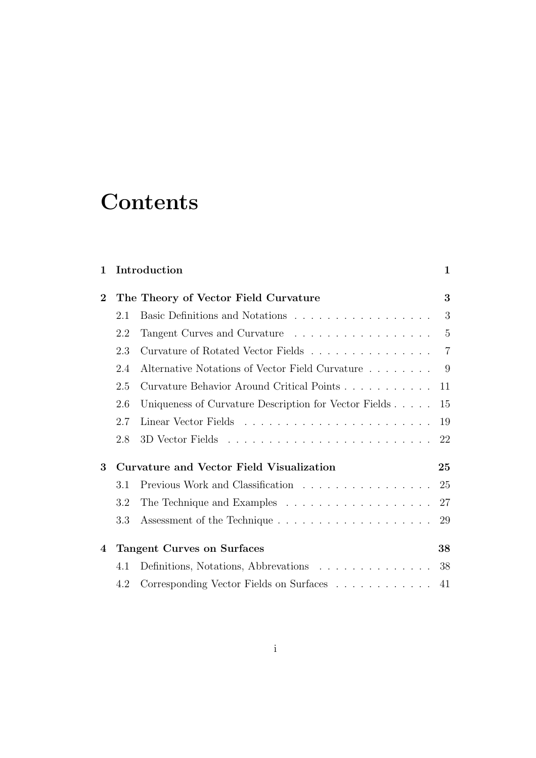# **Contents**

| $\mathbf{1}$ |                                                 | Introduction                                                                         | 1              |
|--------------|-------------------------------------------------|--------------------------------------------------------------------------------------|----------------|
| $\bf{2}$     |                                                 | The Theory of Vector Field Curvature                                                 | 3              |
|              | 2.1                                             | Basic Definitions and Notations                                                      | 3              |
|              | 2.2                                             | Tangent Curves and Curvature                                                         | $\overline{5}$ |
|              | 2.3                                             | Curvature of Rotated Vector Fields                                                   | $\overline{7}$ |
|              | 2.4                                             | Alternative Notations of Vector Field Curvature                                      | 9              |
|              | 2.5                                             | Curvature Behavior Around Critical Points                                            | 11             |
|              | 2.6                                             | Uniqueness of Curvature Description for Vector Fields                                | 15             |
|              | 2.7                                             |                                                                                      | 19             |
|              | 2.8                                             |                                                                                      | 22             |
| 3            | <b>Curvature and Vector Field Visualization</b> |                                                                                      | 25             |
|              | 3.1                                             | Previous Work and Classification                                                     | 25             |
|              | 3.2                                             |                                                                                      | 27             |
|              | 3.3                                             |                                                                                      | 29             |
| 4            | <b>Tangent Curves on Surfaces</b>               |                                                                                      |                |
|              | 4.1                                             | Definitions, Notations, Abbrevations                                                 | 38             |
|              | 4.2                                             | Corresponding Vector Fields on Surfaces $\hfill\ldots\ldots\ldots\ldots\ldots\ldots$ | 41             |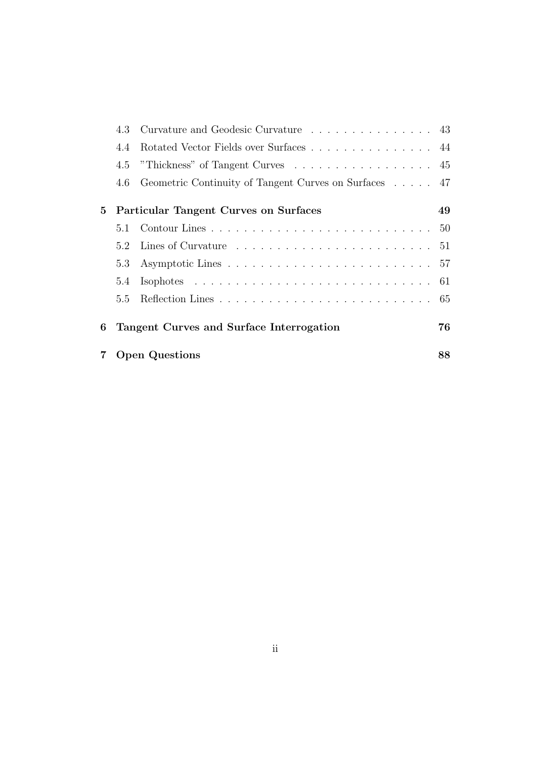| 4.3 |                                                                                                                                                                                                                                                                                                                                                                                                                            |
|-----|----------------------------------------------------------------------------------------------------------------------------------------------------------------------------------------------------------------------------------------------------------------------------------------------------------------------------------------------------------------------------------------------------------------------------|
| 4.4 |                                                                                                                                                                                                                                                                                                                                                                                                                            |
| 4.5 |                                                                                                                                                                                                                                                                                                                                                                                                                            |
| 4.6 |                                                                                                                                                                                                                                                                                                                                                                                                                            |
|     | 49                                                                                                                                                                                                                                                                                                                                                                                                                         |
| 5.1 |                                                                                                                                                                                                                                                                                                                                                                                                                            |
| 5.2 |                                                                                                                                                                                                                                                                                                                                                                                                                            |
| 5.3 |                                                                                                                                                                                                                                                                                                                                                                                                                            |
| 5.4 |                                                                                                                                                                                                                                                                                                                                                                                                                            |
| 5.5 |                                                                                                                                                                                                                                                                                                                                                                                                                            |
|     | 76                                                                                                                                                                                                                                                                                                                                                                                                                         |
|     | 88                                                                                                                                                                                                                                                                                                                                                                                                                         |
|     | Curvature and Geodesic Curvature 43<br>Rotated Vector Fields over Surfaces 44<br>"Thickness" of Tangent Curves $\dots \dots \dots \dots \dots \dots \dots \dots$<br>Geometric Continuity of Tangent Curves on Surfaces 47<br>Particular Tangent Curves on Surfaces<br>Lines of Curvature $\ldots \ldots \ldots \ldots \ldots \ldots \ldots \ldots 51$<br>Tangent Curves and Surface Interrogation<br><b>Open Questions</b> |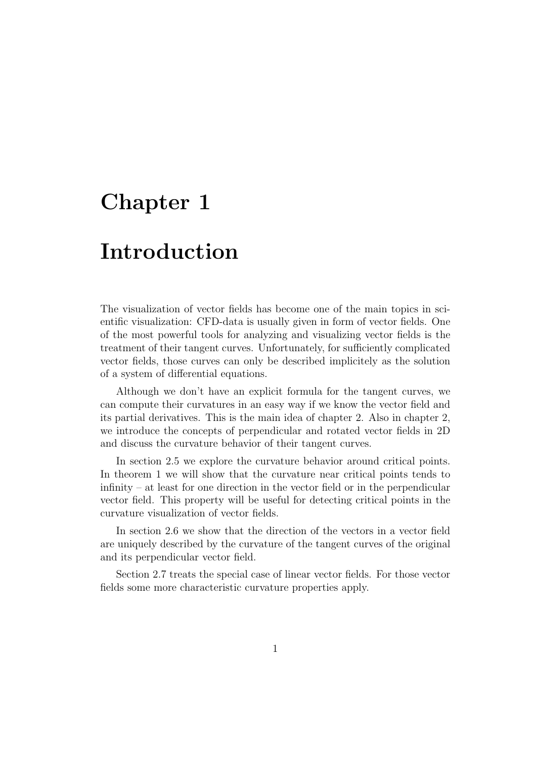# **Chapter 1**

# **Introduction**

The visualization of vector fields has become one of the main topics in scientific visualization: CFD-data is usually given in form of vector fields. One of the most powerful tools for analyzing and visualizing vector fields is the treatment of their tangent curves. Unfortunately, for sufficiently complicated vector fields, those curves can only be described implicitely as the solution of a system of differential equations.

Although we don't have an explicit formula for the tangent curves, we can compute their curvatures in an easy way if we know the vector field and its partial derivatives. This is the main idea of chapter 2. Also in chapter 2, we introduce the concepts of perpendicular and rotated vector fields in 2D and discuss the curvature behavior of their tangent curves.

In section 2.5 we explore the curvature behavior around critical points. In theorem 1 we will show that the curvature near critical points tends to infinity – at least for one direction in the vector field or in the perpendicular vector field. This property will be useful for detecting critical points in the curvature visualization of vector fields.

In section 2.6 we show that the direction of the vectors in a vector field are uniquely described by the curvature of the tangent curves of the original and its perpendicular vector field.

Section 2.7 treats the special case of linear vector fields. For those vector fields some more characteristic curvature properties apply.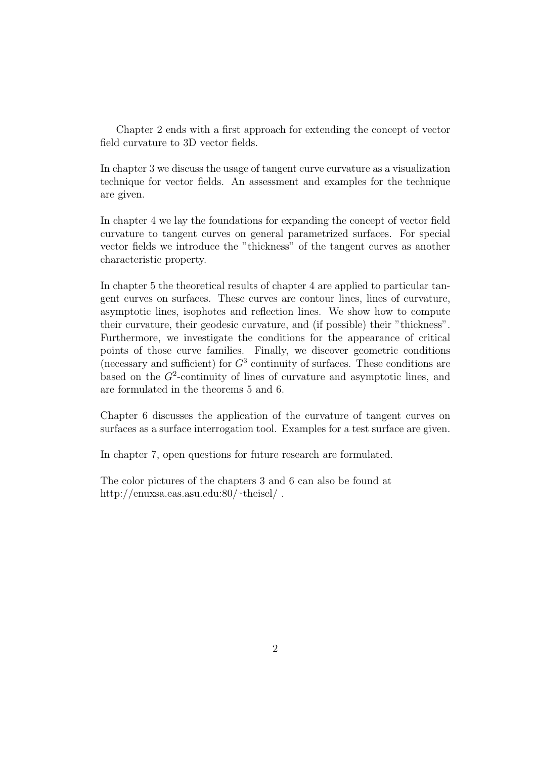Chapter 2 ends with a first approach for extending the concept of vector field curvature to 3D vector fields.

In chapter 3 we discuss the usage of tangent curve curvature as a visualization technique for vector fields. An assessment and examples for the technique are given.

In chapter 4 we lay the foundations for expanding the concept of vector field curvature to tangent curves on general parametrized surfaces. For special vector fields we introduce the "thickness" of the tangent curves as another characteristic property.

In chapter 5 the theoretical results of chapter 4 are applied to particular tangent curves on surfaces. These curves are contour lines, lines of curvature, asymptotic lines, isophotes and reflection lines. We show how to compute their curvature, their geodesic curvature, and (if possible) their "thickness". Furthermore, we investigate the conditions for the appearance of critical points of those curve families. Finally, we discover geometric conditions (necessary and sufficient) for  $G<sup>3</sup>$  continuity of surfaces. These conditions are based on the  $G<sup>2</sup>$ -continuity of lines of curvature and asymptotic lines, and are formulated in the theorems 5 and 6.

Chapter 6 discusses the application of the curvature of tangent curves on surfaces as a surface interrogation tool. Examples for a test surface are given.

In chapter 7, open questions for future research are formulated.

The color pictures of the chapters 3 and 6 can also be found at http://enuxsa.eas.asu.edu:80/~theisel/.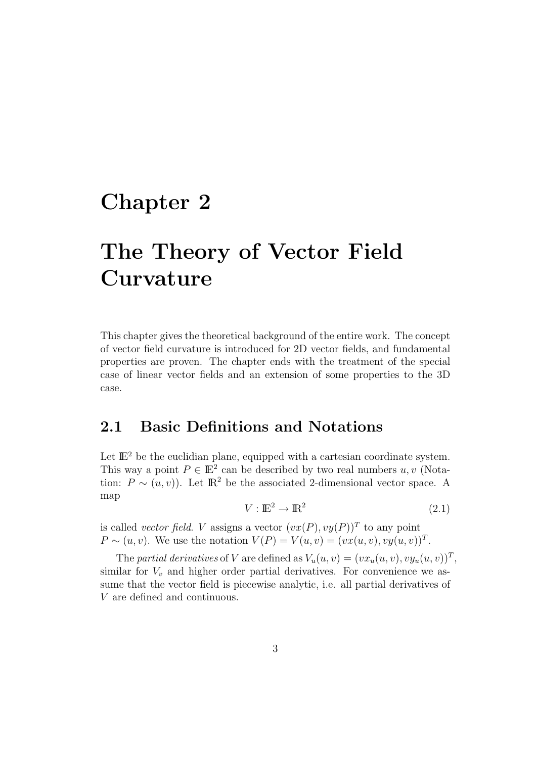# **Chapter 2**

# **The Theory of Vector Field Curvature**

This chapter gives the theoretical background of the entire work. The concept of vector field curvature is introduced for 2D vector fields, and fundamental properties are proven. The chapter ends with the treatment of the special case of linear vector fields and an extension of some properties to the 3D case.

## **2.1 Basic Definitions and Notations**

Let  $\mathbb{E}^2$  be the euclidian plane, equipped with a cartesian coordinate system. This way a point  $P \in \mathbb{E}^2$  can be described by two real numbers  $u, v$  (Notation:  $P \sim (u, v)$ . Let  $\mathbb{R}^2$  be the associated 2-dimensional vector space. A map

$$
V: \mathbb{E}^2 \to \mathbb{R}^2 \tag{2.1}
$$

is called *vector field.* V assigns a vector  $(vx(P), vy(P))^T$  to any point  $P \sim (u, v)$ . We use the notation  $V(P) = V(u, v) = (vx(u, v), vy(u, v))^T$ .

The partial derivatives of V are defined as  $V_u(u, v)=(vx_u(u, v), vy_u(u, v))^T$ , similar for  $V_v$  and higher order partial derivatives. For convenience we assume that the vector field is piecewise analytic, i.e. all partial derivatives of V are defined and continuous.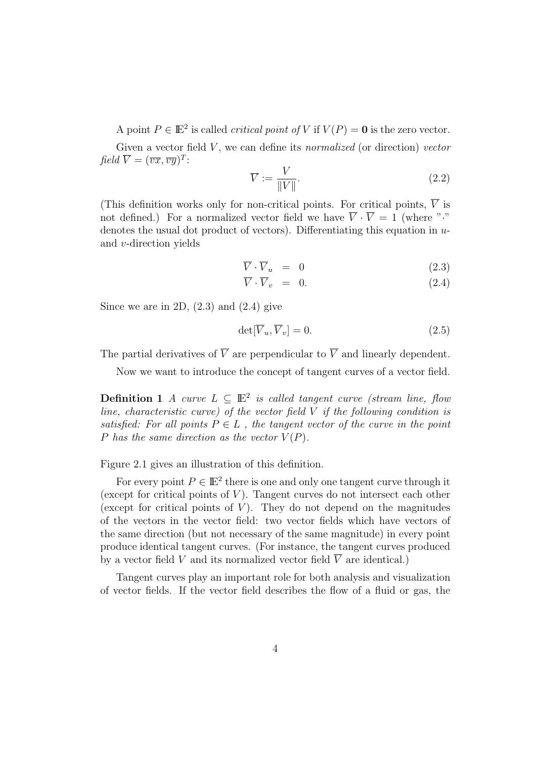A point  $P \in \mathbb{E}^2$  is called *critical point of* V if  $V(P) = 0$  is the zero vector.

Given a vector field  $V$ , we can define its *normalized* (or direction) vector  $field \overline{V} = (\overline{vx}, \overline{vy})^T$ :

$$
\overline{V} := \frac{V}{\|V\|}.\tag{2.2}
$$

(This definition works only for non-critical points. For critical points,  $\overline{V}$  is not defined.) For a normalized vector field we have  $\overline{V} \cdot \overline{V} = 1$  (where "." denotes the usual dot product of vectors). Differentiating this equation in  $u$ and v-direction yields

$$
\overline{V} \cdot \overline{V}_u = 0 \tag{2.3}
$$

$$
\overline{V} \cdot \overline{V}_v = 0. \tag{2.4}
$$

Since we are in 2D,  $(2.3)$  and  $(2.4)$  give

$$
\det[\overline{V}_u, \overline{V}_v] = 0. \tag{2.5}
$$

The partial derivatives of  $\overline{V}$  are perpendicular to  $\overline{V}$  and linearly dependent.

Now we want to introduce the concept of tangent curves of a vector field.

**Definition 1** A curve  $L \subseteq \mathbb{E}^2$  is called tangent curve (stream line, flow line, characteristic curve) of the vector field  $V$  if the following condition is satisfied: For all points  $P \in L$ , the tangent vector of the curve in the point P has the same direction as the vector  $V(P)$ .

### Figure 2.1 gives an illustration of this definition.

For every point  $P \in \mathbb{E}^2$  there is one and only one tangent curve through it (except for critical points of  $V$ ). Tangent curves do not intersect each other (except for critical points of  $V$ ). They do not depend on the magnitudes of the vectors in the vector field: two vector fields which have vectors of the same direction (but not necessary of the same magnitude) in every point produce identical tangent curves. (For instance, the tangent curves produced by a vector field V and its normalized vector field  $\overline{V}$  are identical.)

Tangent curves play an important role for both analysis and visualization of vector fields. If the vector field describes the flow of a fluid or gas, the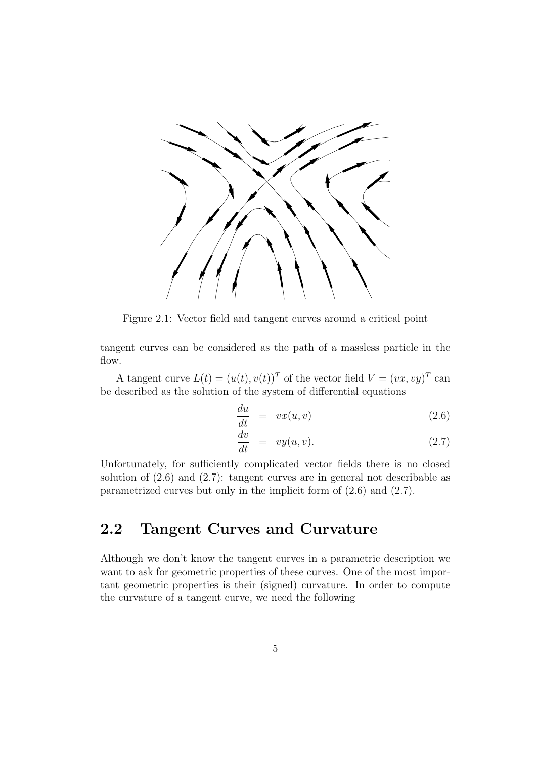

Figure 2.1: Vector field and tangent curves around a critical point

tangent curves can be considered as the path of a massless particle in the flow.

A tangent curve  $L(t)=(u(t), v(t))^T$  of the vector field  $V = (vx, vy)^T$  can be described as the solution of the system of differential equations

$$
\frac{du}{dt} = vx(u, v) \tag{2.6}
$$

$$
\frac{dv}{dt} = vy(u, v). \tag{2.7}
$$

Unfortunately, for sufficiently complicated vector fields there is no closed solution of (2.6) and (2.7): tangent curves are in general not describable as parametrized curves but only in the implicit form of (2.6) and (2.7).

## **2.2 Tangent Curves and Curvature**

Although we don't know the tangent curves in a parametric description we want to ask for geometric properties of these curves. One of the most important geometric properties is their (signed) curvature. In order to compute the curvature of a tangent curve, we need the following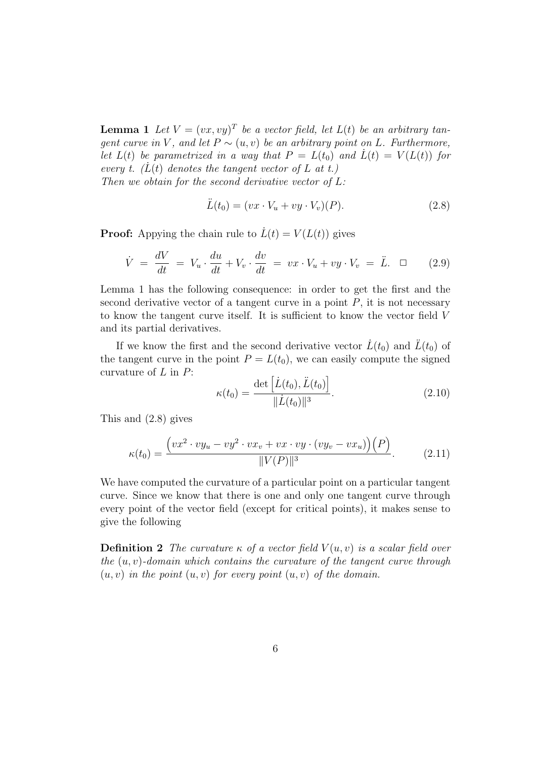**Lemma 1** Let  $V = (vx, vy)^T$  be a vector field, let  $L(t)$  be an arbitrary tangent curve in V, and let  $P \sim (u, v)$  be an arbitrary point on L. Furthermore, let  $L(t)$  be parametrized in a way that  $P = L(t_0)$  and  $\dot{L}(t) = V(L(t))$  for every t.  $(L(t))$  denotes the tangent vector of L at t.) Then we obtain for the second derivative vector of  $L$ :

$$
\ddot{L}(t_0) = (vx \cdot V_u + vy \cdot V_v)(P). \tag{2.8}
$$

**Proof:** Appying the chain rule to  $\dot{L}(t) = V(L(t))$  gives

$$
\dot{V} = \frac{dV}{dt} = V_u \cdot \frac{du}{dt} + V_v \cdot \frac{dv}{dt} = vx \cdot V_u + vy \cdot V_v = \ddot{L}.\quad \Box \tag{2.9}
$$

Lemma 1 has the following consequence: in order to get the first and the second derivative vector of a tangent curve in a point  $P$ , it is not necessary to know the tangent curve itself. It is sufficient to know the vector field V and its partial derivatives.

If we know the first and the second derivative vector  $\dot{L}(t_0)$  and  $\dot{L}(t_0)$  of the tangent curve in the point  $P = L(t_0)$ , we can easily compute the signed curvature of  $L$  in  $P$ :

$$
\kappa(t_0) = \frac{\det\left[\dot{L}(t_0), \ddot{L}(t_0)\right]}{\|\dot{L}(t_0)\|^3}.
$$
\n(2.10)

This and (2.8) gives

$$
\kappa(t_0) = \frac{\left(vx^2 \cdot vy_u - vy^2 \cdot vx_v + vx \cdot vy \cdot (vy_v - vx_u)\right)(P)}{\|V(P)\|^3}.
$$
\n(2.11)

We have computed the curvature of a particular point on a particular tangent curve. Since we know that there is one and only one tangent curve through every point of the vector field (except for critical points), it makes sense to give the following

**Definition 2** The curvature  $\kappa$  of a vector field  $V(u, v)$  is a scalar field over the  $(u, v)$ -domain which contains the curvature of the tangent curve through  $(u, v)$  in the point  $(u, v)$  for every point  $(u, v)$  of the domain.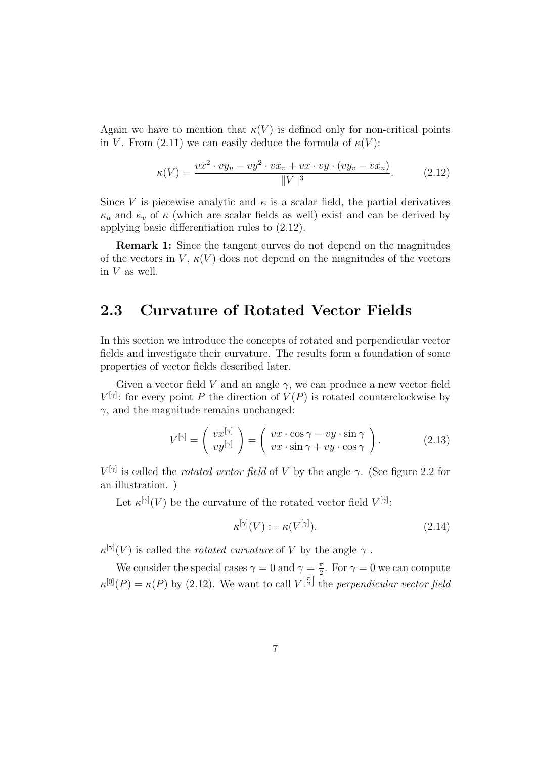Again we have to mention that  $\kappa(V)$  is defined only for non-critical points in V. From (2.11) we can easily deduce the formula of  $\kappa(V)$ :

$$
\kappa(V) = \frac{vx^2 \cdot vy_u - vy^2 \cdot vx_v + vx \cdot vy \cdot (vy_v - vx_u)}{\|V\|^3}.
$$
\n(2.12)

Since V is piecewise analytic and  $\kappa$  is a scalar field, the partial derivatives  $\kappa_u$  and  $\kappa_v$  of  $\kappa$  (which are scalar fields as well) exist and can be derived by applying basic differentiation rules to (2.12).

**Remark 1:** Since the tangent curves do not depend on the magnitudes of the vectors in V,  $\kappa(V)$  does not depend on the magnitudes of the vectors in V as well.

### **2.3 Curvature of Rotated Vector Fields**

In this section we introduce the concepts of rotated and perpendicular vector fields and investigate their curvature. The results form a foundation of some properties of vector fields described later.

Given a vector field V and an angle  $\gamma$ , we can produce a new vector field  $V^{[\gamma]}$ : for every point P the direction of  $V(P)$  is rotated counterclockwise by  $\gamma$ , and the magnitude remains unchanged:

$$
V^{[\gamma]} = \begin{pmatrix} vx^{[\gamma]} \\ vy^{[\gamma]} \end{pmatrix} = \begin{pmatrix} vx \cdot \cos \gamma - vy \cdot \sin \gamma \\ vx \cdot \sin \gamma + vy \cdot \cos \gamma \end{pmatrix}.
$$
 (2.13)

 $V^{[\gamma]}$  is called the *rotated vector field* of V by the angle  $\gamma$ . (See figure 2.2 for an illustration. )

Let  $\kappa^{[\gamma]}(V)$  be the curvature of the rotated vector field  $V^{[\gamma]}$ :

$$
\kappa^{[\gamma]}(V) := \kappa(V^{[\gamma]}). \tag{2.14}
$$

 $\kappa^{[\gamma]}(V)$  is called the *rotated curvature* of V by the angle  $\gamma$ .

We consider the special cases  $\gamma = 0$  and  $\gamma = \frac{\pi}{2}$ . For  $\gamma = 0$  we can compute  $\kappa^{[0]}(P) = \kappa(P)$  by (2.12). We want to call  $V^{\left[\frac{\pi}{2}\right]}$  the perpendicular vector field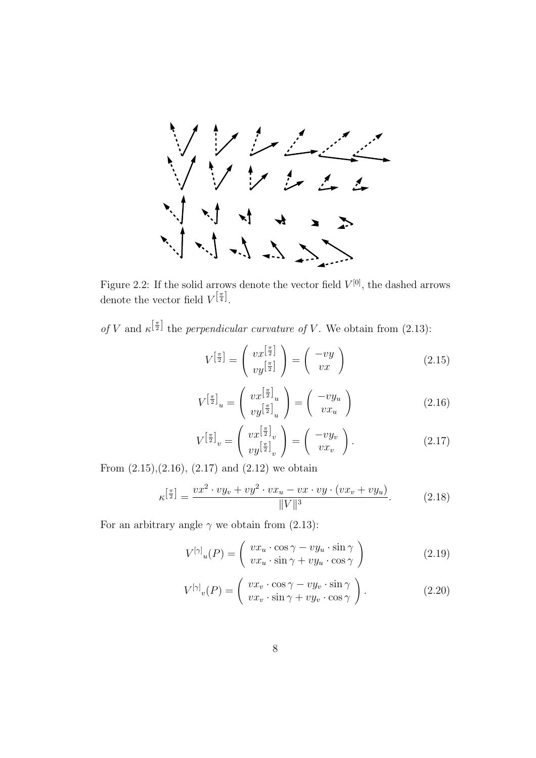

Figure 2.2: If the solid arrows denote the vector field  $V^{[0]}$ , the dashed arrows denote the vector field  $V^{\left[\frac{\pi}{4}\right]}$ .

of V and  $\kappa^{\left[\frac{\pi}{2}\right]}$  the perpendicular curvature of V. We obtain from (2.13):

$$
V^{\left[\frac{\pi}{2}\right]} = \left(\begin{array}{c} vx^{\left[\frac{\pi}{2}\right]} \\ vy^{\left[\frac{\pi}{2}\right]} \end{array}\right) = \left(\begin{array}{c} -vy \\ vx \end{array}\right) \tag{2.15}
$$

$$
V^{\left[\frac{\pi}{2}\right]}u = \left(\begin{array}{c} vx^{\left[\frac{\pi}{2}\right]}u \\ vy^{\left[\frac{\pi}{2}\right]}u \end{array}\right) = \left(\begin{array}{c} -vy_u \\ vx_u \end{array}\right) \tag{2.16}
$$

$$
V^{\left[\frac{\pi}{2}\right]}v = \begin{pmatrix} vx^{\left[\frac{\pi}{2}\right]}v \\ vy^{\left[\frac{\pi}{2}\right]}v \end{pmatrix} = \begin{pmatrix} -vy_v \\ vx_v \end{pmatrix}.
$$
 (2.17)

From  $(2.15),(2.16), (2.17)$  and  $(2.12)$  we obtain

$$
\kappa^{\left[\frac{\pi}{2}\right]} = \frac{vx^2 \cdot vy_v + vy^2 \cdot vx_u - vx \cdot vy \cdot (vx_v + vy_u)}{\|V\|^3}.
$$
\n(2.18)

For an arbitrary angle  $\gamma$  we obtain from (2.13):

$$
V^{[\gamma]}_{u}(P) = \begin{pmatrix} vx_u \cdot \cos \gamma - vy_u \cdot \sin \gamma \\ vx_u \cdot \sin \gamma + vy_u \cdot \cos \gamma \end{pmatrix}
$$
 (2.19)

$$
V^{[\gamma]}_{v}(P) = \begin{pmatrix} vx_v \cdot \cos \gamma - vy_v \cdot \sin \gamma \\ vx_v \cdot \sin \gamma + vy_v \cdot \cos \gamma \end{pmatrix}.
$$
 (2.20)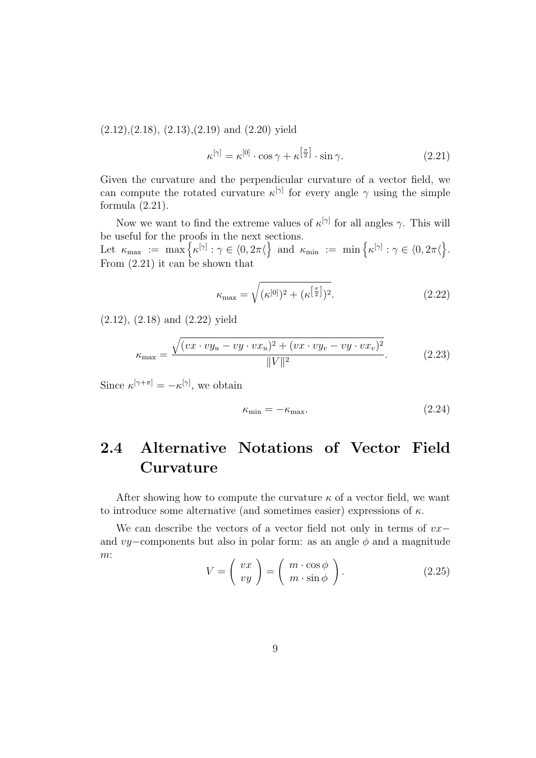$(2.12),(2.18),(2.13),(2.19)$  and  $(2.20)$  yield

$$
\kappa^{[\gamma]} = \kappa^{[0]} \cdot \cos \gamma + \kappa^{\left[\frac{\pi}{2}\right]} \cdot \sin \gamma. \tag{2.21}
$$

Given the curvature and the perpendicular curvature of a vector field, we can compute the rotated curvature  $\kappa^{[\gamma]}$  for every angle  $\gamma$  using the simple formula (2.21).

Now we want to find the extreme values of  $\kappa^{[\gamma]}$  for all angles  $\gamma$ . This will be useful for the proofs in the next sections. Let  $\kappa_{\max} := \max \big\{ \kappa^{[\gamma]} : \gamma \in \langle 0, 2\pi \langle \big\} \text{ and } \kappa_{\min} := \min \big\{ \kappa^{[\gamma]} : \gamma \in \langle 0, 2\pi \langle \big\}.$ From (2.21) it can be shown that

$$
\kappa_{\text{max}} = \sqrt{(\kappa^{[0]})^2 + (\kappa^{\left[\frac{\pi}{2}\right]})^2}.
$$
\n(2.22)

(2.12), (2.18) and (2.22) yield

$$
\kappa_{\text{max}} = \frac{\sqrt{(vx \cdot vy_u - vy \cdot vx_u)^2 + (vx \cdot vy_v - vy \cdot vx_v)^2}}{\|V\|^2}.
$$
\n(2.23)

Since  $\kappa^{[\gamma+\pi]} = -\kappa^{[\gamma]},$  we obtain

$$
\kappa_{\min} = -\kappa_{\max}.\tag{2.24}
$$

## **2.4 Alternative Notations of Vector Field Curvature**

After showing how to compute the curvature  $\kappa$  of a vector field, we want to introduce some alternative (and sometimes easier) expressions of  $\kappa$ .

We can describe the vectors of a vector field not only in terms of vx− and vy–components but also in polar form: as an angle  $\phi$  and a magnitude m: 

$$
V = \left(\begin{array}{c} vx \\ vy \end{array}\right) = \left(\begin{array}{c} m \cdot \cos\phi \\ m \cdot \sin\phi \end{array}\right). \tag{2.25}
$$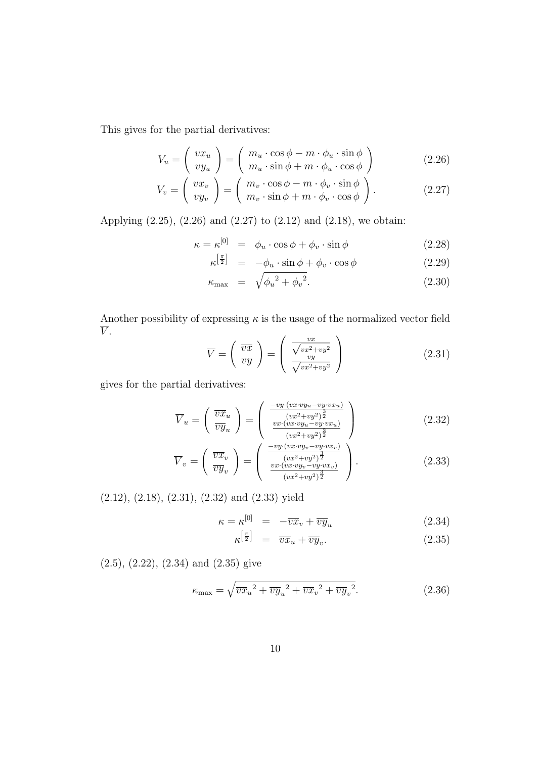This gives for the partial derivatives:

$$
V_u = \begin{pmatrix} vx_u \\ vy_u \end{pmatrix} = \begin{pmatrix} m_u \cdot \cos\phi - m \cdot \phi_u \cdot \sin\phi \\ m_u \cdot \sin\phi + m \cdot \phi_u \cdot \cos\phi \end{pmatrix}
$$
 (2.26)

$$
V_v = \begin{pmatrix} vx_v \\ vy_v \end{pmatrix} = \begin{pmatrix} m_v \cdot \cos \phi - m \cdot \phi_v \cdot \sin \phi \\ m_v \cdot \sin \phi + m \cdot \phi_v \cdot \cos \phi \end{pmatrix}.
$$
 (2.27)

Applying (2.25), (2.26) and (2.27) to (2.12) and (2.18), we obtain:

$$
\kappa = \kappa^{[0]} = \phi_u \cdot \cos \phi + \phi_v \cdot \sin \phi \qquad (2.28)
$$

$$
\kappa^{\left[\frac{\pi}{2}\right]} = -\phi_u \cdot \sin\phi + \phi_v \cdot \cos\phi \tag{2.29}
$$

$$
\kappa_{\max} = \sqrt{{\phi_u}^2 + {\phi_v}^2}.
$$
\n(2.30)

Another possibility of expressing  $\kappa$  is the usage of the normalized vector field  $\overline{V}$ .  $\overline{1}$  $\sim$ 

$$
\overline{V} = \left(\begin{array}{c} \overline{vx} \\ \overline{vy} \end{array}\right) = \left(\begin{array}{c} \frac{vx}{\sqrt{vx^2 + vy^2}} \\ \frac{vy}{\sqrt{vx^2 + vy^2}} \end{array}\right) \tag{2.31}
$$

gives for the partial derivatives:

$$
\overline{V}_u = \begin{pmatrix} \overline{vx}_u \\ \overline{vy}_u \end{pmatrix} = \begin{pmatrix} \frac{-vy \cdot (vx \cdot vy_u - vy \cdot vx_u)}{(vx^2 + vy^2)^{\frac{3}{2}}} \\ \frac{vx \cdot (vx \cdot vy_u - vy \cdot vx_u)}{(vx^2 + vy^2)^{\frac{3}{2}}} \end{pmatrix}
$$
(2.32)

$$
\overline{V}_v = \left(\begin{array}{c} \overline{vx}_v \\ \overline{vy}_v \end{array}\right) = \left(\begin{array}{c} \frac{-vy \cdot (vx \cdot vy - vy \cdot vx_v)}{(vx^2 + vy^2)^{\frac{3}{2}}} \\ \frac{vx \cdot (vx \cdot vy - vy \cdot vx_v)}{(vx^2 + vy^2)^{\frac{3}{2}}} \end{array}\right). \tag{2.33}
$$

(2.12), (2.18), (2.31), (2.32) and (2.33) yield

$$
\kappa = \kappa^{[0]} = -\overline{v}\overline{x}_v + \overline{v}\overline{y}_u \tag{2.34}
$$

$$
\kappa^{\left[\frac{\pi}{2}\right]} = \overline{vx}_u + \overline{vy}_v. \tag{2.35}
$$

(2.5), (2.22), (2.34) and (2.35) give

$$
\kappa_{\text{max}} = \sqrt{\overline{v}\overline{x}_u^2 + \overline{v}\overline{y}_u^2 + \overline{v}\overline{x}_v^2 + \overline{v}\overline{y}_v^2}.
$$
\n(2.36)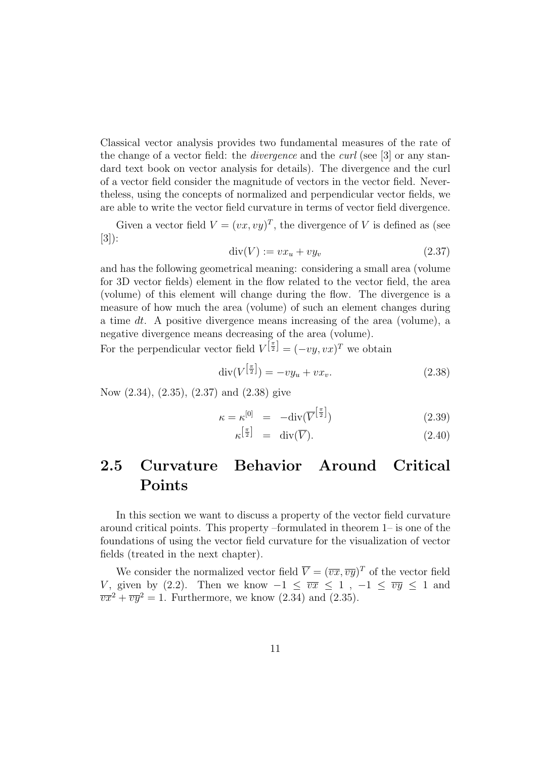Classical vector analysis provides two fundamental measures of the rate of the change of a vector field: the *divergence* and the *curl* (see [3] or any standard text book on vector analysis for details). The divergence and the curl of a vector field consider the magnitude of vectors in the vector field. Nevertheless, using the concepts of normalized and perpendicular vector fields, we are able to write the vector field curvature in terms of vector field divergence.

Given a vector field  $V = (vx, vy)^T$ , the divergence of V is defined as (see [3]):

$$
\operatorname{div}(V) := vx_u + vy_v \tag{2.37}
$$

and has the following geometrical meaning: considering a small area (volume for 3D vector fields) element in the flow related to the vector field, the area (volume) of this element will change during the flow. The divergence is a measure of how much the area (volume) of such an element changes during a time dt. A positive divergence means increasing of the area (volume), a negative divergence means decreasing of the area (volume).

For the perpendicular vector field  $V^{\left[\frac{\pi}{2}\right]} = (-vy, vx)^T$  we obtain

$$
\operatorname{div}(V^{\left[\frac{\pi}{2}\right]}) = -vy_u + vx_v. \tag{2.38}
$$

Now (2.34), (2.35), (2.37) and (2.38) give

$$
\kappa = \kappa^{[0]} = -\text{div}(\overline{V}^{\left[\frac{\pi}{2}\right]}) \tag{2.39}
$$

$$
\kappa^{\left[\frac{\pi}{2}\right]} = \text{div}(\overline{V}).\tag{2.40}
$$

## **2.5 Curvature Behavior Around Critical Points**

In this section we want to discuss a property of the vector field curvature around critical points. This property –formulated in theorem 1– is one of the foundations of using the vector field curvature for the visualization of vector fields (treated in the next chapter).

We consider the normalized vector field  $\overline{V} = (\overline{vx}, \overline{vy})^T$  of the vector field V, given by (2.2). Then we know  $-1 \leq \overline{vx} \leq 1$ ,  $-1 \leq \overline{vy} \leq 1$  and  $\overrightarrow{vx^2} + \overrightarrow{vy^2} = 1$ . Furthermore, we know (2.34) and (2.35).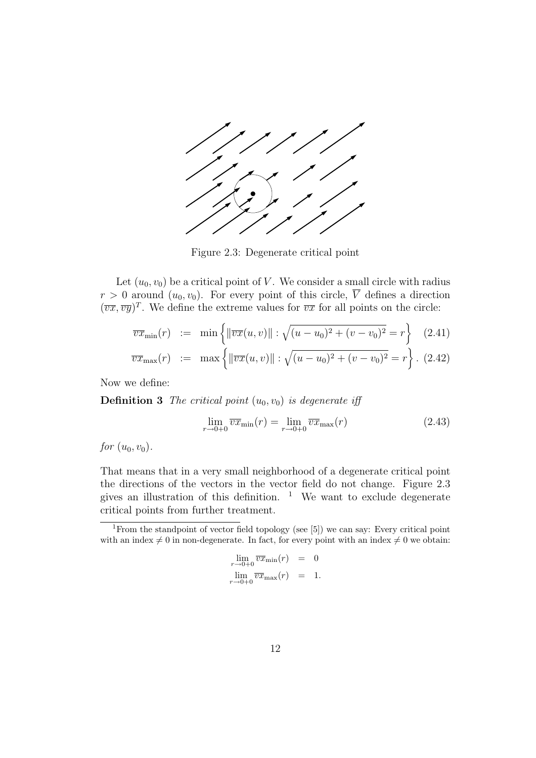

Figure 2.3: Degenerate critical point

Let  $(u_0, v_0)$  be a critical point of V. We consider a small circle with radius  $r > 0$  around  $(u_0, v_0)$ . For every point of this circle,  $\overline{V}$  defines a direction  $(\overline{vx}, \overline{vy})^T$ . We define the extreme values for  $\overline{vx}$  for all points on the circle:

$$
\overline{vx}_{\min}(r) := \min\left\{ \left\| \overline{vx}(u,v) \right\| : \sqrt{(u-u_0)^2 + (v-v_0)^2} = r \right\} \quad (2.41)
$$

$$
\overline{vx}_{\max}(r) := \max \left\{ \|\overline{vx}(u,v)\| : \sqrt{(u-u_0)^2 + (v-v_0)^2} = r \right\}. (2.42)
$$

Now we define:

**Definition 3** The critical point  $(u_0, v_0)$  is degenerate iff

$$
\lim_{r \to 0+0} \overline{vx}_{\min}(r) = \lim_{r \to 0+0} \overline{vx}_{\max}(r)
$$
\n(2.43)

*for*  $(u_0, v_0)$ .

That means that in a very small neighborhood of a degenerate critical point the directions of the vectors in the vector field do not change. Figure 2.3 gives an illustration of this definition.  $1$  We want to exclude degenerate critical points from further treatment.

$$
\lim_{r \to 0+0} \overline{vx}_{\min}(r) = 0
$$
  

$$
\lim_{r \to 0+0} \overline{vx}_{\max}(r) = 1.
$$

<sup>&</sup>lt;sup>1</sup>From the standpoint of vector field topology (see [5]) we can say: Every critical point with an index  $\neq 0$  in non-degenerate. In fact, for every point with an index  $\neq 0$  we obtain: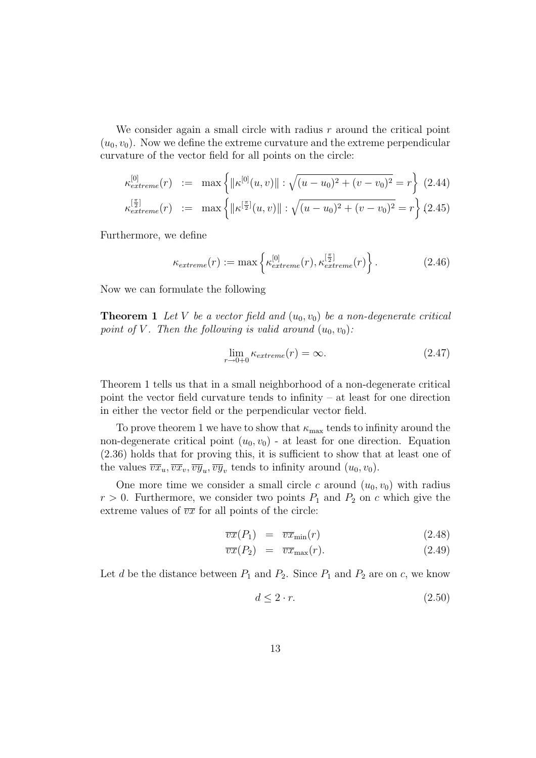We consider again a small circle with radius  $r$  around the critical point  $(u_0, v_0)$ . Now we define the extreme curvature and the extreme perpendicular curvature of the vector field for all points on the circle:

$$
\kappa_{extreme}^{[0]}(r) := \max \left\{ \|\kappa^{[0]}(u,v)\| : \sqrt{(u-u_0)^2 + (v-v_0)^2} = r \right\} (2.44)
$$
  

$$
\kappa_{extreme}^{[\frac{\pi}{2}]}(r) := \max \left\{ \|\kappa^{[\frac{\pi}{2}]}(u,v)\| : \sqrt{(u-u_0)^2 + (v-v_0)^2} = r \right\} (2.45)
$$

Furthermore, we define

$$
\kappa_{extreme}(r) := \max \left\{ \kappa_{extreme}^{[0]}(r), \kappa_{extreme}^{[\frac{\pi}{2}]}(r) \right\}.
$$
 (2.46)

Now we can formulate the following

**Theorem 1** Let V be a vector field and  $(u_0, v_0)$  be a non-degenerate critical point of V. Then the following is valid around  $(u_0, v_0)$ :

$$
\lim_{r \to 0+0} \kappa_{extreme}(r) = \infty. \tag{2.47}
$$

Theorem 1 tells us that in a small neighborhood of a non-degenerate critical point the vector field curvature tends to infinity – at least for one direction in either the vector field or the perpendicular vector field.

To prove theorem 1 we have to show that  $\kappa_{\text{max}}$  tends to infinity around the non-degenerate critical point  $(u_0, v_0)$  - at least for one direction. Equation (2.36) holds that for proving this, it is sufficient to show that at least one of the values  $\overline{vx}_u, \overline{vx}_v, \overline{vy}_u, \overline{vy}_v$  tends to infinity around  $(u_0, v_0)$ .

One more time we consider a small circle c around  $(u_0, v_0)$  with radius  $r > 0$ . Furthermore, we consider two points  $P_1$  and  $P_2$  on c which give the extreme values of  $\overline{vx}$  for all points of the circle:

$$
\overline{vx}(P_1) = \overline{vx}_{\min}(r) \tag{2.48}
$$

$$
\overline{vx}(P_2) = \overline{vx}_{\text{max}}(r). \tag{2.49}
$$

Let d be the distance between  $P_1$  and  $P_2$ . Since  $P_1$  and  $P_2$  are on c, we know

$$
d \le 2 \cdot r. \tag{2.50}
$$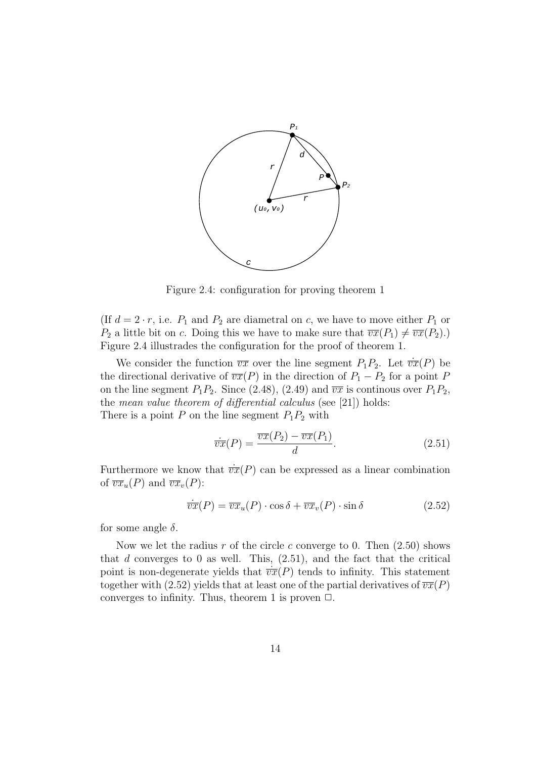

Figure 2.4: configuration for proving theorem 1

(If  $d = 2 \cdot r$ , i.e.  $P_1$  and  $P_2$  are diametral on c, we have to move either  $P_1$  or  $P_2$  a little bit on c. Doing this we have to make sure that  $\overline{vx}(P_1) \neq \overline{vx}(P_2)$ .) Figure 2.4 illustrades the configuration for the proof of theorem 1.

We consider the function  $\overline{vx}$  over the line segment  $P_1P_2$ . Let  $\overline{vx}(P)$  be the directional derivative of  $\overline{vx}(P)$  in the direction of  $P_1 - P_2$  for a point P on the line segment  $P_1P_2$ . Since (2.48), (2.49) and  $\overline{vx}$  is continous over  $P_1P_2$ , the mean value theorem of differential calculus (see [21]) holds: There is a point P on the line segment  $P_1P_2$  with

$$
\overline{vx}(P) = \frac{\overline{vx}(P_2) - \overline{vx}(P_1)}{d}.
$$
\n(2.51)

Furthermore we know that  $\dot{\overline{vx}}(P)$  can be expressed as a linear combination of  $\overline{vx}_u(P)$  and  $\overline{vx}_v(P)$ :

$$
\overline{vx}(P) = \overline{vx}_u(P) \cdot \cos \delta + \overline{vx}_v(P) \cdot \sin \delta \tag{2.52}
$$

for some angle  $\delta$ .

Now we let the radius r of the circle c converge to 0. Then  $(2.50)$  shows that d converges to 0 as well. This,  $(2.51)$ , and the fact that the critical point is non-degenerate yields that  $\overline{vx}(P)$  tends to infinity. This statement together with (2.52) yields that at least one of the partial derivatives of  $\overline{vx}(P)$ converges to infinity. Thus, theorem 1 is proven  $\Box$ .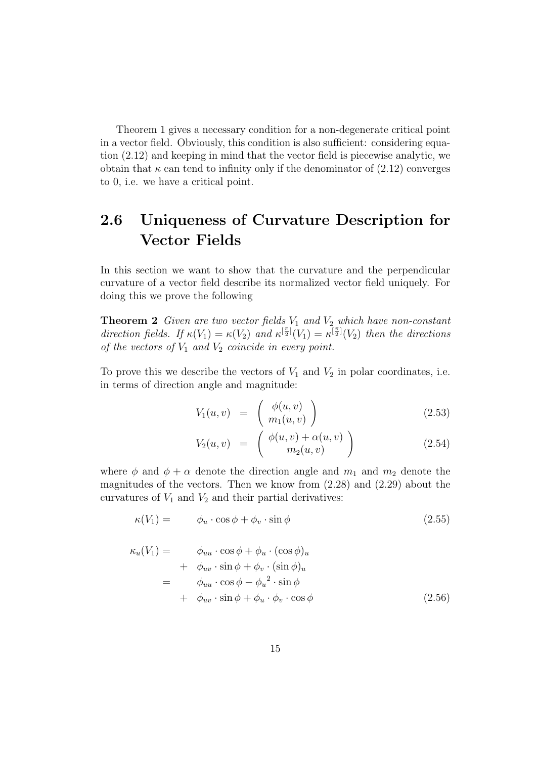Theorem 1 gives a necessary condition for a non-degenerate critical point in a vector field. Obviously, this condition is also sufficient: considering equation (2.12) and keeping in mind that the vector field is piecewise analytic, we obtain that  $\kappa$  can tend to infinity only if the denominator of  $(2.12)$  converges to 0, i.e. we have a critical point.

## **2.6 Uniqueness of Curvature Description for Vector Fields**

In this section we want to show that the curvature and the perpendicular curvature of a vector field describe its normalized vector field uniquely. For doing this we prove the following

**Theorem 2** Given are two vector fields  $V_1$  and  $V_2$  which have non-constant direction fields. If  $\kappa(V_1) = \kappa(V_2)$  and  $\kappa^{[\frac{\pi}{2}]}(V_1) = \kappa^{[\frac{\pi}{2}]}(V_2)$  then the directions of the vectors of  $V_1$  and  $V_2$  coincide in every point.

To prove this we describe the vectors of  $V_1$  and  $V_2$  in polar coordinates, i.e. in terms of direction angle and magnitude:

$$
V_1(u,v) = \begin{pmatrix} \phi(u,v) \\ m_1(u,v) \end{pmatrix} \tag{2.53}
$$

$$
V_2(u,v) = \begin{pmatrix} \phi(u,v) + \alpha(u,v) \\ m_2(u,v) \end{pmatrix}
$$
 (2.54)

where  $\phi$  and  $\phi + \alpha$  denote the direction angle and  $m_1$  and  $m_2$  denote the magnitudes of the vectors. Then we know from  $(2.28)$  and  $(2.29)$  about the curvatures of  $V_1$  and  $V_2$  and their partial derivatives:

$$
\kappa(V_1) = \phi_u \cdot \cos \phi + \phi_v \cdot \sin \phi \tag{2.55}
$$

$$
\kappa_u(V_1) = \phi_{uu} \cdot \cos \phi + \phi_u \cdot (\cos \phi)_u \n+ \phi_{uv} \cdot \sin \phi + \phi_v \cdot (\sin \phi)_u \n= \phi_{uu} \cdot \cos \phi - \phi_u^2 \cdot \sin \phi \n+ \phi_{uv} \cdot \sin \phi + \phi_u \cdot \phi_v \cdot \cos \phi
$$
\n(2.56)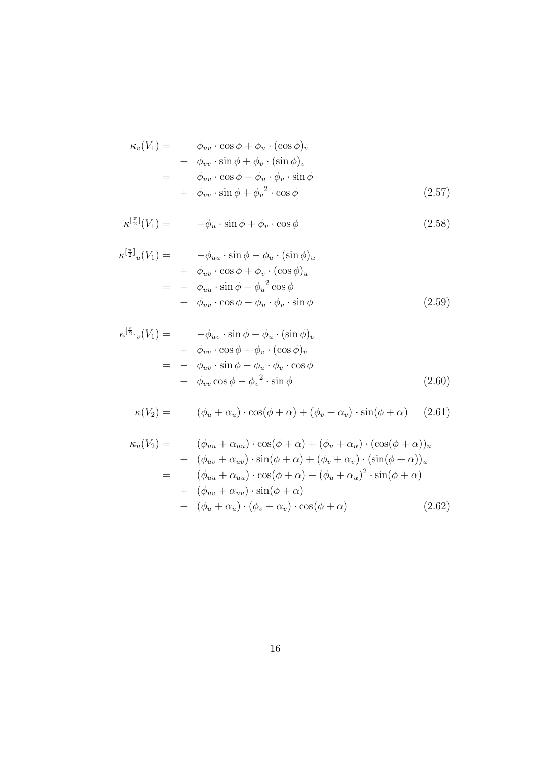$$
\kappa_v(V_1) = \phi_{uv} \cdot \cos \phi + \phi_u \cdot (\cos \phi)_v
$$
  
+  $\phi_{vv} \cdot \sin \phi + \phi_v \cdot (\sin \phi)_v$   
=  $\phi_{uv} \cdot \cos \phi - \phi_u \cdot \phi_v \cdot \sin \phi$   
+  $\phi_{vv} \cdot \sin \phi + \phi_v^2 \cdot \cos \phi$  (2.57)

$$
\kappa^{\left[\frac{\pi}{2}\right]}(V_1) = -\phi_u \cdot \sin\phi + \phi_v \cdot \cos\phi \tag{2.58}
$$

$$
\kappa^{[\frac{\pi}{2}]}_{u}(V_{1}) = -\phi_{uu} \cdot \sin \phi - \phi_{u} \cdot (\sin \phi)_{u}
$$
  
+  $\phi_{uv} \cdot \cos \phi + \phi_{v} \cdot (\cos \phi)_{u}$   
=  $-\phi_{uu} \cdot \sin \phi - \phi_{u}^{2} \cos \phi$   
+  $\phi_{uv} \cdot \cos \phi - \phi_{u} \cdot \phi_{v} \cdot \sin \phi$  (2.59)

$$
\kappa^{[\frac{\pi}{2}]}_v(V_1) = -\phi_{uv} \cdot \sin \phi - \phi_u \cdot (\sin \phi)_v \n+ \phi_{vv} \cdot \cos \phi + \phi_v \cdot (\cos \phi)_v \n= - \phi_{uv} \cdot \sin \phi - \phi_u \cdot \phi_v \cdot \cos \phi \n+ \phi_{vv} \cos \phi - \phi_v^2 \cdot \sin \phi
$$
\n(2.60)

$$
\kappa(V_2) = (\phi_u + \alpha_u) \cdot \cos(\phi + \alpha) + (\phi_v + \alpha_v) \cdot \sin(\phi + \alpha) \quad (2.61)
$$

$$
\kappa_u(V_2) = (\phi_{uu} + \alpha_{uu}) \cdot \cos(\phi + \alpha) + (\phi_u + \alpha_u) \cdot (\cos(\phi + \alpha))_u
$$
  
+ 
$$
(\phi_{uv} + \alpha_{uv}) \cdot \sin(\phi + \alpha) + (\phi_v + \alpha_v) \cdot (\sin(\phi + \alpha))_u
$$
  
= 
$$
(\phi_{uu} + \alpha_{uu}) \cdot \cos(\phi + \alpha) - (\phi_u + \alpha_u)^2 \cdot \sin(\phi + \alpha)
$$
  
+ 
$$
(\phi_{uv} + \alpha_{uv}) \cdot \sin(\phi + \alpha)
$$
  
+ 
$$
(\phi_u + \alpha_u) \cdot (\phi_v + \alpha_v) \cdot \cos(\phi + \alpha)
$$
 (2.62)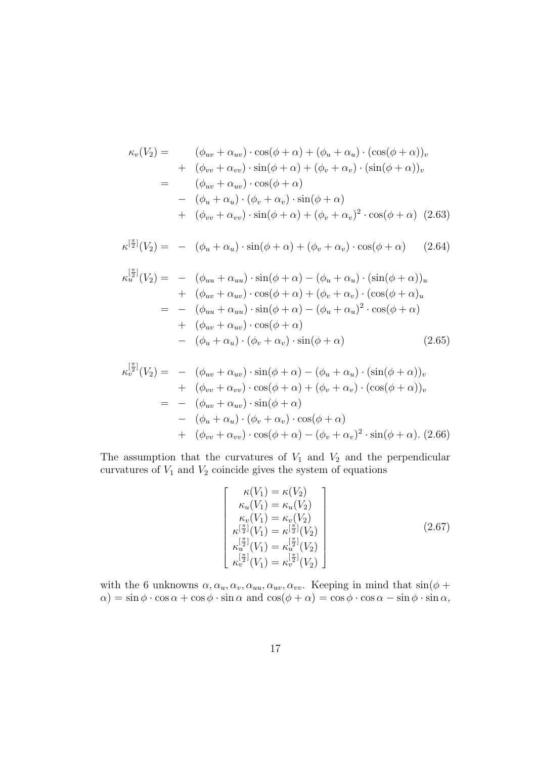$$
\kappa_v(V_2) = (\phi_{uv} + \alpha_{uv}) \cdot \cos(\phi + \alpha) + (\phi_u + \alpha_u) \cdot (\cos(\phi + \alpha))_v
$$
  
+ 
$$
(\phi_{vv} + \alpha_{vv}) \cdot \sin(\phi + \alpha) + (\phi_v + \alpha_v) \cdot (\sin(\phi + \alpha))_v
$$
  
= 
$$
(\phi_{uv} + \alpha_{uv}) \cdot \cos(\phi + \alpha)
$$
  
- 
$$
(\phi_u + \alpha_u) \cdot (\phi_v + \alpha_v) \cdot \sin(\phi + \alpha)
$$
  
+ 
$$
(\phi_{vv} + \alpha_{vv}) \cdot \sin(\phi + \alpha) + (\phi_v + \alpha_v)^2 \cdot \cos(\phi + \alpha)
$$
 (2.63)

$$
\kappa^{[\frac{\pi}{2}]}(V_2) = - (\phi_u + \alpha_u) \cdot \sin(\phi + \alpha) + (\phi_v + \alpha_v) \cdot \cos(\phi + \alpha) \qquad (2.64)
$$

$$
\kappa_u^{\left[\frac{\pi}{2}\right]}(V_2) = - (\phi_{uu} + \alpha_{uu}) \cdot \sin(\phi + \alpha) - (\phi_u + \alpha_u) \cdot (\sin(\phi + \alpha))_u
$$
  
+ 
$$
(\phi_{uv} + \alpha_{uv}) \cdot \cos(\phi + \alpha) + (\phi_v + \alpha_v) \cdot (\cos(\phi + \alpha)_u
$$
  
= 
$$
- (\phi_{uu} + \alpha_{uu}) \cdot \sin(\phi + \alpha) - (\phi_u + \alpha_u)^2 \cdot \cos(\phi + \alpha)
$$
  
+ 
$$
(\phi_{uv} + \alpha_{uv}) \cdot \cos(\phi + \alpha)
$$
  
- 
$$
(\phi_u + \alpha_u) \cdot (\phi_v + \alpha_v) \cdot \sin(\phi + \alpha)
$$
 (2.65)

$$
\kappa_v^{\left[\frac{\pi}{2}\right]}(V_2) = - (\phi_{uv} + \alpha_{uv}) \cdot \sin(\phi + \alpha) - (\phi_u + \alpha_u) \cdot (\sin(\phi + \alpha))_v
$$
  
+ 
$$
(\phi_{vv} + \alpha_{vv}) \cdot \cos(\phi + \alpha) + (\phi_v + \alpha_v) \cdot (\cos(\phi + \alpha))_v
$$
  
= 
$$
- (\phi_{uv} + \alpha_{uv}) \cdot \sin(\phi + \alpha)
$$
  
- 
$$
(\phi_u + \alpha_u) \cdot (\phi_v + \alpha_v) \cdot \cos(\phi + \alpha)
$$
  
+ 
$$
(\phi_{vv} + \alpha_{vv}) \cdot \cos(\phi + \alpha) - (\phi_v + \alpha_v)^2 \cdot \sin(\phi + \alpha). (2.66)
$$

 $\mathcal{L}[\mathbf{r}]$ 

The assumption that the curvatures of  $V_1$  and  $V_2$  and the perpendicular curvatures of  $V_1$  and  $V_2$  coincide gives the system of equations

$$
\begin{bmatrix}\n\kappa(V_1) = \kappa(V_2) \\
\kappa_u(V_1) = \kappa_u(V_2) \\
\kappa_v(V_1) = \kappa_v(V_2) \\
\kappa^{\left[\frac{\pi}{2}\right]}(V_1) = \kappa^{\left[\frac{\pi}{2}\right]}(V_2) \\
\kappa^{\left[\frac{\pi}{2}\right]}(V_1) = \kappa^{\left[\frac{\pi}{2}\right]}(V_2) \\
\kappa^{\left[\frac{\pi}{2}\right]}(V_1) = \kappa^{\left[\frac{\pi}{2}\right]}(V_2)\n\end{bmatrix}
$$
\n(2.67)

with the 6 unknowns  $\alpha, \alpha_u, \alpha_v, \alpha_{uu}, \alpha_{uv}, \alpha_{vv}$ . Keeping in mind that  $\sin(\phi + \phi)$  $\alpha$ ) = sin  $\phi \cdot \cos \alpha + \cos \phi \cdot \sin \alpha$  and  $\cos(\phi + \alpha) = \cos \phi \cdot \cos \alpha - \sin \phi \cdot \sin \alpha$ ,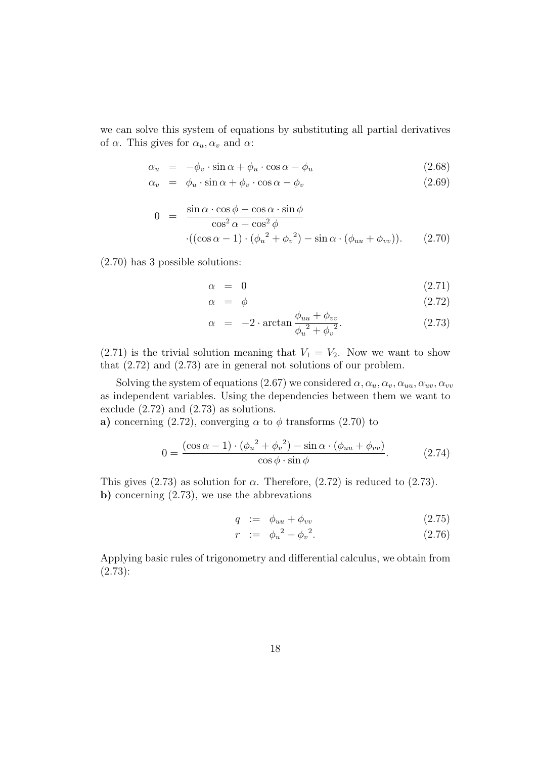we can solve this system of equations by substituting all partial derivatives of  $\alpha$ . This gives for  $\alpha_u, \alpha_v$  and  $\alpha$ :

$$
\alpha_u = -\phi_v \cdot \sin \alpha + \phi_u \cdot \cos \alpha - \phi_u \tag{2.68}
$$

$$
\alpha_v = \phi_u \cdot \sin \alpha + \phi_v \cdot \cos \alpha - \phi_v \tag{2.69}
$$

$$
0 = \frac{\sin \alpha \cdot \cos \phi - \cos \alpha \cdot \sin \phi}{\cos^2 \alpha - \cos^2 \phi}
$$

$$
\cdot ((\cos \alpha - 1) \cdot (\phi_u^2 + \phi_v^2) - \sin \alpha \cdot (\phi_{uu} + \phi_{vv})) \qquad (2.70)
$$

(2.70) has 3 possible solutions:

$$
\alpha = 0 \tag{2.71}
$$

$$
\alpha = \phi \tag{2.72}
$$

$$
\alpha = -2 \cdot \arctan \frac{\phi_{uu} + \phi_{vv}}{\phi_u^2 + \phi_v^2}.
$$
 (2.73)

 $(2.71)$  is the trivial solution meaning that  $V_1 = V_2$ . Now we want to show that (2.72) and (2.73) are in general not solutions of our problem.

Solving the system of equations (2.67) we considered  $\alpha, \alpha_u, \alpha_v, \alpha_{uu}, \alpha_{uv}, \alpha_{vv}$ as independent variables. Using the dependencies between them we want to exclude (2.72) and (2.73) as solutions.

**a)** concerning (2.72), converging  $\alpha$  to  $\phi$  transforms (2.70) to

$$
0 = \frac{(\cos \alpha - 1) \cdot (\phi_u^2 + \phi_v^2) - \sin \alpha \cdot (\phi_{uu} + \phi_{vv})}{\cos \phi \cdot \sin \phi}.
$$
 (2.74)

This gives  $(2.73)$  as solution for  $\alpha$ . Therefore,  $(2.72)$  is reduced to  $(2.73)$ . **b)** concerning (2.73), we use the abbrevations

$$
q \quad := \quad \phi_{uu} + \phi_{vv} \tag{2.75}
$$

$$
r := \phi_u^2 + \phi_v^2. \tag{2.76}
$$

Applying basic rules of trigonometry and differential calculus, we obtain from (2.73):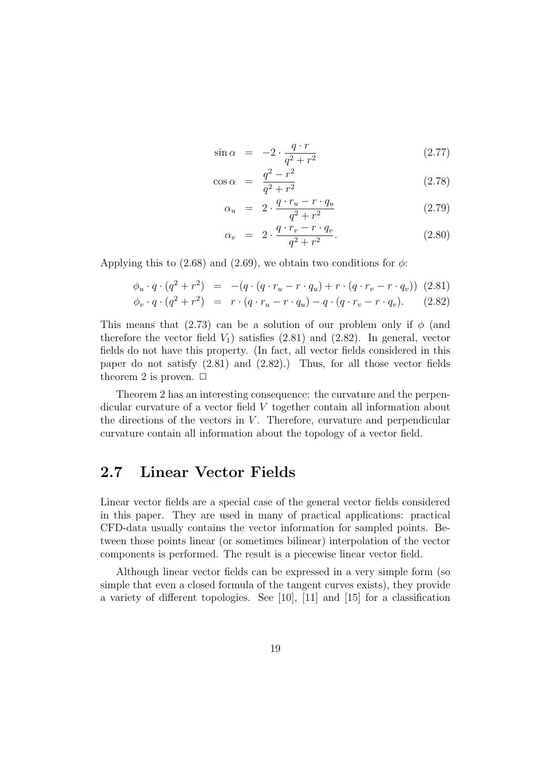$$
\sin \alpha = -2 \cdot \frac{q \cdot r}{q^2 + r^2} \tag{2.77}
$$

$$
\cos \alpha = \frac{q^2 - r^2}{q^2 + r^2} \tag{2.78}
$$

$$
\alpha_u = 2 \cdot \frac{q \cdot r_u - r \cdot q_u}{q^2 + r^2} \tag{2.79}
$$

$$
\alpha_v = 2 \cdot \frac{q \cdot r_v - r \cdot q_v}{q^2 + r^2}.
$$
\n(2.80)

Applying this to (2.68) and (2.69), we obtain two conditions for  $\phi$ :

$$
\phi_u \cdot q \cdot (q^2 + r^2) = -(q \cdot (q \cdot r_u - r \cdot q_u) + r \cdot (q \cdot r_v - r \cdot q_v)) \tag{2.81}
$$

$$
\phi_v \cdot q \cdot (q^2 + r^2) = r \cdot (q \cdot r_u - r \cdot q_u) - q \cdot (q \cdot r_v - r \cdot q_v). \tag{2.82}
$$

This means that (2.73) can be a solution of our problem only if  $\phi$  (and therefore the vector field  $V_1$ ) satisfies (2.81) and (2.82). In general, vector fields do not have this property. (In fact, all vector fields considered in this paper do not satisfy (2.81) and (2.82).) Thus, for all those vector fields theorem 2 is proven.  $\Box$ 

Theorem 2 has an interesting consequence: the curvature and the perpendicular curvature of a vector field V together contain all information about the directions of the vectors in  $V$ . Therefore, curvature and perpendicular curvature contain all information about the topology of a vector field.

## **2.7 Linear Vector Fields**

Linear vector fields are a special case of the general vector fields considered in this paper. They are used in many of practical applications: practical CFD-data usually contains the vector information for sampled points. Between those points linear (or sometimes bilinear) interpolation of the vector components is performed. The result is a piecewise linear vector field.

Although linear vector fields can be expressed in a very simple form (so simple that even a closed formula of the tangent curves exists), they provide a variety of different topologies. See [10], [11] and [15] for a classification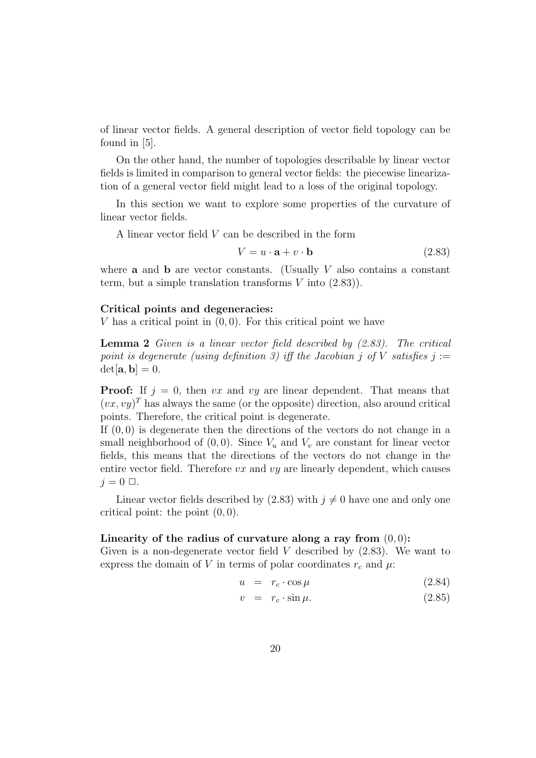of linear vector fields. A general description of vector field topology can be found in [5].

On the other hand, the number of topologies describable by linear vector fields is limited in comparison to general vector fields: the piecewise linearization of a general vector field might lead to a loss of the original topology.

In this section we want to explore some properties of the curvature of linear vector fields.

A linear vector field V can be described in the form

$$
V = u \cdot \mathbf{a} + v \cdot \mathbf{b} \tag{2.83}
$$

where **a** and **b** are vector constants. (Usually  $V$  also contains a constant term, but a simple translation transforms  $V$  into  $(2.83)$ ).

#### **Critical points and degeneracies:**

V has a critical point in  $(0, 0)$ . For this critical point we have

**Lemma 2** Given is a linear vector field described by (2.83). The critical point is degenerate (using definition 3) iff the Jacobian j of V satisfies  $j :=$  $det[\mathbf{a}, \mathbf{b}]=0.$ 

**Proof:** If  $j = 0$ , then vx and vy are linear dependent. That means that  $(vx, vy)^T$  has always the same (or the opposite) direction, also around critical points. Therefore, the critical point is degenerate.

If  $(0, 0)$  is degenerate then the directions of the vectors do not change in a small neighborhood of  $(0, 0)$ . Since  $V_u$  and  $V_v$  are constant for linear vector fields, this means that the directions of the vectors do not change in the entire vector field. Therefore  $vx$  and  $vy$  are linearly dependent, which causes  $j = 0 \Box$ .

Linear vector fields described by (2.83) with  $j \neq 0$  have one and only one critical point: the point  $(0, 0)$ .

### Linearity of the radius of curvature along a ray from  $(0, 0)$ :

Given is a non-degenerate vector field  $V$  described by  $(2.83)$ . We want to express the domain of V in terms of polar coordinates  $r_c$  and  $\mu$ .

$$
u = r_c \cdot \cos \mu \tag{2.84}
$$

$$
v = r_c \cdot \sin \mu. \tag{2.85}
$$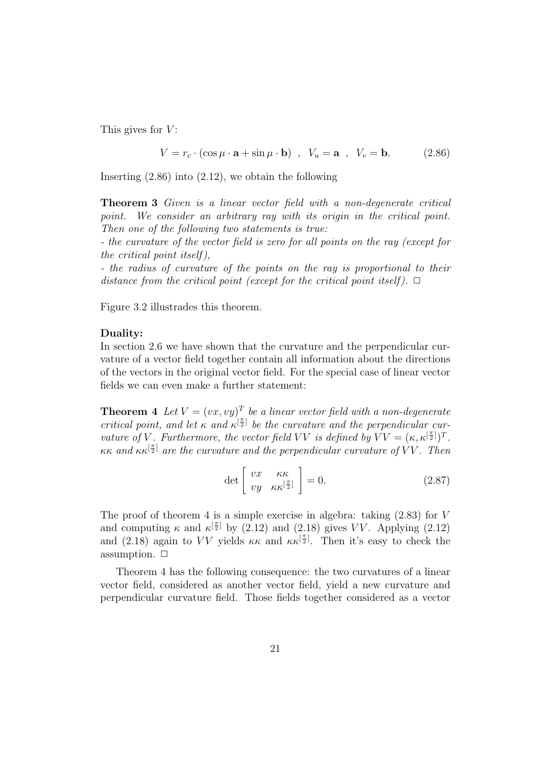This gives for  $V$ :

$$
V = r_c \cdot (\cos \mu \cdot \mathbf{a} + \sin \mu \cdot \mathbf{b}) \quad , \quad V_u = \mathbf{a} \quad , \quad V_v = \mathbf{b}. \tag{2.86}
$$

Inserting (2.86) into (2.12), we obtain the following

**Theorem 3** Given is a linear vector field with a non-degenerate critical point. We consider an arbitrary ray with its origin in the critical point. Then one of the following two statements is true:

- the curvature of the vector field is zero for all points on the ray (except for the critical point itself ),

- the radius of curvature of the points on the ray is proportional to their distance from the critical point (except for the critical point itself).  $\Box$ 

Figure 3.2 illustrades this theorem.

#### **Duality:**

In section 2.6 we have shown that the curvature and the perpendicular curvature of a vector field together contain all information about the directions of the vectors in the original vector field. For the special case of linear vector fields we can even make a further statement:

**Theorem 4** Let  $V = (vx, vy)^T$  be a linear vector field with a non-degenerate critical point, and let  $\kappa$  and  $\kappa^{[\frac{\pi}{2}]}$  be the curvature and the perpendicular curvature of V. Furthermore, the vector field VV is defined by  $\overline{VV} = (\kappa, \kappa^{[\frac{\pi}{2}]})^T$ . κκ and  $\kappa \kappa^{[\frac{\pi}{2}]}$  are the curvature and the perpendicular curvature of VV. Then

$$
\det \left[ \begin{array}{cc} vx & \kappa \kappa \\ vy & \kappa \kappa^{\left[\frac{\pi}{2}\right]} \end{array} \right] = 0. \tag{2.87}
$$

The proof of theorem 4 is a simple exercise in algebra: taking  $(2.83)$  for V and computing  $\kappa$  and  $\kappa^{[\frac{\pi}{2}]}$  by (2.12) and (2.18) gives VV. Applying (2.12) and (2.18) again to VV yields  $\kappa \kappa$  and  $\kappa \kappa^{[\frac{\pi}{2}]}$ . Then it's easy to check the assumption.  $\Box$ 

Theorem 4 has the following consequence: the two curvatures of a linear vector field, considered as another vector field, yield a new curvature and perpendicular curvature field. Those fields together considered as a vector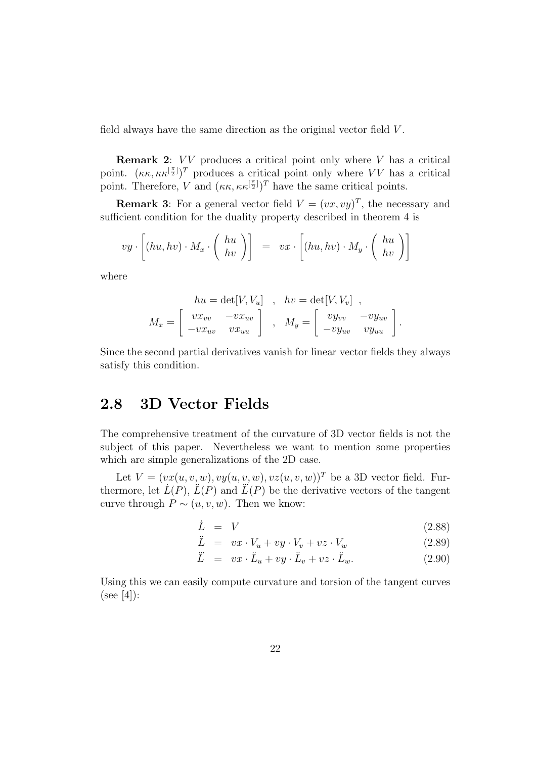field always have the same direction as the original vector field V .

**Remark 2:** VV produces a critical point only where V has a critical point.  $(\kappa \kappa, \kappa \kappa^{[\frac{\pi}{2}]})^T$  produces a critical point only where VV has a critical point. Therefore, V and  $(\kappa \kappa, \kappa \kappa^{\left[\frac{\pi}{2}\right]})^T$  have the same critical points.

**Remark 3**: For a general vector field  $V = (vx, vy)^T$ , the necessary and sufficient condition for the duality property described in theorem 4 is

$$
vy \cdot \left[ (hu, hv) \cdot M_x \cdot \left( \begin{array}{c} hu \\ hv \end{array} \right) \right] = vx \cdot \left[ (hu, hv) \cdot M_y \cdot \left( \begin{array}{c} hu \\ hv \end{array} \right) \right]
$$

where

$$
hu = \det[V, V_u] , hv = \det[V, V_v] ,
$$
  

$$
M_x = \begin{bmatrix} vx_{vv} & -vx_{uv} \\ -vx_{uv} & vx_{uu} \end{bmatrix} , M_y = \begin{bmatrix} vy_{vv} & -vy_{uv} \\ -vy_{uv} & vy_{uu} \end{bmatrix}.
$$

Since the second partial derivatives vanish for linear vector fields they always satisfy this condition.

### **2.8 3D Vector Fields**

The comprehensive treatment of the curvature of 3D vector fields is not the subject of this paper. Nevertheless we want to mention some properties which are simple generalizations of the 2D case.

Let  $V = (vx(u, v, w), vy(u, v, w), vz(u, v, w))^T$  be a 3D vector field. Furthermore, let  $\dot{L}(P)$ ,  $\ddot{L}(P)$  and  $\ddot{L}(P)$  be the derivative vectors of the tangent curve through  $P \sim (u, v, w)$ . Then we know:

$$
\dot{L} = V \tag{2.88}
$$

$$
\ddot{L} = vx \cdot V_u + vy \cdot V_v + vz \cdot V_w \tag{2.89}
$$

$$
\ddot{L} = vx \cdot \ddot{L}_u + vy \cdot \ddot{L}_v + vz \cdot \ddot{L}_w. \tag{2.90}
$$

Using this we can easily compute curvature and torsion of the tangent curves  $(see [4])$ :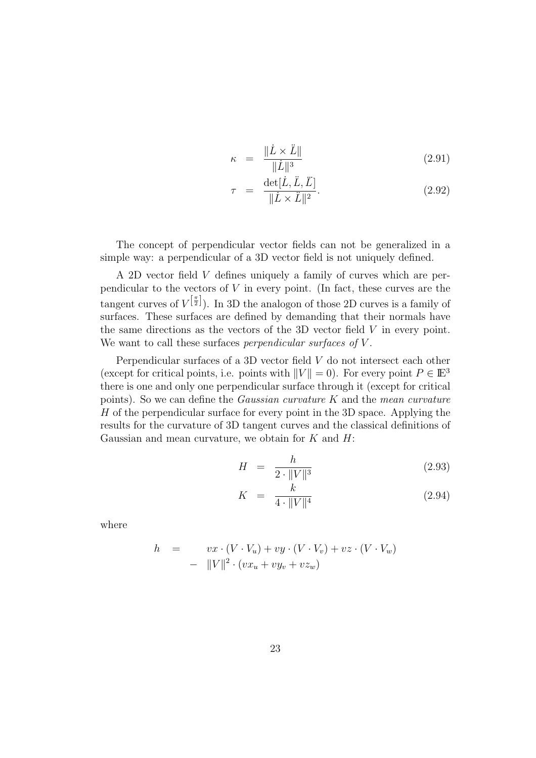$$
\kappa = \frac{\|\dot{L} \times \ddot{L}\|}{\|\dot{L}\|^3} \tag{2.91}
$$

$$
\tau = \frac{\det[\dot{L}, \ddot{L}, \ddot{L}]}{\|\dot{L} \times \ddot{L}\|^2}.
$$
\n(2.92)

The concept of perpendicular vector fields can not be generalized in a simple way: a perpendicular of a 3D vector field is not uniquely defined.

A 2D vector field V defines uniquely a family of curves which are perpendicular to the vectors of  $V$  in every point. (In fact, these curves are the tangent curves of  $V^{\left[\frac{\pi}{2}\right]}$ . In 3D the analogon of those 2D curves is a family of surfaces. These surfaces are defined by demanding that their normals have the same directions as the vectors of the 3D vector field  $V$  in every point. We want to call these surfaces *perpendicular surfaces of V*.

Perpendicular surfaces of a 3D vector field V do not intersect each other (except for critical points, i.e. points with  $||V|| = 0$ ). For every point  $P \in \mathbb{E}^{3}$ there is one and only one perpendicular surface through it (except for critical points). So we can define the *Gaussian curvature*  $K$  and the *mean curvature* H of the perpendicular surface for every point in the 3D space. Applying the results for the curvature of 3D tangent curves and the classical definitions of Gaussian and mean curvature, we obtain for  $K$  and  $H$ :

$$
H = \frac{h}{2 \cdot \|V\|^3} \tag{2.93}
$$

$$
K = \frac{k}{4 \cdot \|V\|^4} \tag{2.94}
$$

where

$$
h = vx \cdot (V \cdot V_u) + vy \cdot (V \cdot V_v) + vz \cdot (V \cdot V_w)
$$
  
- 
$$
||V||^2 \cdot (vx_u + vy_v + vz_w)
$$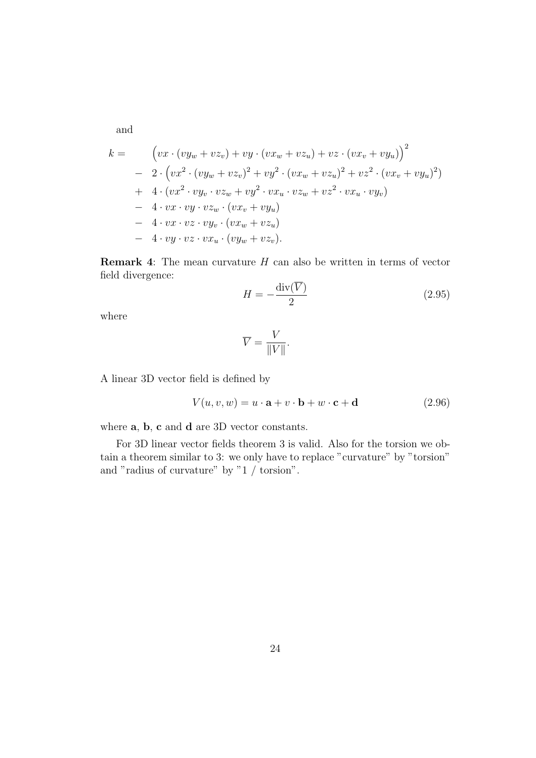and

$$
k = \left( vx \cdot (vy_w + vz_v) + vy \cdot (vx_w + vz_u) + vz \cdot (vx_v + vy_u) \right)^2
$$
  
\n
$$
- 2 \cdot \left( vx^2 \cdot (vy_w + vz_v)^2 + vy^2 \cdot (vx_w + vz_u)^2 + vz^2 \cdot (vx_v + vy_u)^2 \right)
$$
  
\n
$$
+ 4 \cdot (vx^2 \cdot vy_v \cdot vz_w + vy^2 \cdot vx_u \cdot vz_w + vz^2 \cdot vx_u \cdot vy_v)
$$
  
\n
$$
- 4 \cdot vx \cdot vy \cdot vz_w \cdot (vx_v + vy_u)
$$
  
\n
$$
- 4 \cdot vx \cdot vz \cdot vy_v \cdot (vx_w + vz_u)
$$
  
\n
$$
- 4 \cdot vy \cdot vz \cdot vx_u \cdot (vy_w + vz_v).
$$

**Remark 4**: The mean curvature H can also be written in terms of vector field divergence:

$$
H = -\frac{\operatorname{div}(\overline{V})}{2} \tag{2.95}
$$

where

$$
\overline{V} = \frac{V}{\|V\|}.
$$

A linear 3D vector field is defined by

$$
V(u, v, w) = u \cdot \mathbf{a} + v \cdot \mathbf{b} + w \cdot \mathbf{c} + \mathbf{d}
$$
 (2.96)

where **a**, **b**, **c** and **d** are 3D vector constants.

For 3D linear vector fields theorem 3 is valid. Also for the torsion we obtain a theorem similar to 3: we only have to replace "curvature" by "torsion" and "radius of curvature" by " $1 / t$ orsion".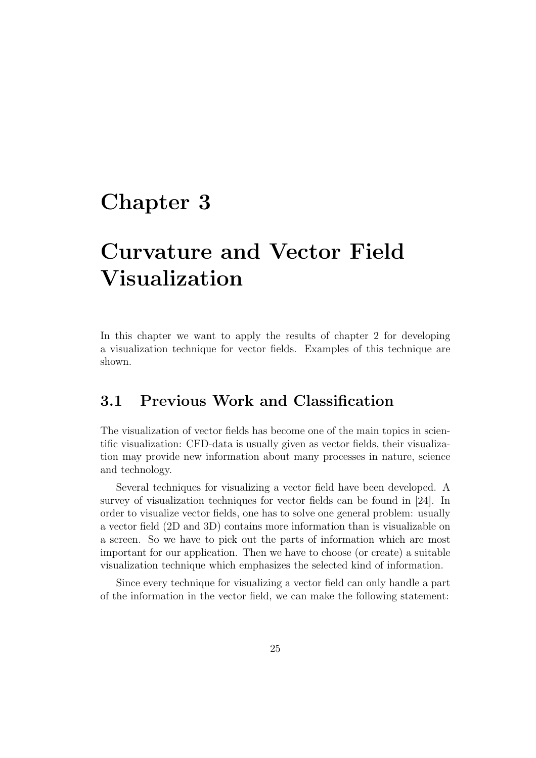# **Chapter 3**

# **Curvature and Vector Field Visualization**

In this chapter we want to apply the results of chapter 2 for developing a visualization technique for vector fields. Examples of this technique are shown.

## **3.1 Previous Work and Classification**

The visualization of vector fields has become one of the main topics in scientific visualization: CFD-data is usually given as vector fields, their visualization may provide new information about many processes in nature, science and technology.

Several techniques for visualizing a vector field have been developed. A survey of visualization techniques for vector fields can be found in [24]. In order to visualize vector fields, one has to solve one general problem: usually a vector field (2D and 3D) contains more information than is visualizable on a screen. So we have to pick out the parts of information which are most important for our application. Then we have to choose (or create) a suitable visualization technique which emphasizes the selected kind of information.

Since every technique for visualizing a vector field can only handle a part of the information in the vector field, we can make the following statement: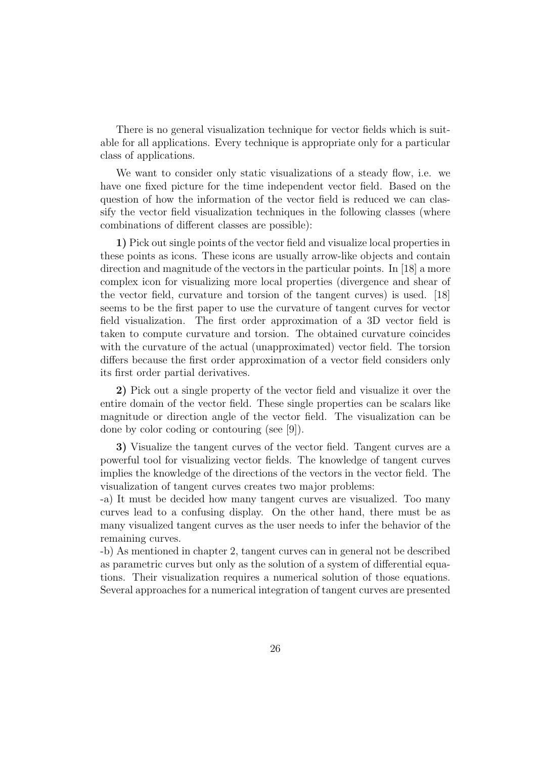There is no general visualization technique for vector fields which is suitable for all applications. Every technique is appropriate only for a particular class of applications.

We want to consider only static visualizations of a steady flow, i.e. we have one fixed picture for the time independent vector field. Based on the question of how the information of the vector field is reduced we can classify the vector field visualization techniques in the following classes (where combinations of different classes are possible):

**1)** Pick out single points of the vector field and visualize local properties in these points as icons. These icons are usually arrow-like objects and contain direction and magnitude of the vectors in the particular points. In [18] a more complex icon for visualizing more local properties (divergence and shear of the vector field, curvature and torsion of the tangent curves) is used. [18] seems to be the first paper to use the curvature of tangent curves for vector field visualization. The first order approximation of a 3D vector field is taken to compute curvature and torsion. The obtained curvature coincides with the curvature of the actual (unapproximated) vector field. The torsion differs because the first order approximation of a vector field considers only its first order partial derivatives.

**2)** Pick out a single property of the vector field and visualize it over the entire domain of the vector field. These single properties can be scalars like magnitude or direction angle of the vector field. The visualization can be done by color coding or contouring (see [9]).

**3)** Visualize the tangent curves of the vector field. Tangent curves are a powerful tool for visualizing vector fields. The knowledge of tangent curves implies the knowledge of the directions of the vectors in the vector field. The visualization of tangent curves creates two major problems:

-a) It must be decided how many tangent curves are visualized. Too many curves lead to a confusing display. On the other hand, there must be as many visualized tangent curves as the user needs to infer the behavior of the remaining curves.

-b) As mentioned in chapter 2, tangent curves can in general not be described as parametric curves but only as the solution of a system of differential equations. Their visualization requires a numerical solution of those equations. Several approaches for a numerical integration of tangent curves are presented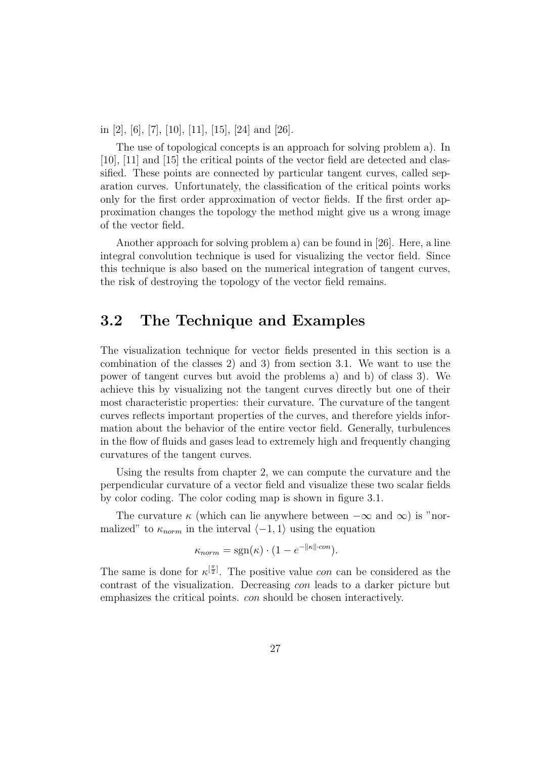in [2], [6], [7], [10], [11], [15], [24] and [26].

The use of topological concepts is an approach for solving problem a). In [10], [11] and [15] the critical points of the vector field are detected and classified. These points are connected by particular tangent curves, called separation curves. Unfortunately, the classification of the critical points works only for the first order approximation of vector fields. If the first order approximation changes the topology the method might give us a wrong image of the vector field.

Another approach for solving problem a) can be found in [26]. Here, a line integral convolution technique is used for visualizing the vector field. Since this technique is also based on the numerical integration of tangent curves, the risk of destroying the topology of the vector field remains.

## **3.2 The Technique and Examples**

The visualization technique for vector fields presented in this section is a combination of the classes 2) and 3) from section 3.1. We want to use the power of tangent curves but avoid the problems a) and b) of class 3). We achieve this by visualizing not the tangent curves directly but one of their most characteristic properties: their curvature. The curvature of the tangent curves reflects important properties of the curves, and therefore yields information about the behavior of the entire vector field. Generally, turbulences in the flow of fluids and gases lead to extremely high and frequently changing curvatures of the tangent curves.

Using the results from chapter 2, we can compute the curvature and the perpendicular curvature of a vector field and visualize these two scalar fields by color coding. The color coding map is shown in figure 3.1.

The curvature  $\kappa$  (which can lie anywhere between  $-\infty$  and  $\infty$ ) is "normalized" to  $\kappa_{norm}$  in the interval  $\langle -1, 1 \rangle$  using the equation

$$
\kappa_{norm} = \text{sgn}(\kappa) \cdot (1 - e^{-\|\kappa\| \cdot con}).
$$

The same is done for  $\kappa^{[\frac{\pi}{2}]}$ . The positive value *con* can be considered as the contrast of the visualization. Decreasing con leads to a darker picture but emphasizes the critical points. con should be chosen interactively.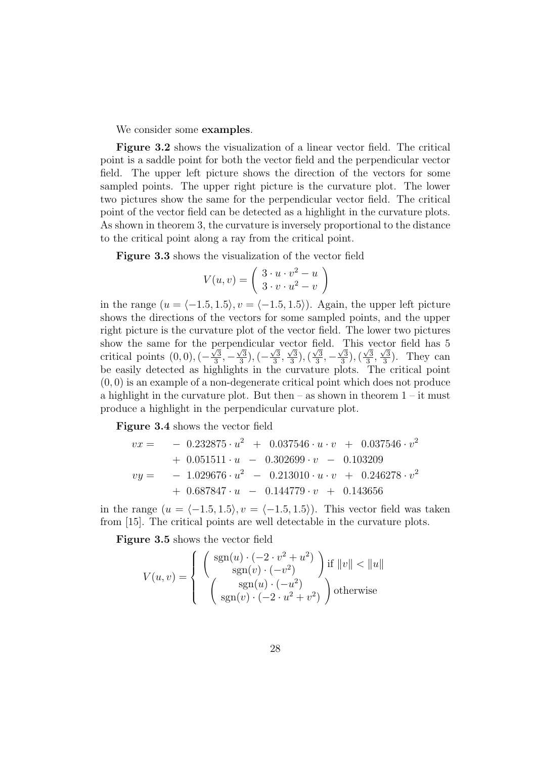We consider some **examples**.

**Figure 3.2** shows the visualization of a linear vector field. The critical point is a saddle point for both the vector field and the perpendicular vector field. The upper left picture shows the direction of the vectors for some sampled points. The upper right picture is the curvature plot. The lower two pictures show the same for the perpendicular vector field. The critical point of the vector field can be detected as a highlight in the curvature plots. As shown in theorem 3, the curvature is inversely proportional to the distance to the critical point along a ray from the critical point.

**Figure 3.3** shows the visualization of the vector field

$$
V(u,v) = \left(\begin{array}{c} 3 \cdot u \cdot v^2 - u \\ 3 \cdot v \cdot u^2 - v \end{array}\right)
$$

in the range  $(u = \langle -1.5, 1.5 \rangle, v = \langle -1.5, 1.5 \rangle)$ . Again, the upper left picture shows the directions of the vectors for some sampled points, and the upper right picture is the curvature plot of the vector field. The lower two pictures show the same for the perpendicular vector field. This vector field has 5 critical points  $(0, 0), (-\frac{\sqrt{3}}{3}, -\frac{\sqrt{3}}{3}), (-\frac{\sqrt{3}}{3}, \frac{\sqrt{3}}{3}), (\frac{\sqrt{3}}{3}, -\frac{\sqrt{3}}{3}), (\frac{\sqrt{3}}{3}, \frac{\sqrt{3}}{3})$ . They can be easily detected as highlights in the curvature plots. The critical point  $(0, 0)$  is an example of a non-degenerate critical point which does not produce a highlight in the curvature plot. But then  $-$  as shown in theorem  $1 - it$  must produce a highlight in the perpendicular curvature plot.

**Figure 3.4** shows the vector field

$$
vx = -0.232875 \cdot u^{2} + 0.037546 \cdot u \cdot v + 0.037546 \cdot v^{2}
$$
  
+ 0.051511 \cdot u - 0.302699 \cdot v - 0.103209  

$$
vy = -1.029676 \cdot u^{2} - 0.213010 \cdot u \cdot v + 0.246278 \cdot v^{2}
$$
  
+ 0.687847 \cdot u - 0.144779 \cdot v + 0.143656

in the range  $(u = \langle -1.5, 1.5 \rangle, v = \langle -1.5, 1.5 \rangle)$ . This vector field was taken from [15]. The critical points are well detectable in the curvature plots.

**Figure 3.5** shows the vector field

$$
V(u, v) = \begin{cases} \begin{pmatrix} \text{sgn}(u) \cdot (-2 \cdot v^2 + u^2) \\ \text{sgn}(v) \cdot (-v^2) \end{pmatrix} \text{if } ||v|| < ||u|| \\ \begin{pmatrix} \text{sgn}(u) \cdot (-u^2) \\ \text{sgn}(v) \cdot (-2 \cdot u^2 + v^2) \end{pmatrix} \text{otherwise} \end{cases}
$$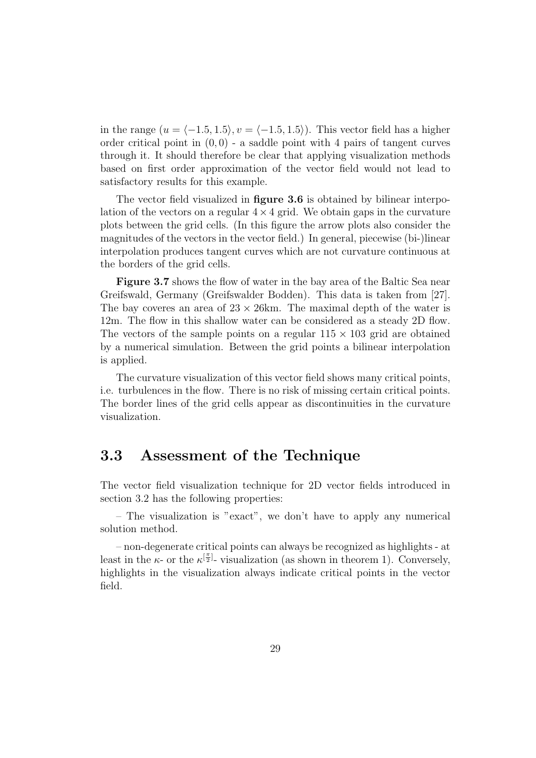in the range  $(u = \langle -1.5, 1.5 \rangle, v = \langle -1.5, 1.5 \rangle)$ . This vector field has a higher order critical point in  $(0, 0)$  - a saddle point with 4 pairs of tangent curves through it. It should therefore be clear that applying visualization methods based on first order approximation of the vector field would not lead to satisfactory results for this example.

The vector field visualized in **figure 3.6** is obtained by bilinear interpolation of the vectors on a regular  $4 \times 4$  grid. We obtain gaps in the curvature plots between the grid cells. (In this figure the arrow plots also consider the magnitudes of the vectors in the vector field.) In general, piecewise (bi-)linear interpolation produces tangent curves which are not curvature continuous at the borders of the grid cells.

**Figure 3.7** shows the flow of water in the bay area of the Baltic Sea near Greifswald, Germany (Greifswalder Bodden). This data is taken from [27]. The bay coveres an area of  $23 \times 26$ km. The maximal depth of the water is 12m. The flow in this shallow water can be considered as a steady 2D flow. The vectors of the sample points on a regular  $115 \times 103$  grid are obtained by a numerical simulation. Between the grid points a bilinear interpolation is applied.

The curvature visualization of this vector field shows many critical points, i.e. turbulences in the flow. There is no risk of missing certain critical points. The border lines of the grid cells appear as discontinuities in the curvature visualization.

### **3.3 Assessment of the Technique**

The vector field visualization technique for 2D vector fields introduced in section 3.2 has the following properties:

– The visualization is "exact", we don't have to apply any numerical solution method.

– non-degenerate critical points can always be recognized as highlights - at least in the  $\kappa$ - or the  $\kappa^{[\frac{\pi}{2}]}$ - visualization (as shown in theorem 1). Conversely, highlights in the visualization always indicate critical points in the vector field.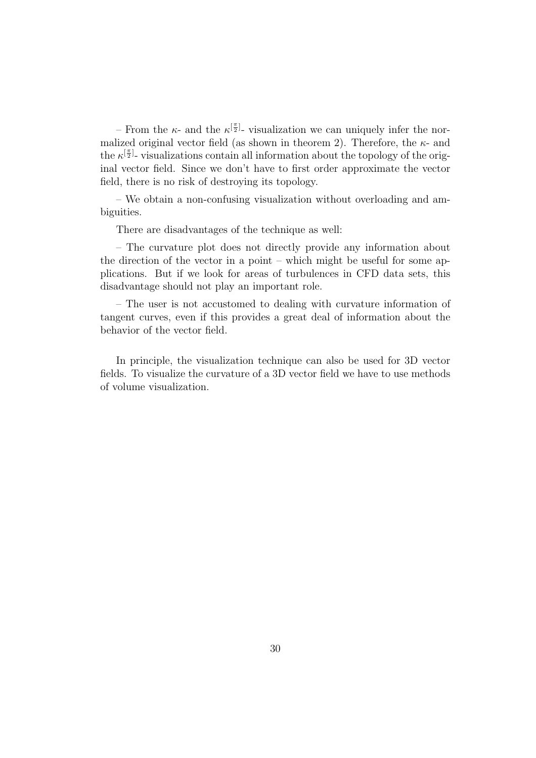– From the  $\kappa$ - and the  $\kappa^{[\frac{\pi}{2}]}$ - visualization we can uniquely infer the normalized original vector field (as shown in theorem 2). Therefore, the  $\kappa$ - and the  $\kappa^{[\frac{\pi}{2}]}$ - visualizations contain all information about the topology of the original vector field. Since we don't have to first order approximate the vector field, there is no risk of destroying its topology.

– We obtain a non-confusing visualization without overloading and ambiguities.

There are disadvantages of the technique as well:

– The curvature plot does not directly provide any information about the direction of the vector in a point – which might be useful for some applications. But if we look for areas of turbulences in CFD data sets, this disadvantage should not play an important role.

– The user is not accustomed to dealing with curvature information of tangent curves, even if this provides a great deal of information about the behavior of the vector field.

In principle, the visualization technique can also be used for 3D vector fields. To visualize the curvature of a 3D vector field we have to use methods of volume visualization.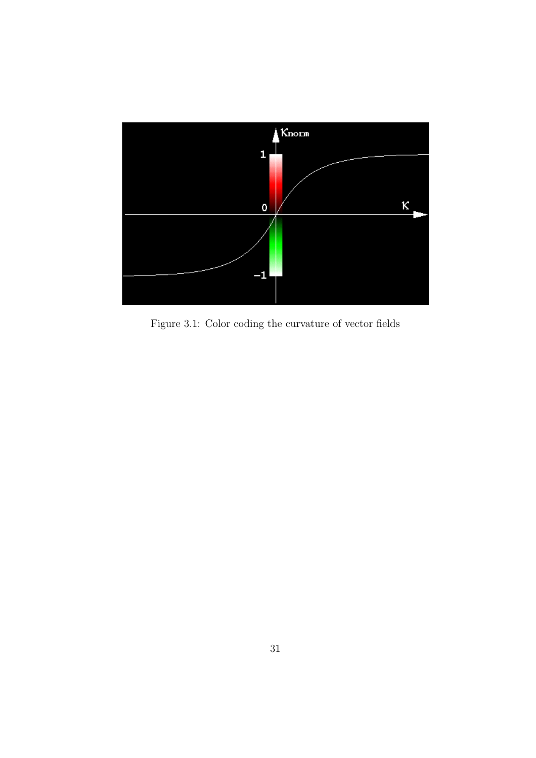

Figure 3.1: Color coding the curvature of vector fields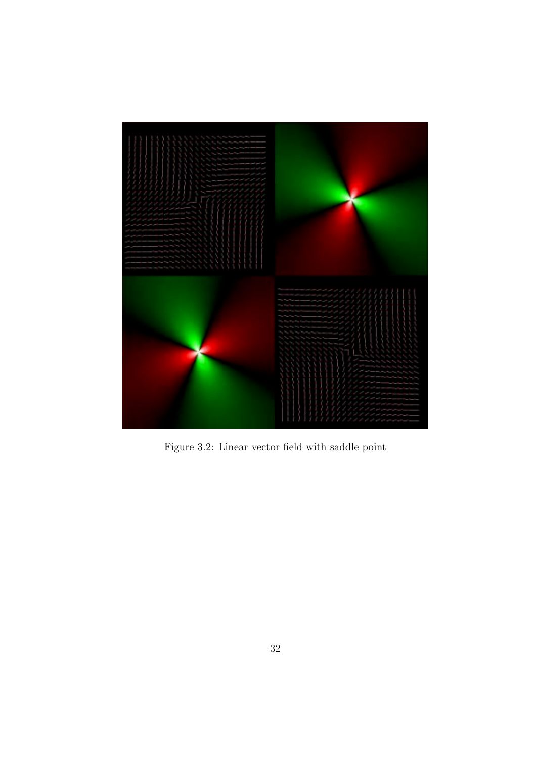

Figure 3.2: Linear vector field with saddle point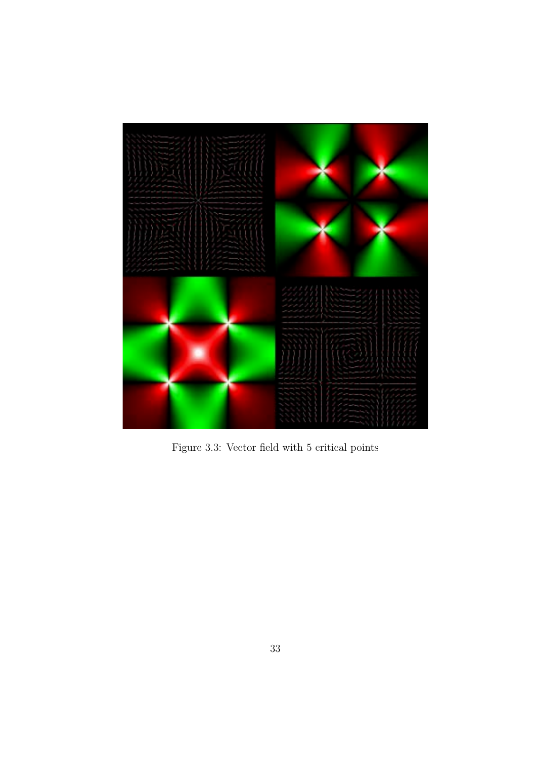

Figure 3.3: Vector field with 5 critical points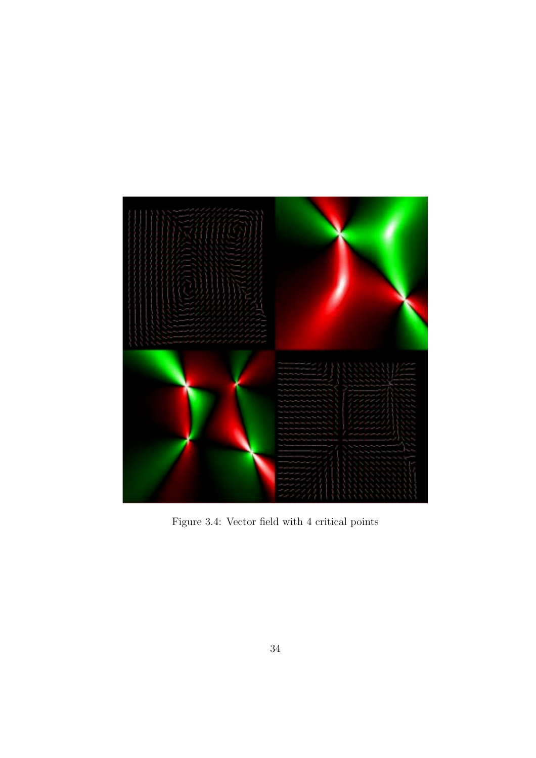

Figure 3.4: Vector field with 4 critical points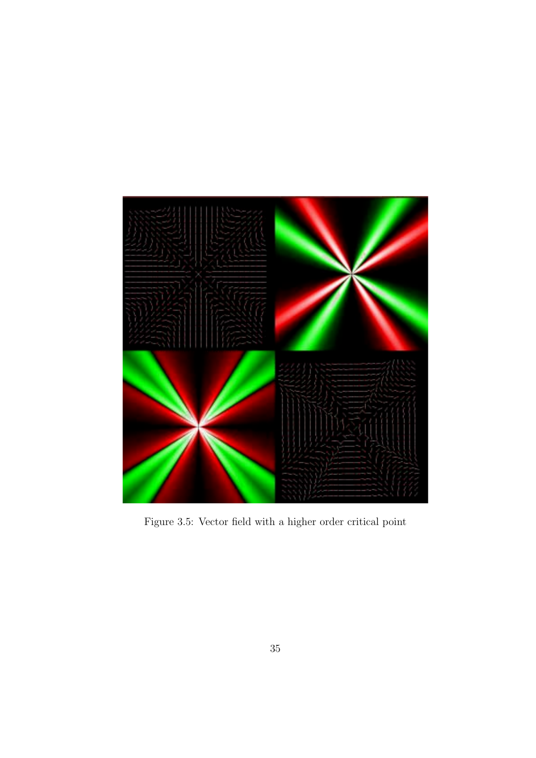

Figure 3.5: Vector field with a higher order critical point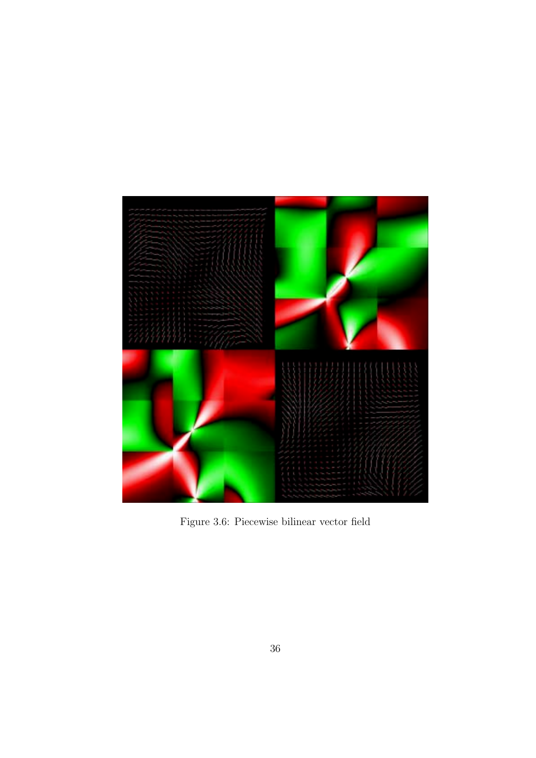

Figure 3.6: Piecewise bilinear vector field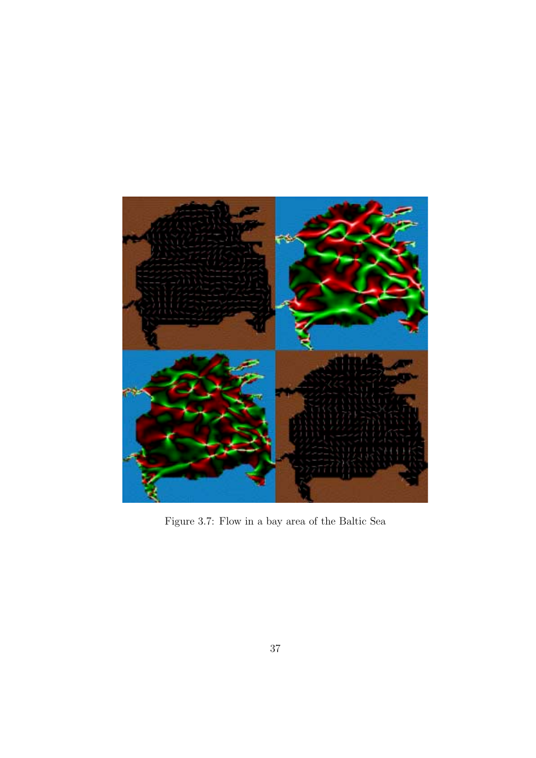

Figure 3.7: Flow in a bay area of the Baltic Sea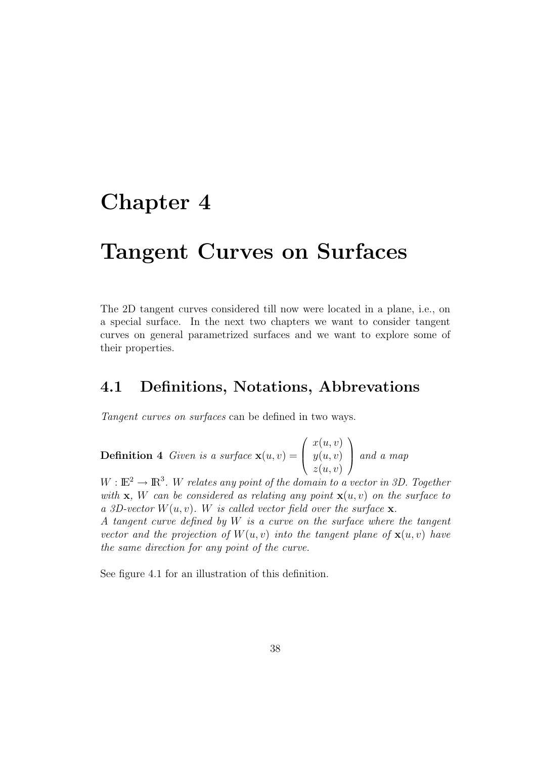# **Chapter 4**

# **Tangent Curves on Surfaces**

The 2D tangent curves considered till now were located in a plane, i.e., on a special surface. In the next two chapters we want to consider tangent curves on general parametrized surfaces and we want to explore some of their properties.

## **4.1 Definitions, Notations, Abbrevations**

Tangent curves on surfaces can be defined in two ways.

**Definition 4** Given is a surface  $\mathbf{x}(u, v) =$  $\sqrt{ }$  $\overline{\mathcal{L}}$  $x(u, v)$  $y(u, v)$  $z(u, v)$  $\setminus$ and a map

 $W: \mathbb{E}^2 \to \mathbb{R}^3$ . W relates any point of the domain to a vector in 3D. Together with **x**, W can be considered as relating any point  $\mathbf{x}(u, v)$  on the surface to a 3D-vector  $W(u, v)$ . W is called vector field over the surface **x**. A tangent curve defined by W is a curve on the surface where the tangent vector and the projection of  $W(u, v)$  into the tangent plane of  $\mathbf{x}(u, v)$  have the same direction for anypoint of the curve.

See figure 4.1 for an illustration of this definition.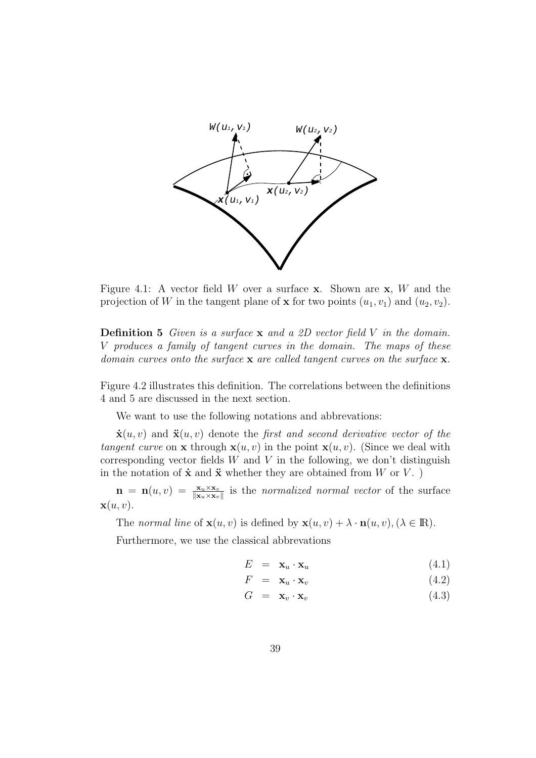

Figure 4.1: A vector field W over a surface **x**. Shown are **x**, W and the projection of W in the tangent plane of **x** for two points  $(u_1, v_1)$  and  $(u_2, v_2)$ .

**Definition 5** Given is a surface **x** and a 2D vector field V in the domain. V produces a family of tangent curves in the domain. The maps of these domain curves onto the surface **x** are called tangent curves on the surface **x**.

Figure 4.2 illustrates this definition. The correlations between the definitions 4 and 5 are discussed in the next section.

We want to use the following notations and abbrevations:

 $\dot{\mathbf{x}}(u, v)$  and  $\ddot{\mathbf{x}}(u, v)$  denote the *first and second derivative vector of the* tangent curve on **x** through  $\mathbf{x}(u, v)$  in the point  $\mathbf{x}(u, v)$ . (Since we deal with corresponding vector fields  $W$  and  $V$  in the following, we don't distinguish in the notation of  $\dot{\mathbf{x}}$  and  $\ddot{\mathbf{x}}$  whether they are obtained from W or V. )

 $\mathbf{n} = \mathbf{n}(u, v) = \frac{\mathbf{x}_u \times \mathbf{x}_v}{\|\mathbf{x}_u \times \mathbf{x}_v\|}$  is the normalized normal vector of the surface  $\mathbf{x}(u, v)$ .

The normal line of  $\mathbf{x}(u, v)$  is defined by  $\mathbf{x}(u, v) + \lambda \cdot \mathbf{n}(u, v)$ , ( $\lambda \in \mathbb{R}$ ).

Furthermore, we use the classical abbrevations

$$
E = \mathbf{x}_u \cdot \mathbf{x}_u \tag{4.1}
$$

$$
F = \mathbf{x}_u \cdot \mathbf{x}_v \tag{4.2}
$$

$$
G = \mathbf{x}_v \cdot \mathbf{x}_v \tag{4.3}
$$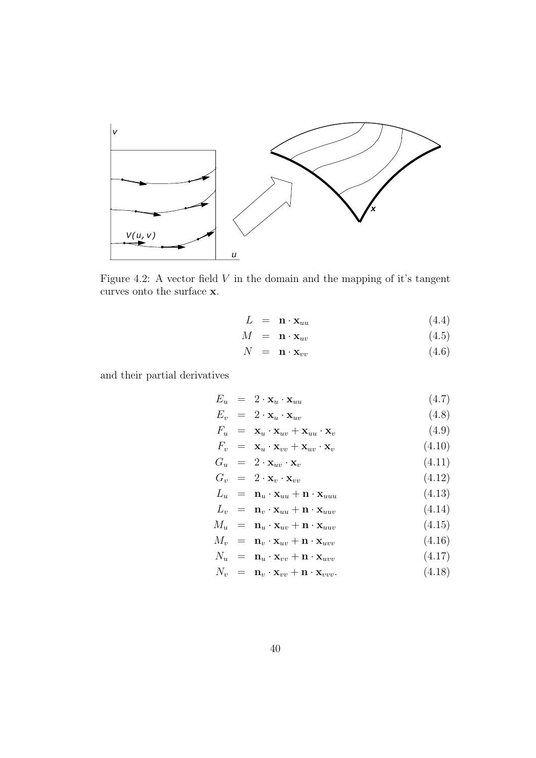

Figure 4.2: A vector field  $V$  in the domain and the mapping of it's tangent curves onto the surface **x**.

$$
L = \mathbf{n} \cdot \mathbf{x}_{uu} \tag{4.4}
$$

$$
M = \mathbf{n} \cdot \mathbf{x}_{uv} \tag{4.5}
$$

$$
N = \mathbf{n} \cdot \mathbf{x}_{vv} \tag{4.6}
$$

and their partial derivatives

$$
E_u = 2 \cdot \mathbf{x}_u \cdot \mathbf{x}_{uu} \tag{4.7}
$$

$$
E_v = 2 \cdot \mathbf{x}_u \cdot \mathbf{x}_{uv} \tag{4.8}
$$

$$
F_u = \mathbf{x}_u \cdot \mathbf{x}_{uv} + \mathbf{x}_{uu} \cdot \mathbf{x}_v \tag{4.9}
$$

$$
F_v = \mathbf{x}_u \cdot \mathbf{x}_{vv} + \mathbf{x}_{uv} \cdot \mathbf{x}_v \tag{4.10}
$$

$$
G_u = 2 \cdot \mathbf{x}_{uv} \cdot \mathbf{x}_v \tag{4.11}
$$

$$
G_v = 2 \cdot \mathbf{x}_v \cdot \mathbf{x}_{vv} \tag{4.12}
$$

$$
L_u = \mathbf{n}_u \cdot \mathbf{x}_{uu} + \mathbf{n} \cdot \mathbf{x}_{uuu} \tag{4.13}
$$

$$
L_v = \mathbf{n}_v \cdot \mathbf{x}_{uu} + \mathbf{n} \cdot \mathbf{x}_{uuv} \tag{4.14}
$$

$$
M_u = \mathbf{n}_u \cdot \mathbf{x}_{uv} + \mathbf{n} \cdot \mathbf{x}_{uuv} \tag{4.15}
$$

$$
M_v = \mathbf{n}_v \cdot \mathbf{x}_{uv} + \mathbf{n} \cdot \mathbf{x}_{uvw} \tag{4.16}
$$

$$
N_u = \mathbf{n}_u \cdot \mathbf{x}_{vv} + \mathbf{n} \cdot \mathbf{x}_{uvw} \tag{4.17}
$$

$$
N_v = \mathbf{n}_v \cdot \mathbf{x}_{vv} + \mathbf{n} \cdot \mathbf{x}_{vvv}.
$$
 (4.18)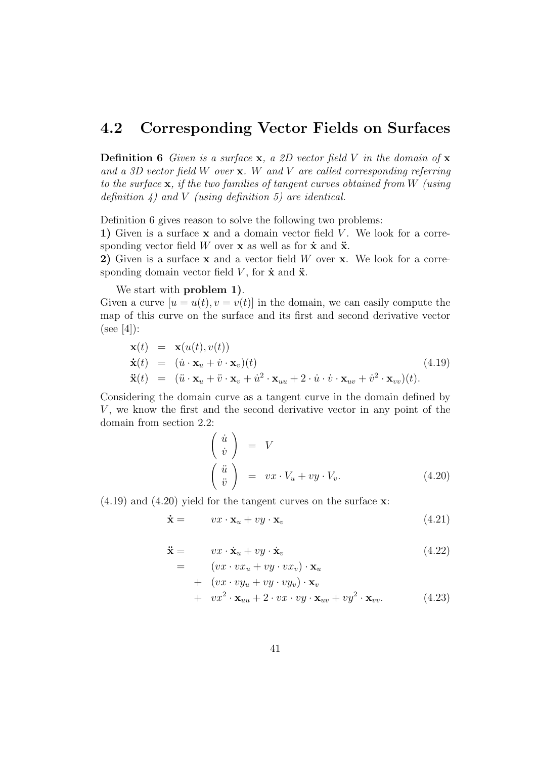## **4.2 Corresponding Vector Fields on Surfaces**

**Definition 6** Given is a surface **x**, a 2D vector field V in the domain of **x** and a 3D vector field W over **x**. W and V are called corresponding referring to the surface **x**, if the two families of tangent curves obtained from W (using definition  $4)$  and V (using definition 5) are identical.

Definition 6 gives reason to solve the following two problems:

**1)** Given is a surface **x** and a domain vector field V. We look for a corresponding vector field W over **x** as well as for  $\dot{\mathbf{x}}$  and  $\ddot{\mathbf{x}}$ .

**2)** Given is a surface **x** and a vector field W over **x**. We look for a corresponding domain vector field  $V$ , for  $\dot{\mathbf{x}}$  and  $\ddot{\mathbf{x}}$ .

We start with **problem 1)**.

Given a curve  $[u = u(t), v = v(t)]$  in the domain, we can easily compute the map of this curve on the surface and its first and second derivative vector  $(see [4]):$ 

$$
\mathbf{x}(t) = \mathbf{x}(u(t), v(t)) \n\dot{\mathbf{x}}(t) = (\dot{u} \cdot \mathbf{x}_u + \dot{v} \cdot \mathbf{x}_v)(t) \n\ddot{\mathbf{x}}(t) = (\ddot{u} \cdot \mathbf{x}_u + \ddot{v} \cdot \mathbf{x}_v + \dot{u}^2 \cdot \mathbf{x}_{uu} + 2 \cdot \dot{u} \cdot \dot{v} \cdot \mathbf{x}_{uv} + \dot{v}^2 \cdot \mathbf{x}_{vv})(t).
$$
\n(4.19)

Considering the domain curve as a tangent curve in the domain defined by  $V$ , we know the first and the second derivative vector in any point of the domain from section 2.2:

$$
\begin{pmatrix}\n\dot{u} \\
\dot{v}\n\end{pmatrix} = V
$$
\n
$$
\begin{pmatrix}\n\ddot{u} \\
\ddot{v}\n\end{pmatrix} = vx \cdot V_u + vy \cdot V_v.
$$
\n(4.20)

(4.19) and (4.20) yield for the tangent curves on the surface **x**:

$$
\dot{\mathbf{x}} = \qquad \mathbf{v}x \cdot \mathbf{x}_u + \mathbf{v}y \cdot \mathbf{x}_v \tag{4.21}
$$

$$
\begin{aligned}\n\ddot{\mathbf{x}} &= \quad v x \cdot \dot{\mathbf{x}}_u + v y \cdot \dot{\mathbf{x}}_v \\
&= \quad (v x \cdot v x + v y \cdot v x) \cdot \mathbf{x}\n\end{aligned} \tag{4.22}
$$

$$
(vx \cdot vx_u + vy \cdot vx_v) \cdot \mathbf{x}_u
$$
  
+ 
$$
(vx \cdot vy_u + vy \cdot vy_v) \cdot \mathbf{x}_v
$$
  
+ 
$$
vx^2 \cdot \mathbf{x}_{uu} + 2 \cdot vx \cdot vy \cdot \mathbf{x}_{uv} + vy^2 \cdot \mathbf{x}_{vv}.
$$
 (4.23)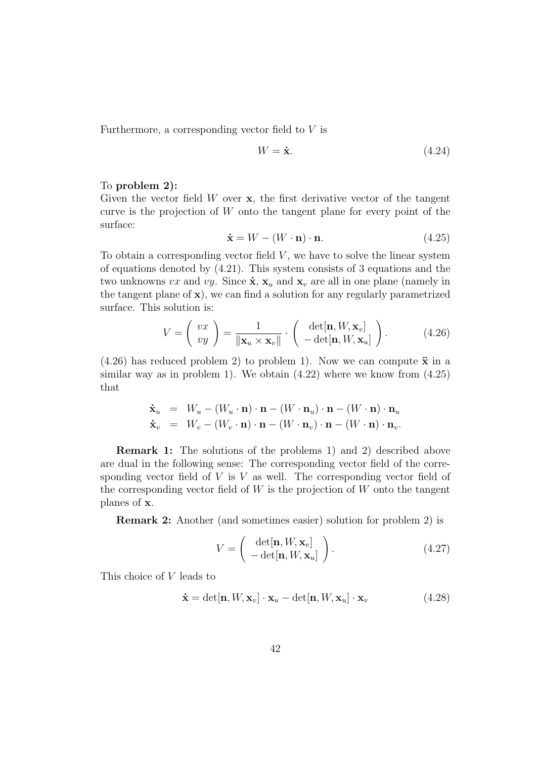Furthermore, a corresponding vector field to V is

$$
W = \dot{\mathbf{x}}.\tag{4.24}
$$

#### To **problem 2):**

Given the vector field W over **x**, the first derivative vector of the tangent curve is the projection of  $W$  onto the tangent plane for every point of the surface:

$$
\dot{\mathbf{x}} = W - (W \cdot \mathbf{n}) \cdot \mathbf{n}.\tag{4.25}
$$

To obtain a corresponding vector field  $V$ , we have to solve the linear system of equations denoted by (4.21). This system consists of 3 equations and the two unknowns vx and vy. Since  $\dot{\mathbf{x}}$ ,  $\mathbf{x}_u$  and  $\mathbf{x}_v$  are all in one plane (namely in the tangent plane of **x**), we can find a solution for any regularly parametrized surface. This solution is:

$$
V = \left(\begin{array}{c} vx \\ vy \end{array}\right) = \frac{1}{\|\mathbf{x}_u \times \mathbf{x}_v\|} \cdot \left(\begin{array}{c} \det[\mathbf{n}, W, \mathbf{x}_v] \\ -\det[\mathbf{n}, W, \mathbf{x}_u] \end{array}\right). \tag{4.26}
$$

 $(4.26)$  has reduced problem 2) to problem 1). Now we can compute  $\ddot{x}$  in a similar way as in problem 1). We obtain  $(4.22)$  where we know from  $(4.25)$ that

$$
\dot{\mathbf{x}}_u = W_u - (W_u \cdot \mathbf{n}) \cdot \mathbf{n} - (W \cdot \mathbf{n}_u) \cdot \mathbf{n} - (W \cdot \mathbf{n}) \cdot \mathbf{n}_u
$$
  
\n
$$
\dot{\mathbf{x}}_v = W_v - (W_v \cdot \mathbf{n}) \cdot \mathbf{n} - (W \cdot \mathbf{n}_v) \cdot \mathbf{n} - (W \cdot \mathbf{n}) \cdot \mathbf{n}_v.
$$

**Remark 1:** The solutions of the problems 1) and 2) described above are dual in the following sense: The corresponding vector field of the corresponding vector field of  $V$  is  $V$  as well. The corresponding vector field of the corresponding vector field of  $W$  is the projection of  $W$  onto the tangent planes of **x**.

**Remark 2:** Another (and sometimes easier) solution for problem 2) is

$$
V = \begin{pmatrix} \det[\mathbf{n}, W, \mathbf{x}_v] \\ -\det[\mathbf{n}, W, \mathbf{x}_u] \end{pmatrix} .
$$
 (4.27)

This choice of V leads to

$$
\dot{\mathbf{x}} = \det[\mathbf{n}, W, \mathbf{x}_v] \cdot \mathbf{x}_u - \det[\mathbf{n}, W, \mathbf{x}_u] \cdot \mathbf{x}_v \tag{4.28}
$$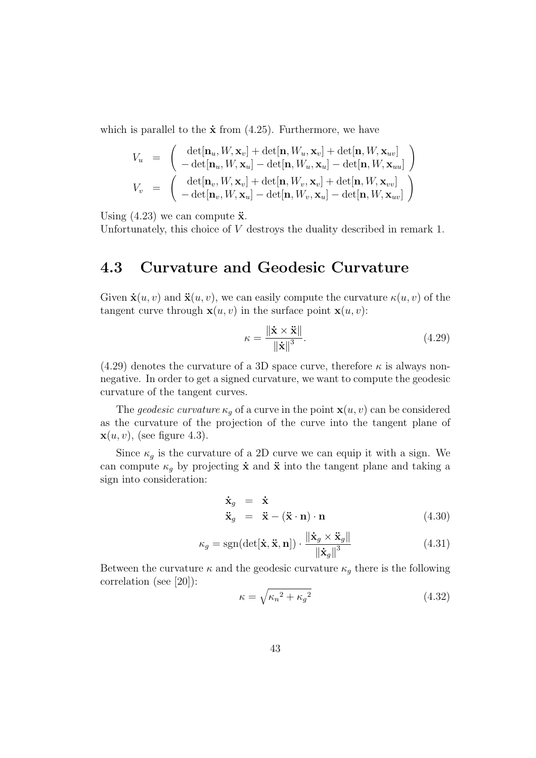which is parallel to the  $\dot{\mathbf{x}}$  from (4.25). Furthermore, we have

$$
V_u = \begin{pmatrix} \det[\mathbf{n}_u, W, \mathbf{x}_v] + \det[\mathbf{n}, W_u, \mathbf{x}_v] + \det[\mathbf{n}, W, \mathbf{x}_{uv}] \\ -\det[\mathbf{n}_u, W, \mathbf{x}_u] - \det[\mathbf{n}, W_u, \mathbf{x}_u] - \det[\mathbf{n}, W, \mathbf{x}_{uu}] \end{pmatrix}
$$
  
\n
$$
V_v = \begin{pmatrix} \det[\mathbf{n}_v, W, \mathbf{x}_v] + \det[\mathbf{n}, W_v, \mathbf{x}_v] + \det[\mathbf{n}, W, \mathbf{x}_{vv}] \\ -\det[\mathbf{n}_v, W, \mathbf{x}_u] - \det[\mathbf{n}, W_v, \mathbf{x}_u] - \det[\mathbf{n}, W, \mathbf{x}_{uv}] \end{pmatrix}
$$

Using  $(4.23)$  we can compute  $\ddot{\mathbf{x}}$ .

Unfortunately, this choice of V destroys the duality described in remark 1.

## **4.3 Curvature and Geodesic Curvature**

Given  $\dot{\mathbf{x}}(u, v)$  and  $\ddot{\mathbf{x}}(u, v)$ , we can easily compute the curvature  $\kappa(u, v)$  of the tangent curve through  $\mathbf{x}(u, v)$  in the surface point  $\mathbf{x}(u, v)$ :

$$
\kappa = \frac{\|\dot{\mathbf{x}} \times \ddot{\mathbf{x}}\|}{\|\dot{\mathbf{x}}\|^3}.
$$
 (4.29)

(4.29) denotes the curvature of a 3D space curve, therefore  $\kappa$  is always nonnegative. In order to get a signed curvature, we want to compute the geodesic curvature of the tangent curves.

The *geodesic curvature*  $\kappa_q$  of a curve in the point  $\mathbf{x}(u, v)$  can be considered as the curvature of the projection of the curve into the tangent plane of  $\mathbf{x}(u, v)$ , (see figure 4.3).

Since  $\kappa_g$  is the curvature of a 2D curve we can equip it with a sign. We can compute  $\kappa_q$  by projecting  $\dot{\mathbf{x}}$  and  $\ddot{\mathbf{x}}$  into the tangent plane and taking a sign into consideration:

$$
\dot{\mathbf{x}}_g = \dot{\mathbf{x}} \n\ddot{\mathbf{x}}_g = \ddot{\mathbf{x}} - (\ddot{\mathbf{x}} \cdot \mathbf{n}) \cdot \mathbf{n}
$$
\n(4.30)

$$
\kappa_g = \text{sgn}(\det[\dot{\mathbf{x}}, \ddot{\mathbf{x}}, \mathbf{n}]) \cdot \frac{\|\dot{\mathbf{x}}_g \times \ddot{\mathbf{x}}_g\|}{\|\dot{\mathbf{x}}_g\|^3}
$$
(4.31)

Between the curvature  $\kappa$  and the geodesic curvature  $\kappa_g$  there is the following correlation (see [20]):

$$
\kappa = \sqrt{\kappa_n^2 + \kappa_g^2} \tag{4.32}
$$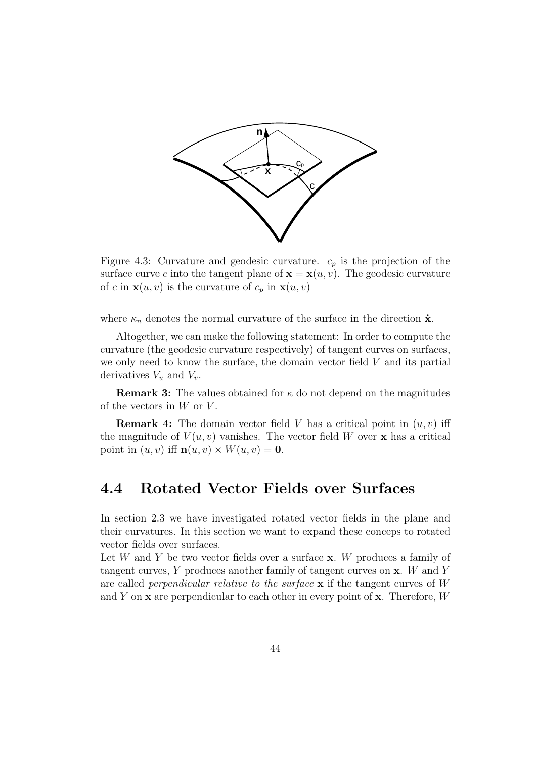

Figure 4.3: Curvature and geodesic curvature.  $c_p$  is the projection of the surface curve c into the tangent plane of  $\mathbf{x} = \mathbf{x}(u, v)$ . The geodesic curvature of c in  $\mathbf{x}(u, v)$  is the curvature of  $c_p$  in  $\mathbf{x}(u, v)$ 

where  $\kappa_n$  denotes the normal curvature of the surface in the direction  $\dot{\mathbf{x}}$ .

Altogether, we can make the following statement: In order to compute the curvature (the geodesic curvature respectively) of tangent curves on surfaces, we only need to know the surface, the domain vector field  $V$  and its partial derivatives  $V_u$  and  $V_v$ .

**Remark 3:** The values obtained for  $\kappa$  do not depend on the magnitudes of the vectors in  $W$  or  $V$ .

**Remark 4:** The domain vector field V has a critical point in  $(u, v)$  iff the magnitude of  $V(u, v)$  vanishes. The vector field W over **x** has a critical point in  $(u, v)$  iff  $\mathbf{n}(u, v) \times W(u, v) = \mathbf{0}$ .

### **4.4 Rotated Vector Fields over Surfaces**

In section 2.3 we have investigated rotated vector fields in the plane and their curvatures. In this section we want to expand these conceps to rotated vector fields over surfaces.

Let W and Y be two vector fields over a surface **x**. W produces a family of tangent curves, Y produces another family of tangent curves on **x**. W and Y are called perpendicular relative to the surface **x** if the tangent curves of W and Y on **x** are perpendicular to each other in every point of **x**. Therefore, W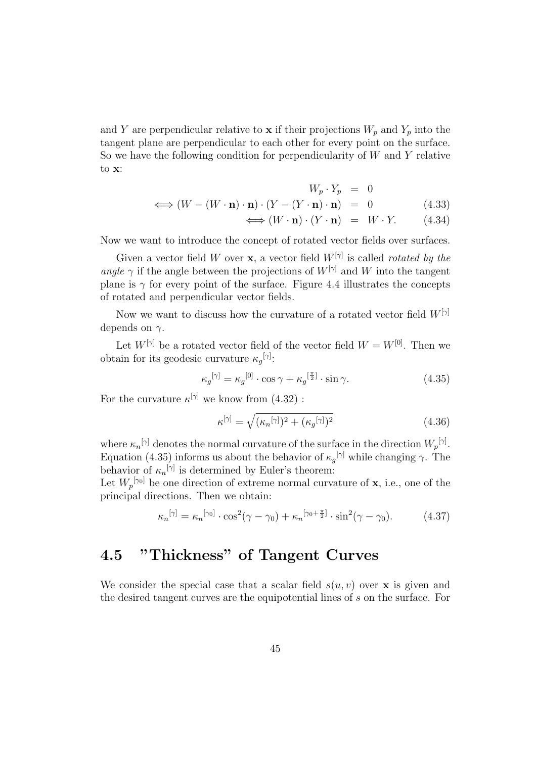and Y are perpendicular relative to **x** if their projections  $W_p$  and  $Y_p$  into the tangent plane are perpendicular to each other for every point on the surface. So we have the following condition for perpendicularity of  $W$  and  $Y$  relative to **x**:

$$
W_p \cdot Y_p = 0
$$
  
\n
$$
\iff (W - (W \cdot \mathbf{n}) \cdot \mathbf{n}) \cdot (Y - (Y \cdot \mathbf{n}) \cdot \mathbf{n}) = 0
$$
 (4.33)  
\n
$$
\iff (W \cdot \mathbf{n}) \cdot (Y \cdot \mathbf{n}) = W \cdot Y.
$$
 (4.34)

Now we want to introduce the concept of rotated vector fields over surfaces.

Given a vector field W over **x**, a vector field  $W^{[\gamma]}$  is called *rotated by the* angle  $\gamma$  if the angle between the projections of  $W^{[\gamma]}$  and W into the tangent plane is  $\gamma$  for every point of the surface. Figure 4.4 illustrates the concepts of rotated and perpendicular vector fields.

Now we want to discuss how the curvature of a rotated vector field  $W^{[\gamma]}$ depends on  $\gamma$ .

Let  $W^{[\gamma]}$  be a rotated vector field of the vector field  $W = W^{[0]}$ . Then we obtain for its geodesic curvature  $\kappa_g^{[\gamma]}$ :

$$
\kappa_g^{[\gamma]} = \kappa_g^{[0]} \cdot \cos \gamma + \kappa_g^{[\frac{\pi}{2}]} \cdot \sin \gamma.
$$
 (4.35)

For the curvature  $\kappa^{[\gamma]}$  we know from (4.32) :

$$
\kappa^{[\gamma]} = \sqrt{(\kappa_n^{[\gamma]})^2 + (\kappa_g^{[\gamma]})^2} \tag{4.36}
$$

where  $\kappa_n$ <sup>[γ]</sup> denotes the normal curvature of the surface in the direction  $W_p^{[\gamma]}$ . Equation (4.35) informs us about the behavior of  $\kappa_g^{[\gamma]}$  while changing  $\gamma$ . The behavior of  $\kappa_n^{[\gamma]}$  is determined by Euler's theorem:

Let  $W_p^{[\gamma_0]}$  be one direction of extreme normal curvature of **x**, i.e., one of the principal directions. Then we obtain:

$$
\kappa_n^{[\gamma]} = \kappa_n^{[\gamma_0]} \cdot \cos^2(\gamma - \gamma_0) + \kappa_n^{[\gamma_0 + \frac{\pi}{2}]} \cdot \sin^2(\gamma - \gamma_0). \tag{4.37}
$$

# **4.5 "Thickness" of Tangent Curves**

We consider the special case that a scalar field  $s(u, v)$  over **x** is given and the desired tangent curves are the equipotential lines of s on the surface. For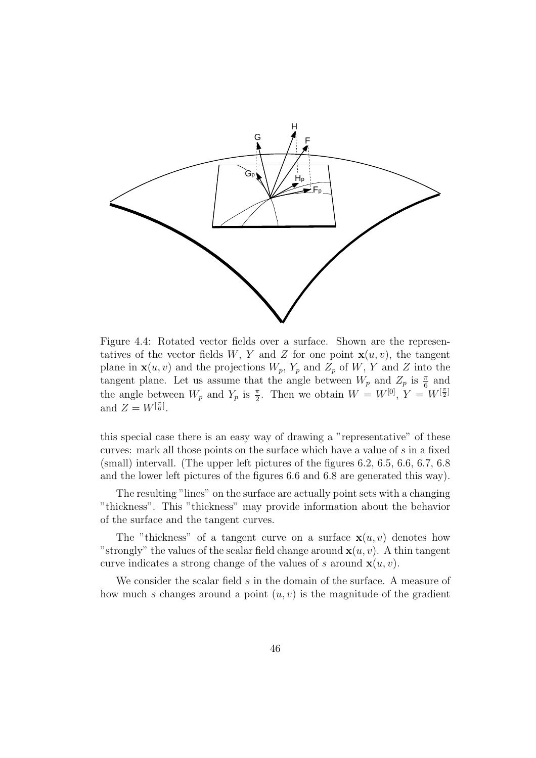

Figure 4.4: Rotated vector fields over a surface. Shown are the representatives of the vector fields W, Y and Z for one point  $\mathbf{x}(u, v)$ , the tangent plane in  $\mathbf{x}(u, v)$  and the projections  $W_p$ ,  $Y_p$  and  $Z_p$  of  $W$ ,  $Y$  and  $Z$  into the tangent plane. Let us assume that the angle between  $W_p$  and  $Z_p$  is  $\frac{\pi}{6}$  and the angle between  $W_p$  and  $Y_p$  is  $\frac{\pi}{2}$ . Then we obtain  $W = W^{[0]}, Y = W^{[\frac{\pi}{2}]}$ and  $Z = W^{[\frac{\pi}{6}]}$ .

this special case there is an easy way of drawing a "representative" of these curves: mark all those points on the surface which have a value of s in a fixed (small) intervall. (The upper left pictures of the figures 6.2, 6.5, 6.6, 6.7, 6.8 and the lower left pictures of the figures 6.6 and 6.8 are generated this way).

The resulting "lines" on the surface are actually point sets with a changing "thickness". This "thickness" may provide information about the behavior of the surface and the tangent curves.

The "thickness" of a tangent curve on a surface  $\mathbf{x}(u, v)$  denotes how "strongly" the values of the scalar field change around  $\mathbf{x}(u, v)$ . A thin tangent curve indicates a strong change of the values of s around  $\mathbf{x}(u, v)$ .

We consider the scalar field s in the domain of the surface. A measure of how much s changes around a point  $(u, v)$  is the magnitude of the gradient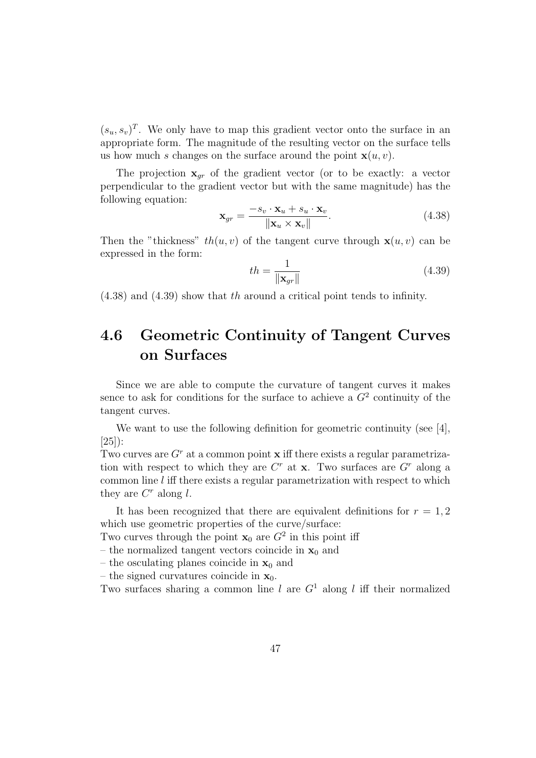$(s_u, s_v)^T$ . We only have to map this gradient vector onto the surface in an appropriate form. The magnitude of the resulting vector on the surface tells us how much s changes on the surface around the point  $\mathbf{x}(u, v)$ .

The projection  $\mathbf{x}_{gr}$  of the gradient vector (or to be exactly: a vector perpendicular to the gradient vector but with the same magnitude) has the following equation:

$$
\mathbf{x}_{gr} = \frac{-s_v \cdot \mathbf{x}_u + s_u \cdot \mathbf{x}_v}{\|\mathbf{x}_u \times \mathbf{x}_v\|}.
$$
 (4.38)

Then the "thickness"  $th(u, v)$  of the tangent curve through  $\mathbf{x}(u, v)$  can be expressed in the form:

$$
th = \frac{1}{\|\mathbf{x}_{gr}\|} \tag{4.39}
$$

(4.38) and (4.39) show that th around a critical point tends to infinity.

# **4.6 Geometric Continuity of Tangent Curves on Surfaces**

Since we are able to compute the curvature of tangent curves it makes sence to ask for conditions for the surface to achieve a  $G<sup>2</sup>$  continuity of the tangent curves.

We want to use the following definition for geometric continuity (see [4], [25]):

Two curves are  $G<sup>r</sup>$  at a common point **x** iff there exists a regular parametrization with respect to which they are  $C<sup>r</sup>$  at **x**. Two surfaces are  $G<sup>r</sup>$  along a common line l iff there exists a regular parametrization with respect to which they are  $C<sup>r</sup>$  along l.

It has been recognized that there are equivalent definitions for  $r = 1, 2$ which use geometric properties of the curve/surface:

Two curves through the point  $\mathbf{x}_0$  are  $G^2$  in this point iff

– the normalized tangent vectors coincide in  $\mathbf{x}_0$  and

– the osculating planes coincide in  $x_0$  and

– the signed curvatures coincide in  $\mathbf{x}_0$ .

Two surfaces sharing a common line l are  $G<sup>1</sup>$  along l iff their normalized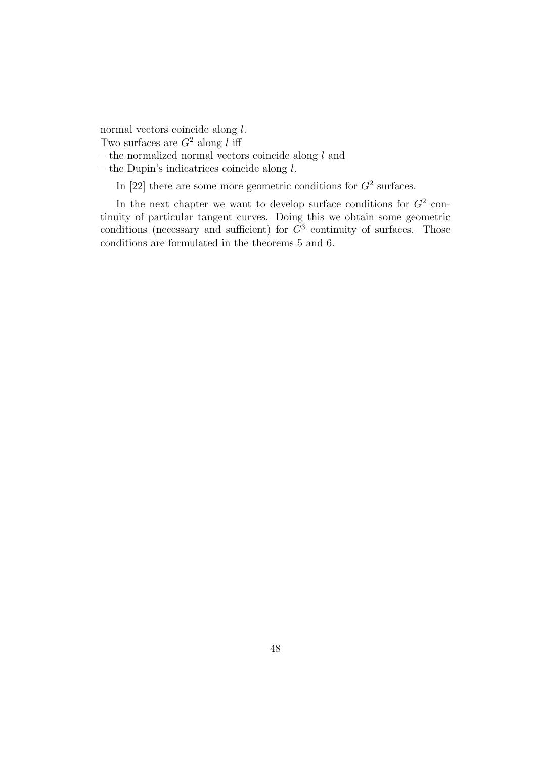normal vectors coincide along l.

Two surfaces are  $G^2$  along l iff

– the normalized normal vectors coincide along  $l$  and

– the Dupin's indicatrices coincide along  $l$ .

In [22] there are some more geometric conditions for  $G^2$  surfaces.

In the next chapter we want to develop surface conditions for  $G^2$  continuity of particular tangent curves. Doing this we obtain some geometric conditions (necessary and sufficient) for  $\tilde{G}^3$  continuity of surfaces. Those conditions are formulated in the theorems 5 and 6.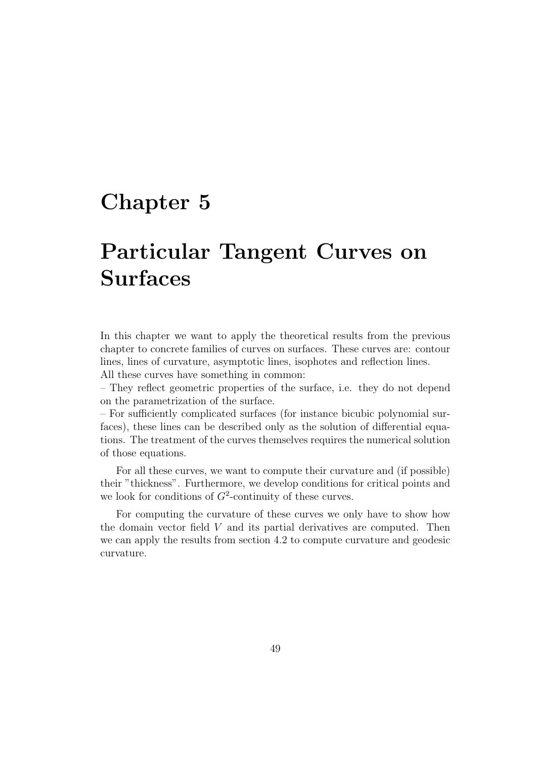# **Chapter 5**

# **Particular Tangent Curves on Surfaces**

In this chapter we want to apply the theoretical results from the previous chapter to concrete families of curves on surfaces. These curves are: contour lines, lines of curvature, asymptotic lines, isophotes and reflection lines.

All these curves have something in common:

– They reflect geometric properties of the surface, i.e. they do not depend on the parametrization of the surface.

– For sufficiently complicated surfaces (for instance bicubic polynomial surfaces), these lines can be described only as the solution of differential equations. The treatment of the curves themselves requires the numerical solution of those equations.

For all these curves, we want to compute their curvature and (if possible) their "thickness". Furthermore, we develop conditions for critical points and we look for conditions of  $G^2$ -continuity of these curves.

For computing the curvature of these curves we only have to show how the domain vector field V and its partial derivatives are computed. Then we can apply the results from section 4.2 to compute curvature and geodesic curvature.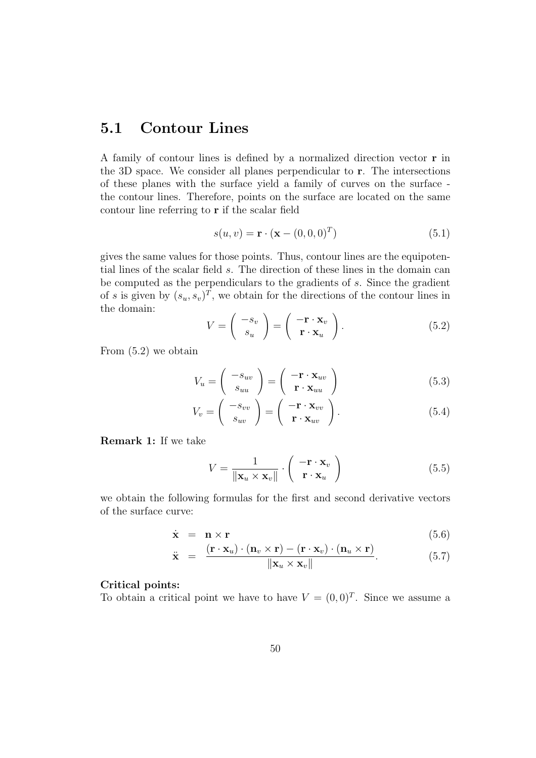## **5.1 Contour Lines**

A family of contour lines is defined by a normalized direction vector **r** in the 3D space. We consider all planes perpendicular to **r**. The intersections of these planes with the surface yield a family of curves on the surface the contour lines. Therefore, points on the surface are located on the same contour line referring to **r** if the scalar field

$$
s(u, v) = \mathbf{r} \cdot (\mathbf{x} - (0, 0, 0)^T)
$$
\n(5.1)

gives the same values for those points. Thus, contour lines are the equipotential lines of the scalar field s. The direction of these lines in the domain can be computed as the perpendiculars to the gradients of  $s$ . Since the gradient of s is given by  $(s_u, s_v)^T$ , we obtain for the directions of the contour lines in the domain:

$$
V = \begin{pmatrix} -s_v \\ s_u \end{pmatrix} = \begin{pmatrix} -\mathbf{r} \cdot \mathbf{x}_v \\ \mathbf{r} \cdot \mathbf{x}_u \end{pmatrix}.
$$
 (5.2)

From (5.2) we obtain

$$
V_u = \begin{pmatrix} -s_{uv} \\ s_{uu} \end{pmatrix} = \begin{pmatrix} -\mathbf{r} \cdot \mathbf{x}_{uv} \\ \mathbf{r} \cdot \mathbf{x}_{uu} \end{pmatrix}
$$
(5.3)

$$
V_v = \begin{pmatrix} -s_{vv} \\ s_{uv} \end{pmatrix} = \begin{pmatrix} -\mathbf{r} \cdot \mathbf{x}_{vv} \\ \mathbf{r} \cdot \mathbf{x}_{uv} \end{pmatrix}.
$$
 (5.4)

**Remark 1:** If we take

$$
V = \frac{1}{\|\mathbf{x}_u \times \mathbf{x}_v\|} \cdot \begin{pmatrix} -\mathbf{r} \cdot \mathbf{x}_v \\ \mathbf{r} \cdot \mathbf{x}_u \end{pmatrix}
$$
(5.5)

we obtain the following formulas for the first and second derivative vectors of the surface curve:

$$
\dot{\mathbf{x}} = \mathbf{n} \times \mathbf{r} \tag{5.6}
$$

$$
\ddot{\mathbf{x}} = \frac{(\mathbf{r} \cdot \mathbf{x}_u) \cdot (\mathbf{n}_v \times \mathbf{r}) - (\mathbf{r} \cdot \mathbf{x}_v) \cdot (\mathbf{n}_u \times \mathbf{r})}{\|\mathbf{x}_u \times \mathbf{x}_v\|}.
$$
(5.7)

#### **Critical points:**

To obtain a critical point we have to have  $V = (0,0)^T$ . Since we assume a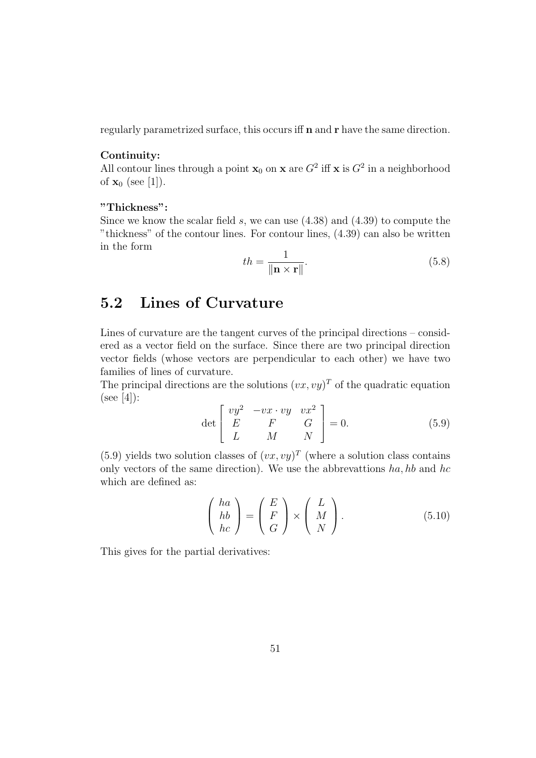regularly parametrized surface, this occurs iff **n** and **r** have the same direction.

#### **Continuity:**

All contour lines through a point  $\mathbf{x}_0$  on  $\mathbf{x}$  are  $G^2$  iff  $\mathbf{x}$  is  $G^2$  in a neighborhood of  $\mathbf{x}_0$  (see [1]).

#### **"Thickness":**

Since we know the scalar field  $s$ , we can use  $(4.38)$  and  $(4.39)$  to compute the "thickness" of the contour lines. For contour lines, (4.39) can also be written in the form

$$
th = \frac{1}{\|\mathbf{n} \times \mathbf{r}\|}.
$$
\n(5.8)

## **5.2 Lines of Curvature**

Lines of curvature are the tangent curves of the principal directions – considered as a vector field on the surface. Since there are two principal direction vector fields (whose vectors are perpendicular to each other) we have two families of lines of curvature.

The principal directions are the solutions  $(vx, vy)^T$  of the quadratic equation  $(see [4])$ :

$$
\det \begin{bmatrix} vy^2 & -vx \cdot vy & vx^2 \\ E & F & G \\ L & M & N \end{bmatrix} = 0.
$$
 (5.9)

(5.9) yields two solution classes of  $(vx, vy)^T$  (where a solution class contains only vectors of the same direction). We use the abbrevattions  $ha, hb$  and  $hc$ which are defined as:

$$
\begin{pmatrix} ha \\ hb \\ hc \end{pmatrix} = \begin{pmatrix} E \\ F \\ G \end{pmatrix} \times \begin{pmatrix} L \\ M \\ N \end{pmatrix}.
$$
 (5.10)

This gives for the partial derivatives: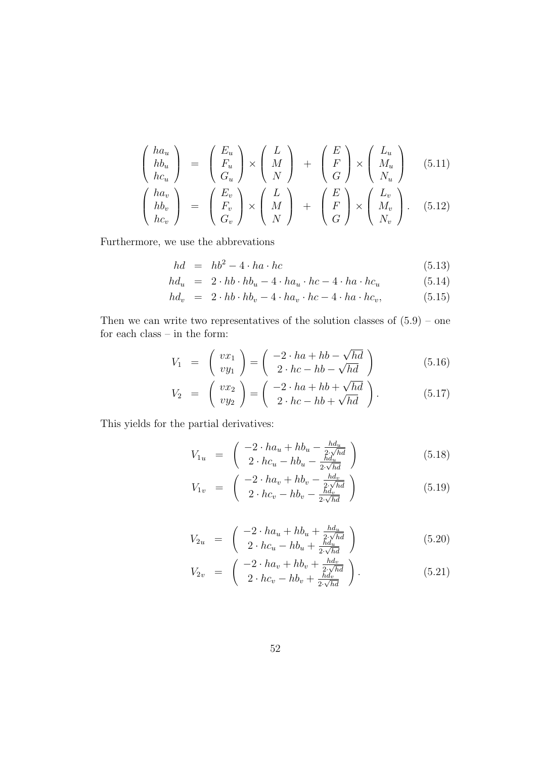$$
\begin{pmatrix} ha_u \\ hb_u \\ hc_u \end{pmatrix} = \begin{pmatrix} E_u \\ F_u \\ G_u \end{pmatrix} \times \begin{pmatrix} L \\ M \\ N \end{pmatrix} + \begin{pmatrix} E \\ F \\ G \end{pmatrix} \times \begin{pmatrix} L_u \\ M_u \\ N_u \end{pmatrix}
$$
 (5.11)  

$$
\begin{pmatrix} ha_v \\ hb_v \\ hc_v \end{pmatrix} = \begin{pmatrix} E_v \\ F_v \\ G_v \end{pmatrix} \times \begin{pmatrix} L \\ M \\ N \end{pmatrix} + \begin{pmatrix} E \\ F \\ G \end{pmatrix} \times \begin{pmatrix} L_v \\ M_v \\ N_v \end{pmatrix}.
$$
 (5.12)

Furthermore, we use the abbrevations

$$
hd = hb^2 - 4 \cdot ha \cdot hc \tag{5.13}
$$

$$
hd_u = 2 \cdot hb \cdot hb_u - 4 \cdot ha_u \cdot hc - 4 \cdot ha \cdot hc_u \tag{5.14}
$$

$$
hd_v = 2 \cdot hb \cdot hb_v - 4 \cdot ha_v \cdot hc - 4 \cdot ha \cdot hc_v, \tag{5.15}
$$

Then we can write two representatives of the solution classes of  $(5.9)$  – one for each class – in the form:

$$
V_1 = \begin{pmatrix} vx_1 \\ vy_1 \end{pmatrix} = \begin{pmatrix} -2 \cdot ha + hb - \sqrt{hd} \\ 2 \cdot hc - hb - \sqrt{hd} \end{pmatrix}
$$
 (5.16)

$$
V_2 = \begin{pmatrix} vx_2 \\ vy_2 \end{pmatrix} = \begin{pmatrix} -2 \cdot ha + hb + \sqrt{hd} \\ 2 \cdot hc - hb + \sqrt{hd} \end{pmatrix}.
$$
 (5.17)

This yields for the partial derivatives:

$$
V_{1u} = \begin{pmatrix} -2 \cdot h a_u + h b_u - \frac{h d_u}{2 \cdot \sqrt{h d}} \\ 2 \cdot h c_u - h b_u - \frac{h d_u}{2 \cdot \sqrt{h d}} \end{pmatrix}
$$
(5.18)

$$
V_{1v} = \begin{pmatrix} -2 \cdot ha_v + hb_v - \frac{hd_v}{2 \cdot \sqrt{hd}} \\ 2 \cdot hc_v - hb_v - \frac{hd_v}{2 \cdot \sqrt{hd}} \end{pmatrix}
$$
 (5.19)

$$
V_{2u} = \begin{pmatrix} -2 \cdot ha_u + hb_u + \frac{h d_u}{2 \cdot \sqrt{h d}} \\ 2 \cdot hc_u - hb_u + \frac{h d_u}{2 \cdot \sqrt{h d}} \end{pmatrix}
$$
 (5.20)

$$
V_{2v} = \begin{pmatrix} -2 \cdot h a_v + h b_v + \frac{h d_v}{2 \cdot \sqrt{h d}} \\ 2 \cdot h c_v - h b_v + \frac{h d_v}{2 \cdot \sqrt{h d}} \end{pmatrix}.
$$
 (5.21)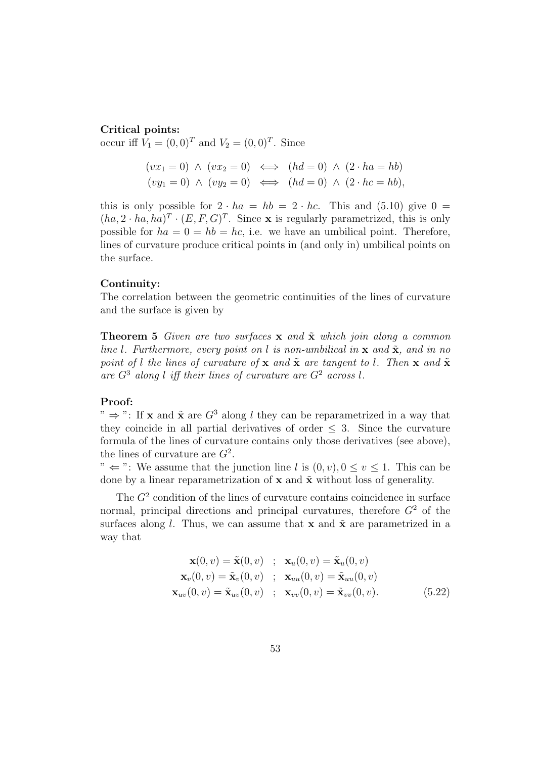#### **Critical points:**

occur iff  $V_1 = (0, 0)^T$  and  $V_2 = (0, 0)^T$ . Since

$$
(vx1 = 0) \land (vx2 = 0) \iff (hd = 0) \land (2 \cdot ha = hb)
$$
  

$$
(vy1 = 0) \land (vy2 = 0) \iff (hd = 0) \land (2 \cdot hc = hb),
$$

this is only possible for  $2 \cdot ha = hb = 2 \cdot hc$ . This and (5.10) give  $0 =$  $(ha, 2 \cdot ha, ha)^T \cdot (E, F, G)^T$ . Since **x** is regularly parametrized, this is only possible for  $ha = 0 = hb = hc$ , i.e. we have an umbilical point. Therefore, lines of curvature produce critical points in (and only in) umbilical points on the surface.

#### **Continuity:**

The correlation between the geometric continuities of the lines of curvature and the surface is given by

**Theorem 5** Given are two surfaces  $\bf{x}$  and  $\tilde{\bf{x}}$  which join along a common line l. Furthermore, every point on l is non-umbilical in  $\bf{x}$  and  $\tilde{\bf{x}}$ , and in no point of l the lines of curvature of **x** and  $\tilde{\mathbf{x}}$  are tangent to l. Then **x** and  $\tilde{\mathbf{x}}$ are  $G^3$  along l iff their lines of curvature are  $G^2$  across l.

#### **Proof:**

"  $\Rightarrow$  ": If **x** and  $\tilde{\mathbf{x}}$  are  $G^3$  along l they can be reparametrized in a way that they coincide in all partial derivatives of order  $\leq$  3. Since the curvature formula of the lines of curvature contains only those derivatives (see above), the lines of curvature are  $G^2$ .

"  $\Leftarrow$ ": We assume that the junction line l is  $(0, v), 0 \le v \le 1$ . This can be done by a linear reparametrization of  $x$  and  $\tilde{x}$  without loss of generality.

The  $G<sup>2</sup>$  condition of the lines of curvature contains coincidence in surface normal, principal directions and principal curvatures, therefore  $G<sup>2</sup>$  of the surfaces along l. Thus, we can assume that **x** and  $\tilde{\mathbf{x}}$  are parametrized in a way that

$$
\mathbf{x}(0, v) = \tilde{\mathbf{x}}(0, v) \quad ; \quad \mathbf{x}_u(0, v) = \tilde{\mathbf{x}}_u(0, v)
$$
\n
$$
\mathbf{x}_v(0, v) = \tilde{\mathbf{x}}_v(0, v) \quad ; \quad \mathbf{x}_{uu}(0, v) = \tilde{\mathbf{x}}_{uu}(0, v)
$$
\n
$$
\mathbf{x}_{uv}(0, v) = \tilde{\mathbf{x}}_{uv}(0, v) \quad ; \quad \mathbf{x}_{vv}(0, v) = \tilde{\mathbf{x}}_{vv}(0, v). \tag{5.22}
$$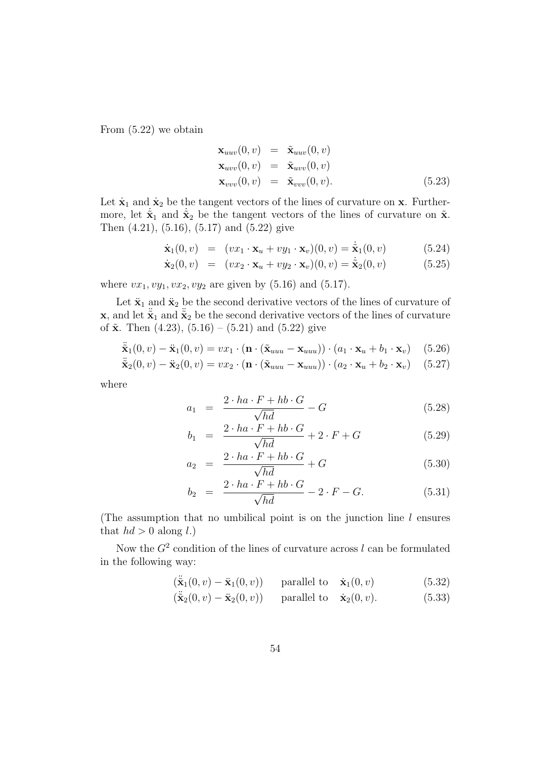From (5.22) we obtain

$$
\mathbf{x}_{uuv}(0, v) = \tilde{\mathbf{x}}_{uuv}(0, v) \n\mathbf{x}_{uvv}(0, v) = \tilde{\mathbf{x}}_{uvv}(0, v) \n\mathbf{x}_{vvv}(0, v) = \tilde{\mathbf{x}}_{vvv}(0, v).
$$
\n(5.23)

Let  $\dot{\mathbf{x}}_1$  and  $\dot{\mathbf{x}}_2$  be the tangent vectors of the lines of curvature on **x**. Furthermore, let  $\tilde{\mathbf{x}}_1$  and  $\tilde{\mathbf{x}}_2$  be the tangent vectors of the lines of curvature on  $\tilde{\mathbf{x}}$ . Then (4.21), (5.16), (5.17) and (5.22) give

$$
\dot{\mathbf{x}}_1(0,v) = (vx_1 \cdot \mathbf{x}_u + vy_1 \cdot \mathbf{x}_v)(0,v) = \dot{\tilde{\mathbf{x}}}_1(0,v) \tag{5.24}
$$

$$
\dot{\mathbf{x}}_2(0,v) = (vx_2 \cdot \mathbf{x}_u + vy_2 \cdot \mathbf{x}_v)(0,v) = \dot{\tilde{\mathbf{x}}}_2(0,v) \tag{5.25}
$$

where  $vx_1, vy_1, vx_2, vy_2$  are given by (5.16) and (5.17).

Let  $\ddot{\mathbf{x}}_1$  and  $\ddot{\mathbf{x}}_2$  be the second derivative vectors of the lines of curvature of **x**, and let  $\ddot{\tilde{\mathbf{x}}}_1$  and  $\ddot{\tilde{\mathbf{x}}}_2$  be the second derivative vectors of the lines of curvature of  $\tilde{x}$ . Then (4.23), (5.16) – (5.21) and (5.22) give

$$
\ddot{\tilde{\mathbf{x}}}_1(0, v) - \ddot{\mathbf{x}}_1(0, v) = vx_1 \cdot (\mathbf{n} \cdot (\tilde{\mathbf{x}}_{uuu} - \mathbf{x}_{uuu})) \cdot (a_1 \cdot \mathbf{x}_u + b_1 \cdot \mathbf{x}_v) \tag{5.26}
$$

$$
\ddot{\tilde{\mathbf{x}}}_{2}(0, v) - \ddot{\mathbf{x}}_{2}(0, v) = vx_2 \cdot (\mathbf{n} \cdot (\tilde{\mathbf{x}}_{uuu} - \mathbf{x}_{uuu})) \cdot (a_2 \cdot \mathbf{x}_u + b_2 \cdot \mathbf{x}_v) \tag{5.27}
$$

where

$$
a_1 = \frac{2 \cdot ha \cdot F + hb \cdot G}{\sqrt{hd}} - G \tag{5.28}
$$

$$
b_1 = \frac{2 \cdot ha \cdot F + hb \cdot G}{\sqrt{hd}} + 2 \cdot F + G \tag{5.29}
$$

$$
a_2 = \frac{2 \cdot ha \cdot F + hb \cdot G}{\sqrt{hd}} + G \tag{5.30}
$$

$$
b_2 = \frac{2 \cdot ha \cdot F + hb \cdot G}{\sqrt{hd}} - 2 \cdot F - G. \tag{5.31}
$$

(The assumption that no umbilical point is on the junction line  $l$  ensures that  $hd > 0$  along l.)

Now the  $G^2$  condition of the lines of curvature across l can be formulated in the following way:

$$
(\ddot{\tilde{\mathbf{x}}}_1(0, v) - \ddot{\mathbf{x}}_1(0, v)) \quad \text{parallel to} \quad \dot{\mathbf{x}}_1(0, v) \tag{5.32}
$$

$$
(\ddot{\tilde{\mathbf{x}}}_2(0,v) - \ddot{\mathbf{x}}_2(0,v)) \quad \text{parallel to} \quad \dot{\mathbf{x}}_2(0,v). \tag{5.33}
$$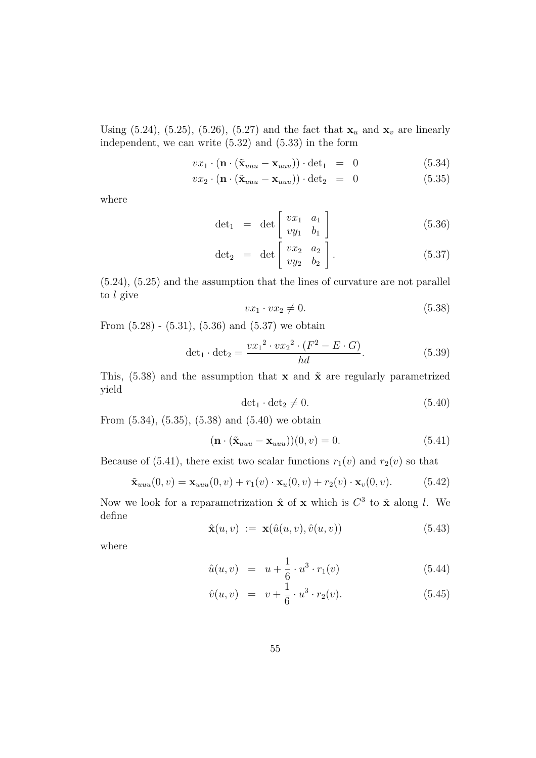Using (5.24), (5.25), (5.26), (5.27) and the fact that  $\mathbf{x}_u$  and  $\mathbf{x}_v$  are linearly independent, we can write (5.32) and (5.33) in the form

$$
vx_1 \cdot (\mathbf{n} \cdot (\tilde{\mathbf{x}}_{uuu} - \mathbf{x}_{uuu})) \cdot \det_1 = 0 \tag{5.34}
$$

$$
vx_2 \cdot (\mathbf{n} \cdot (\tilde{\mathbf{x}}_{uuu} - \mathbf{x}_{uuu})) \cdot \det_2 = 0 \tag{5.35}
$$

where

$$
\det_1 = \det \begin{bmatrix} v x_1 & a_1 \\ v y_1 & b_1 \end{bmatrix} \tag{5.36}
$$

$$
\det_2 = \det \left[ \begin{array}{cc} vx_2 & a_2 \\ vy_2 & b_2 \end{array} \right]. \tag{5.37}
$$

(5.24), (5.25) and the assumption that the lines of curvature are not parallel to l give

$$
vx_1 \cdot vx_2 \neq 0. \tag{5.38}
$$

From  $(5.28)$  -  $(5.31)$ ,  $(5.36)$  and  $(5.37)$  we obtain

$$
\det_1 \cdot \det_2 = \frac{vx_1^2 \cdot vx_2^2 \cdot (F^2 - E \cdot G)}{hd}.
$$
 (5.39)

This,  $(5.38)$  and the assumption that **x** and  $\tilde{\mathbf{x}}$  are regularly parametrized yield

$$
\det_1 \cdot \det_2 \neq 0. \tag{5.40}
$$

From (5.34), (5.35), (5.38) and (5.40) we obtain

$$
(\mathbf{n} \cdot (\tilde{\mathbf{x}}_{uuu} - \mathbf{x}_{uuu})) (0, v) = 0.
$$
 (5.41)

Because of (5.41), there exist two scalar functions  $r_1(v)$  and  $r_2(v)$  so that

$$
\tilde{\mathbf{x}}_{uuu}(0,v) = \mathbf{x}_{uuu}(0,v) + r_1(v) \cdot \mathbf{x}_u(0,v) + r_2(v) \cdot \mathbf{x}_v(0,v). \tag{5.42}
$$

Now we look for a reparametrization  $\hat{\mathbf{x}}$  of **x** which is  $C^3$  to  $\tilde{\mathbf{x}}$  along l. We define

$$
\hat{\mathbf{x}}(u,v) := \mathbf{x}(\hat{u}(u,v), \hat{v}(u,v)) \tag{5.43}
$$

where

$$
\hat{u}(u,v) = u + \frac{1}{6} \cdot u^3 \cdot r_1(v) \tag{5.44}
$$

$$
\hat{v}(u,v) = v + \frac{1}{6} \cdot u^3 \cdot r_2(v). \tag{5.45}
$$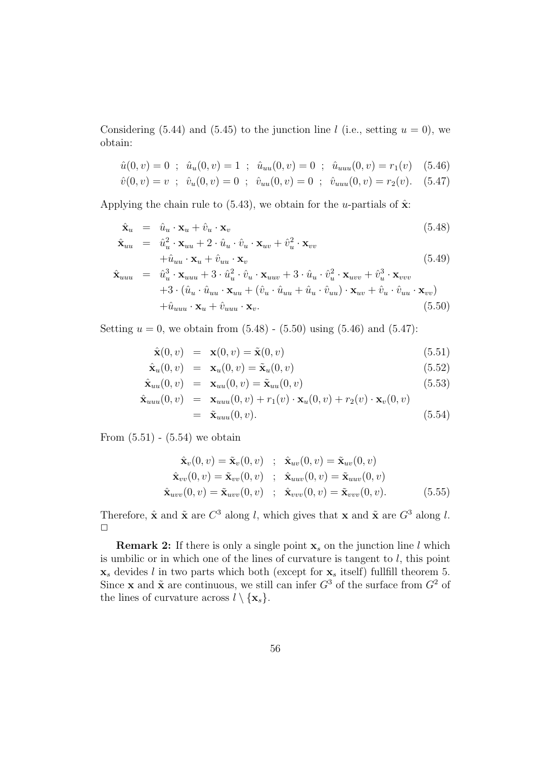Considering (5.44) and (5.45) to the junction line l (i.e., setting  $u = 0$ ), we obtain:

$$
\hat{u}(0,v) = 0 \; ; \; \hat{u}_u(0,v) = 1 \; ; \; \hat{u}_{uu}(0,v) = 0 \; ; \; \hat{u}_{uu}(0,v) = r_1(v) \quad (5.46)
$$

$$
\hat{v}(0,v) = v \; ; \; \hat{v}_u(0,v) = 0 \; ; \; \hat{v}_{uu}(0,v) = 0 \; ; \; \hat{v}_{uuu}(0,v) = r_2(v). \quad (5.47)
$$

Applying the chain rule to  $(5.43)$ , we obtain for the *u*-partials of  $\hat{\mathbf{x}}$ :

$$
\hat{\mathbf{x}}_u = \hat{u}_u \cdot \mathbf{x}_u + \hat{v}_u \cdot \mathbf{x}_v \tag{5.48}
$$

$$
\hat{\mathbf{x}}_{uu} = \hat{u}_u^2 \cdot \mathbf{x}_{uu} + 2 \cdot \hat{u}_u \cdot \hat{v}_u \cdot \mathbf{x}_{uv} + \hat{v}_u^2 \cdot \mathbf{x}_{vv} \n+ \hat{u}_{uu} \cdot \mathbf{x}_u + \hat{v}_{uu} \cdot \mathbf{x}_v
$$
\n(5.49)

$$
\hat{\mathbf{x}}_{uuu} = \hat{u}_u^3 \cdot \mathbf{x}_{uuu} + 3 \cdot \hat{u}_u^2 \cdot \hat{v}_u \cdot \mathbf{x}_{uuv} + 3 \cdot \hat{u}_u \cdot \hat{v}_u^2 \cdot \mathbf{x}_{uvv} + \hat{v}_u^3 \cdot \mathbf{x}_{vvv} \n+3 \cdot (\hat{u}_u \cdot \hat{u}_{uu} \cdot \mathbf{x}_{uu} + (\hat{v}_u \cdot \hat{u}_{uu} + \hat{u}_u \cdot \hat{v}_{uu}) \cdot \mathbf{x}_{uv} + \hat{v}_u \cdot \hat{v}_{uu} \cdot \mathbf{x}_{vv}) \n+ \hat{u}_{uuu} \cdot \mathbf{x}_u + \hat{v}_{uuu} \cdot \mathbf{x}_v.
$$
\n(5.50)

Setting  $u = 0$ , we obtain from  $(5.48)$  -  $(5.50)$  using  $(5.46)$  and  $(5.47)$ :

$$
\hat{\mathbf{x}}(0, v) = \mathbf{x}(0, v) = \tilde{\mathbf{x}}(0, v) \tag{5.51}
$$

$$
\hat{\mathbf{x}}_u(0, v) = \mathbf{x}_u(0, v) = \tilde{\mathbf{x}}_u(0, v) \tag{5.52}
$$

$$
\hat{\mathbf{x}}_{uu}(0,v) = \mathbf{x}_{uu}(0,v) = \tilde{\mathbf{x}}_{uu}(0,v) \tag{5.53}
$$

$$
\hat{\mathbf{x}}_{uuu}(0, v) = \mathbf{x}_{uuu}(0, v) + r_1(v) \cdot \mathbf{x}_u(0, v) + r_2(v) \cdot \mathbf{x}_v(0, v)
$$
  
=  $\tilde{\mathbf{x}}_{uuu}(0, v).$  (5.54)

From  $(5.51)$  -  $(5.54)$  we obtain

$$
\hat{\mathbf{x}}_v(0, v) = \tilde{\mathbf{x}}_v(0, v) \quad ; \quad \hat{\mathbf{x}}_{uv}(0, v) = \tilde{\mathbf{x}}_{uv}(0, v) \n\hat{\mathbf{x}}_{vv}(0, v) = \tilde{\mathbf{x}}_{vv}(0, v) \quad ; \quad \hat{\mathbf{x}}_{uuv}(0, v) = \tilde{\mathbf{x}}_{uuv}(0, v) \n\hat{\mathbf{x}}_{uvv}(0, v) = \tilde{\mathbf{x}}_{uvv}(0, v) \quad ; \quad \hat{\mathbf{x}}_{vvv}(0, v) = \tilde{\mathbf{x}}_{vvv}(0, v).
$$
\n(5.55)

Therefore,  $\hat{\mathbf{x}}$  and  $\tilde{\mathbf{x}}$  are  $C^3$  along l, which gives that **x** and  $\tilde{\mathbf{x}}$  are  $G^3$  along l.  $\Box$ 

**Remark 2:** If there is only a single point  $\mathbf{x}_s$  on the junction line l which is umbilic or in which one of the lines of curvature is tangent to  $l$ , this point  $\mathbf{x}_s$  devides l in two parts which both (except for  $\mathbf{x}_s$  itself) fullfill theorem 5. Since **x** and  $\tilde{\mathbf{x}}$  are continuous, we still can infer  $G^3$  of the surface from  $G^2$  of the lines of curvature across  $l \setminus {\mathbf{x}_s}$ .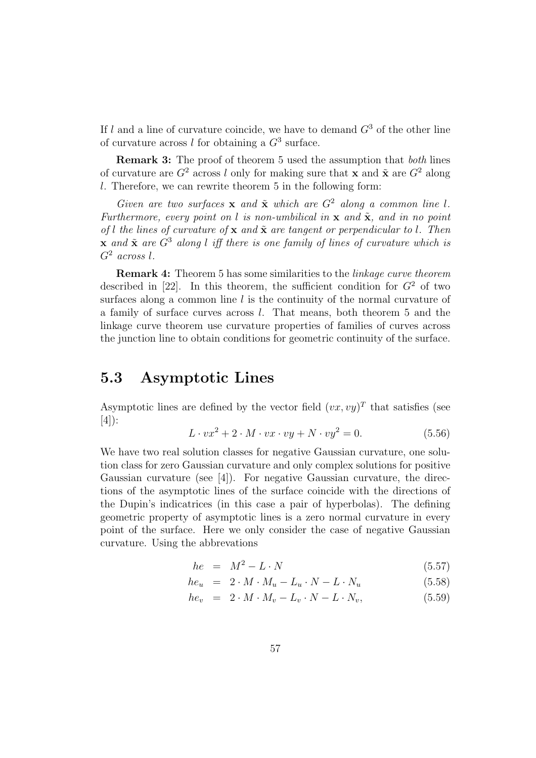If l and a line of curvature coincide, we have to demand  $G<sup>3</sup>$  of the other line of curvature across l for obtaining a  $G<sup>3</sup>$  surface.

**Remark 3:** The proof of theorem 5 used the assumption that *both* lines of curvature are  $G^2$  across l only for making sure that **x** and  $\tilde{\mathbf{x}}$  are  $G^2$  along  $l.$  Therefore, we can rewrite theorem 5 in the following form:

Given are two surfaces  $\bf{x}$  and  $\tilde{\bf{x}}$  which are  $G^2$  along a common line l. Furthermore, every point on l is non-umbilical in  $\bf{x}$  and  $\tilde{\bf{x}}$ , and in no point of l the lines of curvature of  $x$  and  $\tilde{x}$  are tangent or perpendicular to l. Then **x** and  $\tilde{x}$  are  $G^3$  along l iff there is one family of lines of curvature which is  $G<sup>2</sup>$  across l.

**Remark 4:** Theorem 5 has some similarities to the linkage curve theorem described in [22]. In this theorem, the sufficient condition for  $G<sup>2</sup>$  of two surfaces along a common line  $l$  is the continuity of the normal curvature of a family of surface curves across l. That means, both theorem 5 and the linkage curve theorem use curvature properties of families of curves across the junction line to obtain conditions for geometric continuity of the surface.

### **5.3 Asymptotic Lines**

Asymptotic lines are defined by the vector field  $(vx, vy)^T$  that satisfies (see [4]):

$$
L \cdot vx^2 + 2 \cdot M \cdot vx \cdot vy + N \cdot vy^2 = 0. \tag{5.56}
$$

We have two real solution classes for negative Gaussian curvature, one solution class for zero Gaussian curvature and only complex solutions for positive Gaussian curvature (see [4]). For negative Gaussian curvature, the directions of the asymptotic lines of the surface coincide with the directions of the Dupin's indicatrices (in this case a pair of hyperbolas). The defining geometric property of asymptotic lines is a zero normal curvature in every point of the surface. Here we only consider the case of negative Gaussian curvature. Using the abbrevations

$$
he = M^2 - L \cdot N \tag{5.57}
$$

$$
he_u = 2 \cdot M \cdot M_u - L_u \cdot N - L \cdot N_u \tag{5.58}
$$

$$
he_v = 2 \cdot M \cdot M_v - L_v \cdot N - L \cdot N_v, \qquad (5.59)
$$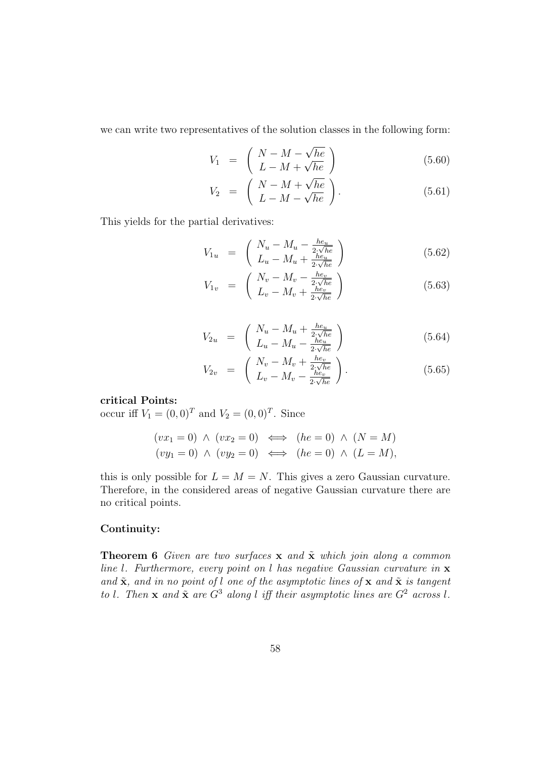we can write two representatives of the solution classes in the following form:

$$
V_1 = \begin{pmatrix} N - M - \sqrt{he} \\ L - M + \sqrt{he} \end{pmatrix}
$$
 (5.60)

$$
V_2 = \begin{pmatrix} N - M + \sqrt{he} \\ L - M - \sqrt{he} \end{pmatrix}.
$$
 (5.61)

This yields for the partial derivatives:

$$
V_{1u} = \begin{pmatrix} N_u - M_u - \frac{he_u}{2\sqrt{he}} \\ L_u - M_u + \frac{he_u}{2\sqrt{he}} \end{pmatrix}
$$
 (5.62)

$$
V_{1v} = \begin{pmatrix} N_v - M_v - \frac{he_v}{2\sqrt{he}} \\ L_v - M_v + \frac{he_v}{2\sqrt{he}} \end{pmatrix}
$$
 (5.63)

$$
V_{2u} = \begin{pmatrix} N_u - M_u + \frac{he_u}{2\sqrt{he}}\\ L_u - M_u - \frac{he_u}{2\sqrt{he}} \end{pmatrix}
$$
 (5.64)

$$
V_{2v} = \begin{pmatrix} N_v - M_v + \frac{he_v}{2\sqrt{he}} \\ L_v - M_v - \frac{he_v}{2\sqrt{he}} \end{pmatrix}.
$$
 (5.65)

#### **critical Points:**

occur iff  $V_1 = (0, 0)^T$  and  $V_2 = (0, 0)^T$ . Since

$$
(vx1 = 0) \land (vx2 = 0) \iff (he = 0) \land (N = M)
$$
  

$$
(vy1 = 0) \land (vy2 = 0) \iff (he = 0) \land (L = M),
$$

this is only possible for  $L = M = N$ . This gives a zero Gaussian curvature. Therefore, in the considered areas of negative Gaussian curvature there are no critical points.

#### **Continuity:**

**Theorem 6** Given are two surfaces **x** and  $\tilde{\mathbf{x}}$  which join along a common line l. Furthermore, every point on l has negative Gaussian curvature in **x** and  $\tilde{\mathbf{x}}$ , and in no point of l one of the asymptotic lines of  $\mathbf{x}$  and  $\tilde{\mathbf{x}}$  is tangent to l. Then **x** and  $\tilde{\mathbf{x}}$  are  $G^3$  along l iff their asymptotic lines are  $G^2$  across l.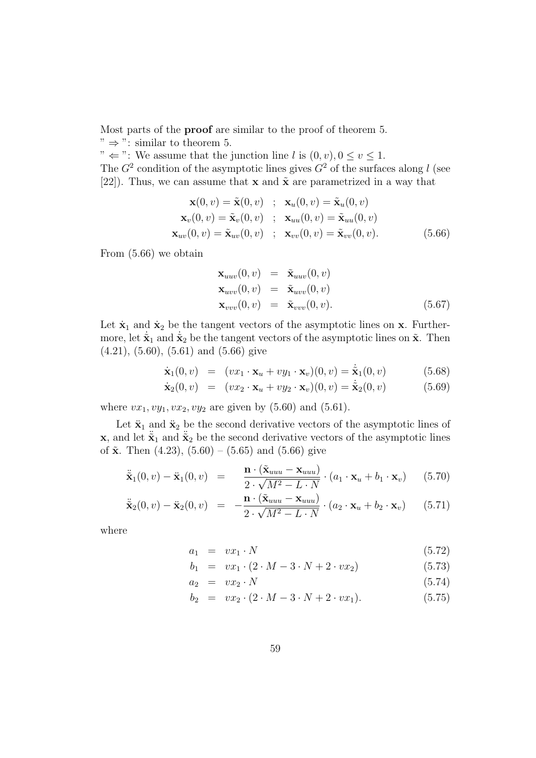Most parts of the **proof** are similar to the proof of theorem 5.

 $"\Rightarrow$  ": similar to theorem 5.

"  $\Leftarrow$  ": We assume that the junction line *l* is  $(0, v), 0 \le v \le 1$ . The  $G^2$  condition of the asymptotic lines gives  $G^2$  of the surfaces along l (see [22]). Thus, we can assume that **x** and  $\tilde{\mathbf{x}}$  are parametrized in a way that

$$
\mathbf{x}(0, v) = \tilde{\mathbf{x}}(0, v) ; \mathbf{x}_u(0, v) = \tilde{\mathbf{x}}_u(0, v)
$$
  
\n
$$
\mathbf{x}_v(0, v) = \tilde{\mathbf{x}}_v(0, v) ; \mathbf{x}_{uu}(0, v) = \tilde{\mathbf{x}}_{uu}(0, v)
$$
  
\n
$$
\mathbf{x}_{uv}(0, v) = \tilde{\mathbf{x}}_{uv}(0, v) ; \mathbf{x}_{vv}(0, v) = \tilde{\mathbf{x}}_{vv}(0, v).
$$
 (5.66)

From (5.66) we obtain

$$
\mathbf{x}_{uuv}(0, v) = \tilde{\mathbf{x}}_{uuv}(0, v) \n\mathbf{x}_{uvv}(0, v) = \tilde{\mathbf{x}}_{uvv}(0, v) \n\mathbf{x}_{vvv}(0, v) = \tilde{\mathbf{x}}_{vvv}(0, v).
$$
\n(5.67)

Let  $\dot{\mathbf{x}}_1$  and  $\dot{\mathbf{x}}_2$  be the tangent vectors of the asymptotic lines on **x**. Furthermore, let  $\tilde{\mathbf{x}}_1$  and  $\tilde{\mathbf{x}}_2$  be the tangent vectors of the asymptotic lines on  $\tilde{\mathbf{x}}$ . Then (4.21), (5.60), (5.61) and (5.66) give

$$
\dot{\mathbf{x}}_1(0,v) = (vx_1 \cdot \mathbf{x}_u + vy_1 \cdot \mathbf{x}_v)(0,v) = \dot{\tilde{\mathbf{x}}}_1(0,v) \tag{5.68}
$$

$$
\dot{\mathbf{x}}_2(0,v) = (vx_2 \cdot \mathbf{x}_u + vy_2 \cdot \mathbf{x}_v)(0,v) = \dot{\tilde{\mathbf{x}}}_2(0,v) \tag{5.69}
$$

where  $vx_1, vy_1, vx_2, vy_2$  are given by (5.60) and (5.61).

Let  $\ddot{\mathbf{x}}_1$  and  $\ddot{\mathbf{x}}_2$  be the second derivative vectors of the asymptotic lines of **x**, and let  $\tilde{\mathbf{x}}_1$  and  $\tilde{\mathbf{x}}_2$  be the second derivative vectors of the asymptotic lines of  $\tilde{x}$ . Then (4.23), (5.60) – (5.65) and (5.66) give

$$
\ddot{\mathbf{x}}_1(0,v) - \mathbf{x}_1(0,v) = \frac{\mathbf{n} \cdot (\tilde{\mathbf{x}}_{uuu} - \mathbf{x}_{uuu})}{2 \cdot \sqrt{M^2 - L \cdot N}} \cdot (a_1 \cdot \mathbf{x}_u + b_1 \cdot \mathbf{x}_v) \qquad (5.70)
$$

$$
\ddot{\mathbf{x}}_2(0,v) - \ddot{\mathbf{x}}_2(0,v) = -\frac{\mathbf{n} \cdot (\tilde{\mathbf{x}}_{uuu} - \mathbf{x}_{uuu})}{2 \cdot \sqrt{M^2 - L \cdot N}} \cdot (a_2 \cdot \mathbf{x}_u + b_2 \cdot \mathbf{x}_v) \qquad (5.71)
$$

where

$$
a_1 = vx_1 \cdot N \tag{5.72}
$$

$$
b_1 = vx_1 \cdot (2 \cdot M - 3 \cdot N + 2 \cdot vx_2) \tag{5.73}
$$

$$
a_2 = vx_2 \cdot N \tag{5.74}
$$

$$
b_2 = vx_2 \cdot (2 \cdot M - 3 \cdot N + 2 \cdot vx_1). \tag{5.75}
$$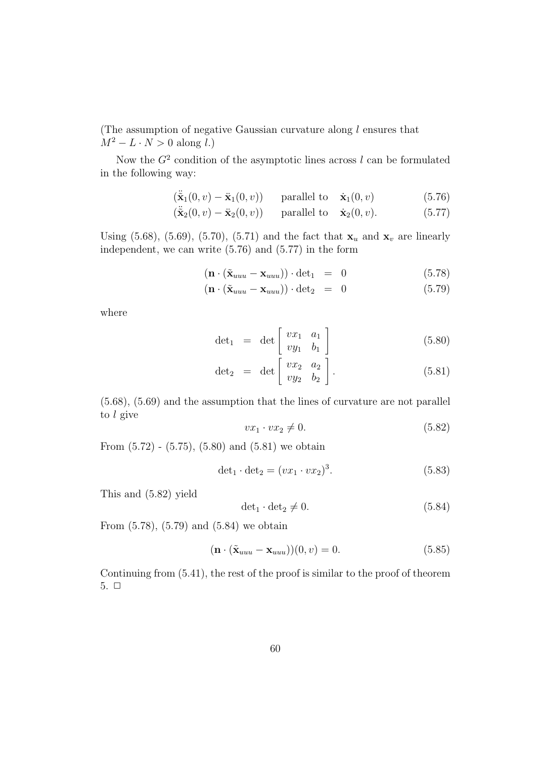(The assumption of negative Gaussian curvature along  $l$  ensures that  $M^2 - L \cdot N > 0$  along l.)

Now the  $G^2$  condition of the asymptotic lines across l can be formulated in the following way:

$$
(\ddot{\tilde{\mathbf{x}}}_1(0, v) - \ddot{\mathbf{x}}_1(0, v)) \quad \text{parallel to} \quad \dot{\mathbf{x}}_1(0, v) \tag{5.76}
$$

$$
(\ddot{\tilde{\mathbf{x}}}_2(0,v) - \ddot{\mathbf{x}}_2(0,v)) \quad \text{parallel to} \quad \dot{\mathbf{x}}_2(0,v). \tag{5.77}
$$

Using (5.68), (5.69), (5.70), (5.71) and the fact that  $\mathbf{x}_u$  and  $\mathbf{x}_v$  are linearly independent, we can write (5.76) and (5.77) in the form

$$
(\mathbf{n} \cdot (\tilde{\mathbf{x}}_{uuu} - \mathbf{x}_{uuu})) \cdot \det_1 = 0 \tag{5.78}
$$

$$
(\mathbf{n} \cdot (\tilde{\mathbf{x}}_{uuu} - \mathbf{x}_{uuu})) \cdot \det_2 = 0 \tag{5.79}
$$

where

$$
\det_1 = \det \begin{bmatrix} v x_1 & a_1 \\ v y_1 & b_1 \end{bmatrix} \tag{5.80}
$$

$$
\det_2 = \det \left[ \begin{array}{cc} vx_2 & a_2 \\ vy_2 & b_2 \end{array} \right]. \tag{5.81}
$$

(5.68), (5.69) and the assumption that the lines of curvature are not parallel to l give

$$
vx_1 \cdot vx_2 \neq 0. \tag{5.82}
$$

From  $(5.72)$  -  $(5.75)$ ,  $(5.80)$  and  $(5.81)$  we obtain

$$
\det_1 \cdot \det_2 = (vx_1 \cdot vx_2)^3. \tag{5.83}
$$

This and (5.82) yield

$$
\det_1 \cdot \det_2 \neq 0. \tag{5.84}
$$

From (5.78), (5.79) and (5.84) we obtain

$$
(\mathbf{n} \cdot (\tilde{\mathbf{x}}_{uuu} - \mathbf{x}_{uuu})) (0, v) = 0.
$$
 (5.85)

Continuing from (5.41), the rest of the proof is similar to the proof of theorem  $5. \Box$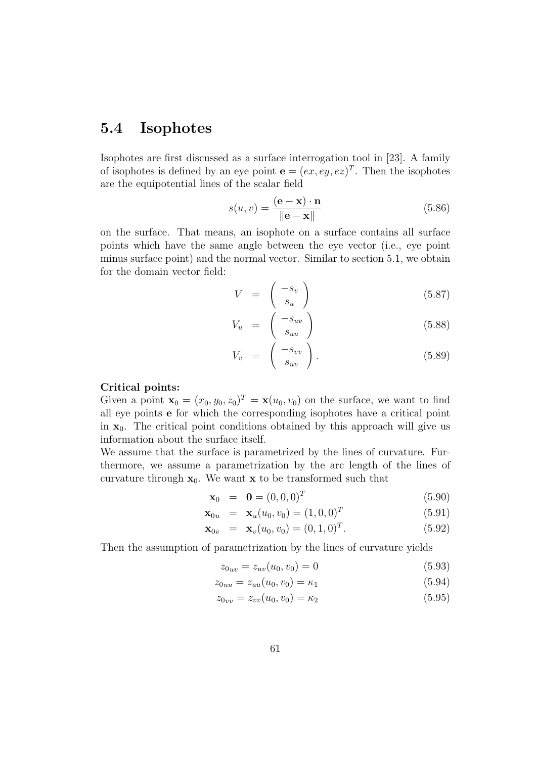## **5.4 Isophotes**

Isophotes are first discussed as a surface interrogation tool in [23]. A family of isophotes is defined by an eye point  $\mathbf{e} = (ex, ey, ez)^T$ . Then the isophotes are the equipotential lines of the scalar field

$$
s(u, v) = \frac{(\mathbf{e} - \mathbf{x}) \cdot \mathbf{n}}{\|\mathbf{e} - \mathbf{x}\|}
$$
(5.86)

on the surface. That means, an isophote on a surface contains all surface points which have the same angle between the eye vector (i.e., eye point minus surface point) and the normal vector. Similar to section 5.1, we obtain for the domain vector field:

$$
V = \begin{pmatrix} -s_v \\ s_u \end{pmatrix} \tag{5.87}
$$

$$
V_u = \begin{pmatrix} -s_{uv} \\ s_{uu} \end{pmatrix} \tag{5.88}
$$

$$
V_v = \begin{pmatrix} -s_{vv} \\ s_{uv} \end{pmatrix}.
$$
 (5.89)

#### **Critical points:**

Given a point  $\mathbf{x}_0 = (x_0, y_0, z_0)^T = \mathbf{x}(u_0, v_0)$  on the surface, we want to find all eye points **e** for which the corresponding isophotes have a critical point in  $x_0$ . The critical point conditions obtained by this approach will give us information about the surface itself.

We assume that the surface is parametrized by the lines of curvature. Furthermore, we assume a parametrization by the arc length of the lines of curvature through  $\mathbf{x}_0$ . We want **x** to be transformed such that

$$
\mathbf{x}_0 = \mathbf{0} = (0, 0, 0)^T \tag{5.90}
$$

$$
\mathbf{x}_{0u} = \mathbf{x}_{u}(u_0, v_0) = (1, 0, 0)^T
$$
\n(5.91)

$$
\mathbf{x}_{0v} = \mathbf{x}_v(u_0, v_0) = (0, 1, 0)^T.
$$
 (5.92)

Then the assumption of parametrization by the lines of curvature yields

$$
z_{0uv} = z_{uv}(u_0, v_0) = 0
$$
\n(5.93)

$$
z_{0uu} = z_{uu}(u_0, v_0) = \kappa_1 \tag{5.94}
$$

$$
z_{0vv} = z_{vv}(u_0, v_0) = \kappa_2 \tag{5.95}
$$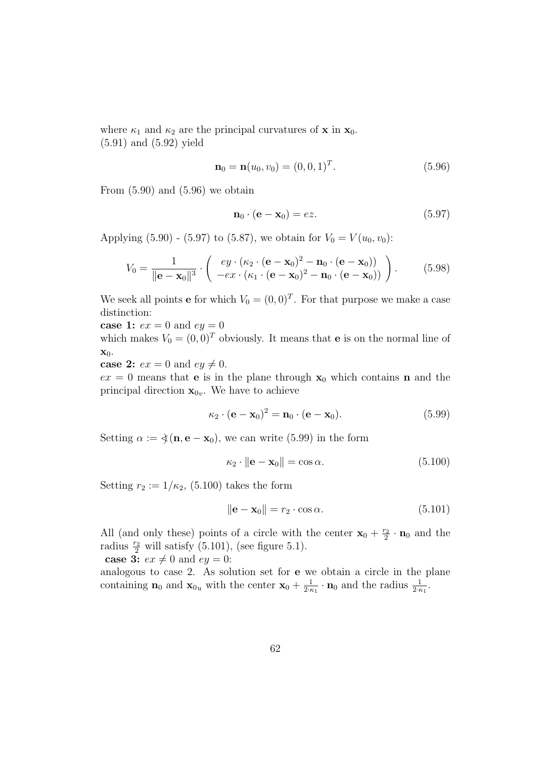where  $\kappa_1$  and  $\kappa_2$  are the principal curvatures of **x** in **x**<sub>0</sub>. (5.91) and (5.92) yield

$$
\mathbf{n}_0 = \mathbf{n}(u_0, v_0) = (0, 0, 1)^T. \tag{5.96}
$$

From  $(5.90)$  and  $(5.96)$  we obtain

$$
\mathbf{n}_0 \cdot (\mathbf{e} - \mathbf{x}_0) = ez. \tag{5.97}
$$

Applying (5.90) - (5.97) to (5.87), we obtain for  $V_0 = V(u_0, v_0)$ :

$$
V_0 = \frac{1}{\|\mathbf{e} - \mathbf{x}_0\|^3} \cdot \begin{pmatrix} ey \cdot (\kappa_2 \cdot (\mathbf{e} - \mathbf{x}_0)^2 - \mathbf{n}_0 \cdot (\mathbf{e} - \mathbf{x}_0)) \\ -ex \cdot (\kappa_1 \cdot (\mathbf{e} - \mathbf{x}_0)^2 - \mathbf{n}_0 \cdot (\mathbf{e} - \mathbf{x}_0)) \end{pmatrix} . \tag{5.98}
$$

We seek all points **e** for which  $V_0 = (0, 0)^T$ . For that purpose we make a case distinction:

**case 1:**  $ex = 0$  and  $ey = 0$ 

which makes  $V_0 = (0, 0)^T$  obviously. It means that **e** is on the normal line of **x**0.

**case 2:**  $ex = 0$  and  $ey \neq 0$ .

 $ex = 0$  means that **e** is in the plane through  $x_0$  which contains **n** and the principal direction  $\mathbf{x}_{0v}$ . We have to achieve

$$
\kappa_2 \cdot (\mathbf{e} - \mathbf{x}_0)^2 = \mathbf{n}_0 \cdot (\mathbf{e} - \mathbf{x}_0). \tag{5.99}
$$

Setting  $\alpha := \xi(\mathbf{n}, \mathbf{e} - \mathbf{x}_0)$ , we can write (5.99) in the form

$$
\kappa_2 \cdot \|\mathbf{e} - \mathbf{x}_0\| = \cos \alpha. \tag{5.100}
$$

Setting  $r_2 := 1/\kappa_2$ , (5.100) takes the form

$$
\|\mathbf{e} - \mathbf{x}_0\| = r_2 \cdot \cos \alpha. \tag{5.101}
$$

All (and only these) points of a circle with the center  $\mathbf{x}_0 + \frac{r_2}{2} \cdot \mathbf{n}_0$  and the radius  $\frac{r_2}{2}$  will satisfy (5.101), (see figure 5.1).

**case 3:**  $ex \neq 0$  and  $ey = 0$ :

analogous to case 2. As solution set for **e** we obtain a circle in the plane containing **n**<sub>0</sub> and **x**<sub>0u</sub> with the center **x**<sub>0</sub> +  $\frac{1}{2 \cdot \kappa_1} \cdot \mathbf{n}_0$  and the radius  $\frac{1}{2 \cdot \kappa_1}$ .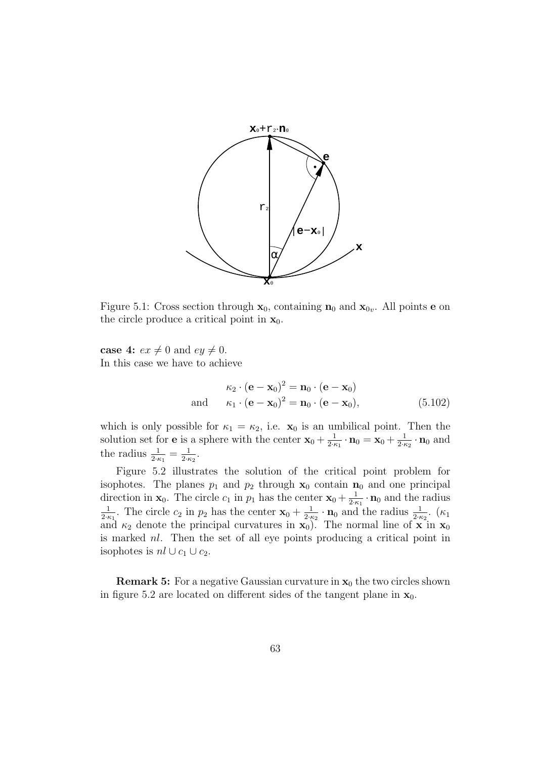

Figure 5.1: Cross section through  $\mathbf{x}_0$ , containing  $\mathbf{n}_0$  and  $\mathbf{x}_{0v}$ . All points **e** on the circle produce a critical point in  $\mathbf{x}_0$ .

**case 4:**  $ex \neq 0$  and  $ey \neq 0$ . In this case we have to achieve

$$
\kappa_2 \cdot (\mathbf{e} - \mathbf{x}_0)^2 = \mathbf{n}_0 \cdot (\mathbf{e} - \mathbf{x}_0)
$$
  
and 
$$
\kappa_1 \cdot (\mathbf{e} - \mathbf{x}_0)^2 = \mathbf{n}_0 \cdot (\mathbf{e} - \mathbf{x}_0),
$$
 (5.102)

which is only possible for  $\kappa_1 = \kappa_2$ , i.e.  $\mathbf{x}_0$  is an umbilical point. Then the solution set for **e** is a sphere with the center  $\mathbf{x}_0 + \frac{1}{2 \cdot \kappa_1} \cdot \mathbf{n}_0 = \mathbf{x}_0 + \frac{1}{2 \cdot \kappa_2} \cdot \mathbf{n}_0$  and the radius  $\frac{1}{2 \cdot \kappa_1} = \frac{1}{2 \cdot \kappa_2}$ .

Figure 5.2 illustrates the solution of the critical point problem for isophotes. The planes  $p_1$  and  $p_2$  through  $\mathbf{x}_0$  contain  $\mathbf{n}_0$  and one principal direction in **x**<sub>0</sub>. The circle  $c_1$  in  $p_1$  has the center  $\mathbf{x}_0 + \frac{1}{2 \cdot \kappa_1} \cdot \mathbf{n}_0$  and the radius  $\frac{1}{2 \cdot \kappa_1}$ . The circle  $c_2$  in  $p_2$  has the center  $\mathbf{x}_0 + \frac{1}{2 \cdot \kappa_2} \cdot \mathbf{n}_0$  and the radius  $\frac{1}{$ and  $\kappa_2$  denote the principal curvatures in  $\mathbf{x}_0$ ). The normal line of  $\mathbf{x}$  in  $\mathbf{x}_0$ is marked nl. Then the set of all eye points producing a critical point in isophotes is  $nl \cup c_1 \cup c_2$ .

**Remark 5:** For a negative Gaussian curvature in  $x_0$  the two circles shown in figure 5.2 are located on different sides of the tangent plane in  $\mathbf{x}_0$ .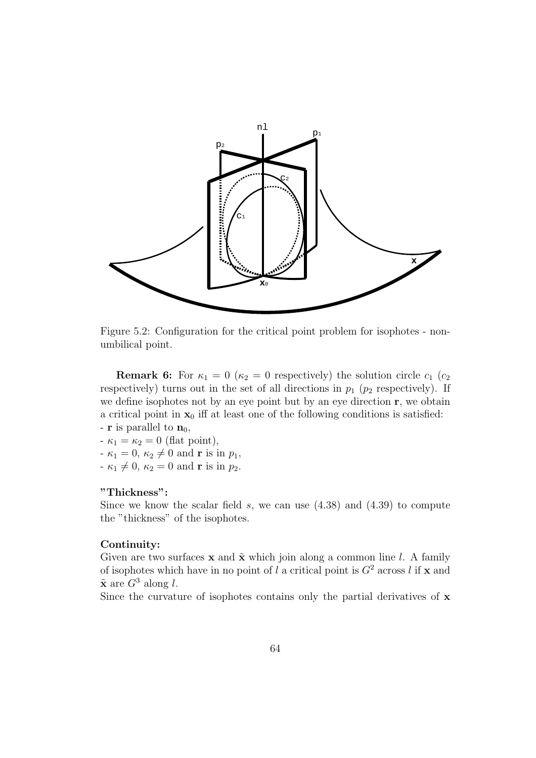

Figure 5.2: Configuration for the critical point problem for isophotes - nonumbilical point.

**Remark 6:** For  $\kappa_1 = 0$  ( $\kappa_2 = 0$  respectively) the solution circle  $c_1$  ( $c_2$ ) respectively) turns out in the set of all directions in  $p_1$  ( $p_2$  respectively). If we define isophotes not by an eye point but by an eye direction **r**, we obtain a critical point in  $x_0$  iff at least one of the following conditions is satisfied:

- **r** is parallel to  $n_0$ ,  $-\kappa_1 = \kappa_2 = 0$  (flat point),
- $-\kappa_1 = 0, \, \kappa_2 \neq 0 \text{ and } \mathbf{r} \text{ is in } p_1,$
- $-\kappa_1 \neq 0, \kappa_2 = 0$  and **r** is in  $p_2$ .

#### **"Thickness":**

Since we know the scalar field  $s$ , we can use  $(4.38)$  and  $(4.39)$  to compute the "thickness" of the isophotes.

#### **Continuity:**

Given are two surfaces  $\bf{x}$  and  $\tilde{\bf{x}}$  which join along a common line l. A family of isophotes which have in no point of l a critical point is  $G^2$  across l if **x** and  $\tilde{\mathbf{x}}$  are  $G^3$  along l.

Since the curvature of isophotes contains only the partial derivatives of **x**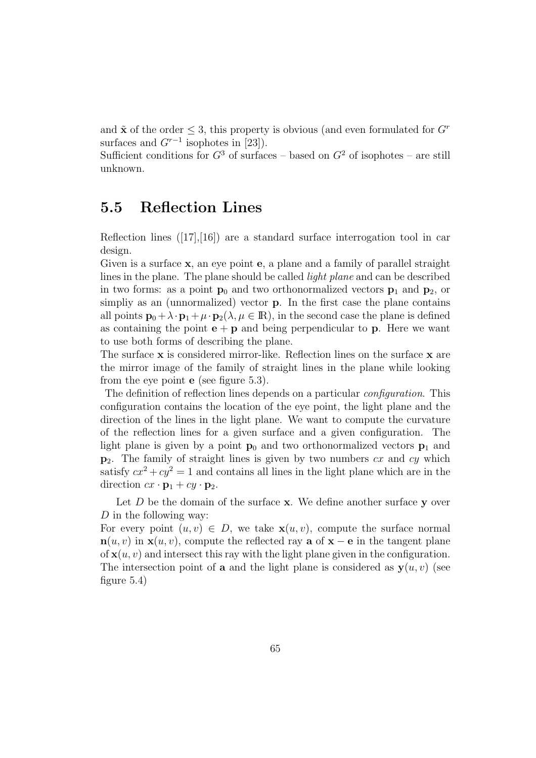and  $\tilde{\mathbf{x}}$  of the order  $\leq$  3, this property is obvious (and even formulated for  $G<sup>r</sup>$ surfaces and  $G^{r-1}$  isophotes in [23]).

Sufficient conditions for  $G^3$  of surfaces – based on  $G^2$  of isophotes – are still unknown.

### **5.5 Reflection Lines**

Reflection lines  $([17],[16])$  are a standard surface interrogation tool in car design.

Given is a surface **x**, an eye point **e**, a plane and a family of parallel straight lines in the plane. The plane should be called light plane and can be described in two forms: as a point  $\mathbf{p}_0$  and two orthonormalized vectors  $\mathbf{p}_1$  and  $\mathbf{p}_2$ , or simpliy as an (unnormalized) vector **p**. In the first case the plane contains all points  $\mathbf{p}_0 + \lambda \cdot \mathbf{p}_1 + \mu \cdot \mathbf{p}_2(\lambda, \mu \in \mathbb{R})$ , in the second case the plane is defined as containing the point  $\mathbf{e} + \mathbf{p}$  and being perpendicular to **p**. Here we want to use both forms of describing the plane.

The surface **x** is considered mirror-like. Reflection lines on the surface **x** are the mirror image of the family of straight lines in the plane while looking from the eye point **e** (see figure 5.3).

The definition of reflection lines depends on a particular configuration. This configuration contains the location of the eye point, the light plane and the direction of the lines in the light plane. We want to compute the curvature of the reflection lines for a given surface and a given configuration. The light plane is given by a point  $\mathbf{p}_0$  and two orthonormalized vectors  $\mathbf{p}_1$  and **p**2. The family of straight lines is given by two numbers cx and cy which satisfy  $cx^2 + cy^2 = 1$  and contains all lines in the light plane which are in the direction  $cx \cdot \mathbf{p}_1 + cy \cdot \mathbf{p}_2$ .

Let D be the domain of the surface **x**. We define another surface **y** over D in the following way:

For every point  $(u, v) \in D$ , we take  $\mathbf{x}(u, v)$ , compute the surface normal **n**(u, v) in **x**(u, v), compute the reflected ray **a** of **x** − **e** in the tangent plane of  $\mathbf{x}(u, v)$  and intersect this ray with the light plane given in the configuration. The intersection point of **a** and the light plane is considered as  $y(u, v)$  (see figure 5.4)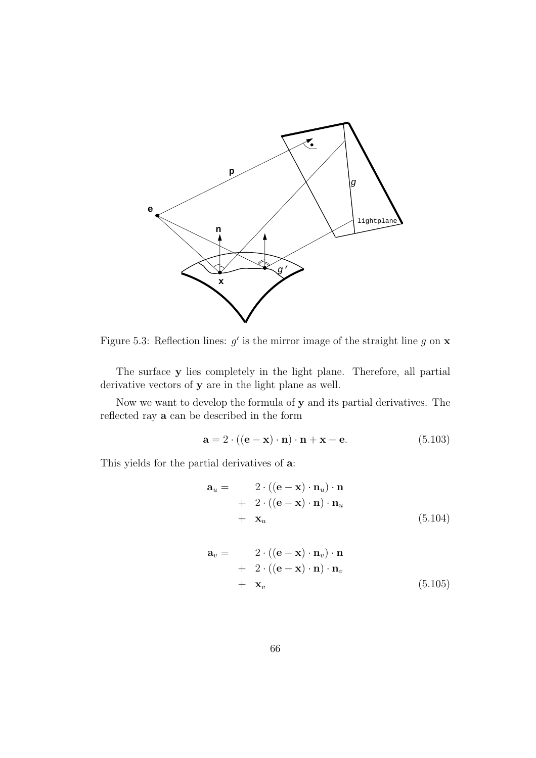

Figure 5.3: Reflection lines:  $g'$  is the mirror image of the straight line g on **x** 

The surface **y** lies completely in the light plane. Therefore, all partial derivative vectors of **y** are in the light plane as well.

Now we want to develop the formula of **y** and its partial derivatives. The reflected ray **a** can be described in the form

$$
\mathbf{a} = 2 \cdot ((\mathbf{e} - \mathbf{x}) \cdot \mathbf{n}) \cdot \mathbf{n} + \mathbf{x} - \mathbf{e}. \tag{5.103}
$$

This yields for the partial derivatives of **a**:

$$
\mathbf{a}_{u} = \begin{array}{c} 2 \cdot ((\mathbf{e} - \mathbf{x}) \cdot \mathbf{n}_{u}) \cdot \mathbf{n} \\ + 2 \cdot ((\mathbf{e} - \mathbf{x}) \cdot \mathbf{n}) \cdot \mathbf{n}_{u} \\ + \mathbf{x}_{u} \end{array} \tag{5.104}
$$

$$
\mathbf{a}_v = \begin{array}{c} 2 \cdot ((\mathbf{e} - \mathbf{x}) \cdot \mathbf{n}_v) \cdot \mathbf{n} \\ + 2 \cdot ((\mathbf{e} - \mathbf{x}) \cdot \mathbf{n}) \cdot \mathbf{n}_v \\ + \mathbf{x}_v \end{array} \tag{5.105}
$$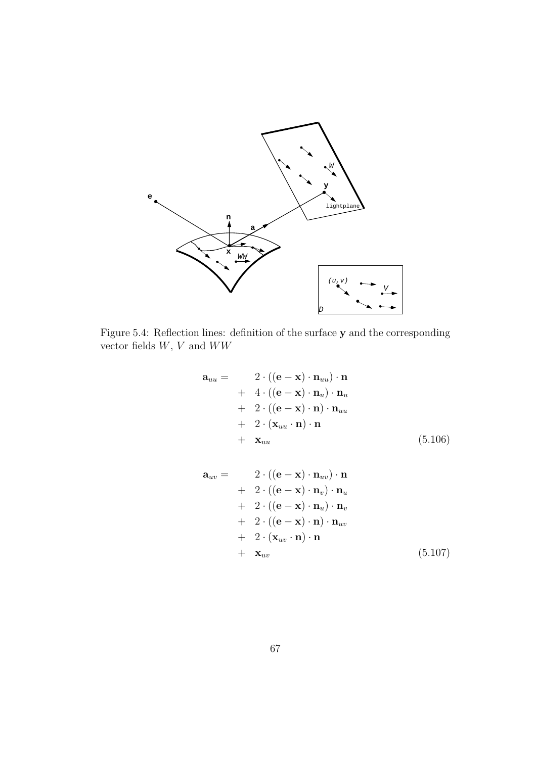

Figure 5.4: Reflection lines: definition of the surface **y** and the corresponding vector fields  $W, V$  and  $WW$ 

$$
\mathbf{a}_{uu} = 2 \cdot ((\mathbf{e} - \mathbf{x}) \cdot \mathbf{n}_{uu}) \cdot \mathbf{n} + 4 \cdot ((\mathbf{e} - \mathbf{x}) \cdot \mathbf{n}_{u}) \cdot \mathbf{n}_{u} + 2 \cdot ((\mathbf{e} - \mathbf{x}) \cdot \mathbf{n}) \cdot \mathbf{n}_{uu} + 2 \cdot (\mathbf{x}_{uu} \cdot \mathbf{n}) \cdot \mathbf{n} + \mathbf{x}_{uu}
$$
 (5.106)

$$
\mathbf{a}_{uv} = 2 \cdot ((\mathbf{e} - \mathbf{x}) \cdot \mathbf{n}_{uv}) \cdot \mathbf{n} + 2 \cdot ((\mathbf{e} - \mathbf{x}) \cdot \mathbf{n}_{v}) \cdot \mathbf{n}_{u} + 2 \cdot ((\mathbf{e} - \mathbf{x}) \cdot \mathbf{n}_{u}) \cdot \mathbf{n}_{v} + 2 \cdot ((\mathbf{e} - \mathbf{x}) \cdot \mathbf{n}) \cdot \mathbf{n}_{uv} + 2 \cdot (\mathbf{x}_{uv} \cdot \mathbf{n}) \cdot \mathbf{n} + \mathbf{x}_{uv}
$$
 (5.107)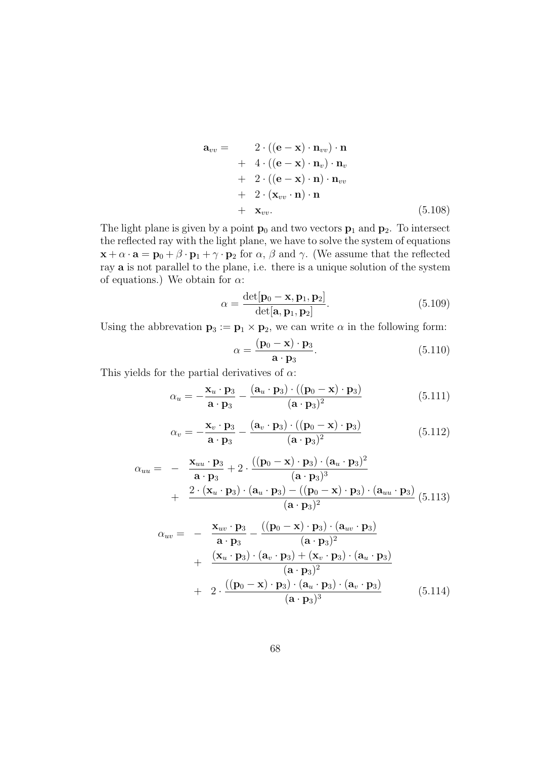$$
\mathbf{a}_{vv} = 2 \cdot ((\mathbf{e} - \mathbf{x}) \cdot \mathbf{n}_{vv}) \cdot \mathbf{n} + 4 \cdot ((\mathbf{e} - \mathbf{x}) \cdot \mathbf{n}_{v}) \cdot \mathbf{n}_{v} + 2 \cdot ((\mathbf{e} - \mathbf{x}) \cdot \mathbf{n}) \cdot \mathbf{n}_{vv} + 2 \cdot (\mathbf{x}_{vv} \cdot \mathbf{n}) \cdot \mathbf{n} + \mathbf{x}_{vv}. \tag{5.108}
$$

The light plane is given by a point  $\mathbf{p}_0$  and two vectors  $\mathbf{p}_1$  and  $\mathbf{p}_2$ . To intersect the reflected ray with the light plane, we have to solve the system of equations  $\mathbf{x} + \alpha \cdot \mathbf{a} = \mathbf{p}_0 + \beta \cdot \mathbf{p}_1 + \gamma \cdot \mathbf{p}_2$  for  $\alpha, \beta$  and  $\gamma$ . (We assume that the reflected ray **a** is not parallel to the plane, i.e. there is a unique solution of the system of equations.) We obtain for  $\alpha$ :

$$
\alpha = \frac{\det[\mathbf{p}_0 - \mathbf{x}, \mathbf{p}_1, \mathbf{p}_2]}{\det[\mathbf{a}, \mathbf{p}_1, \mathbf{p}_2]}.
$$
(5.109)

Using the abbrevation  $\mathbf{p}_3 := \mathbf{p}_1 \times \mathbf{p}_2$ , we can write  $\alpha$  in the following form:

$$
\alpha = \frac{(\mathbf{p}_0 - \mathbf{x}) \cdot \mathbf{p}_3}{\mathbf{a} \cdot \mathbf{p}_3}.
$$
 (5.110)

This yields for the partial derivatives of  $\alpha$ :

$$
\alpha_u = -\frac{\mathbf{x}_u \cdot \mathbf{p}_3}{\mathbf{a} \cdot \mathbf{p}_3} - \frac{(\mathbf{a}_u \cdot \mathbf{p}_3) \cdot ((\mathbf{p}_0 - \mathbf{x}) \cdot \mathbf{p}_3)}{(\mathbf{a} \cdot \mathbf{p}_3)^2}
$$
(5.111)

$$
\alpha_v = -\frac{\mathbf{x}_v \cdot \mathbf{p}_3}{\mathbf{a} \cdot \mathbf{p}_3} - \frac{(\mathbf{a}_v \cdot \mathbf{p}_3) \cdot ((\mathbf{p}_0 - \mathbf{x}) \cdot \mathbf{p}_3)}{(\mathbf{a} \cdot \mathbf{p}_3)^2}
$$
(5.112)

$$
\alpha_{uu} = -\frac{\mathbf{x}_{uu} \cdot \mathbf{p}_3}{\mathbf{a} \cdot \mathbf{p}_3} + 2 \cdot \frac{((\mathbf{p}_0 - \mathbf{x}) \cdot \mathbf{p}_3) \cdot (\mathbf{a}_u \cdot \mathbf{p}_3)^2}{(\mathbf{a} \cdot \mathbf{p}_3)^3} + \frac{2 \cdot (\mathbf{x}_u \cdot \mathbf{p}_3) \cdot (\mathbf{a}_u \cdot \mathbf{p}_3) - ((\mathbf{p}_0 - \mathbf{x}) \cdot \mathbf{p}_3) \cdot (\mathbf{a}_{uu} \cdot \mathbf{p}_3)}{(\mathbf{a} \cdot \mathbf{p}_3)^2} (5.113)
$$

$$
\alpha_{uv} = -\frac{\mathbf{x}_{uv} \cdot \mathbf{p}_3}{\mathbf{a} \cdot \mathbf{p}_3} - \frac{((\mathbf{p}_0 - \mathbf{x}) \cdot \mathbf{p}_3) \cdot (\mathbf{a}_{uv} \cdot \mathbf{p}_3)}{(\mathbf{a} \cdot \mathbf{p}_3)^2} + \frac{(\mathbf{x}_u \cdot \mathbf{p}_3) \cdot (\mathbf{a}_v \cdot \mathbf{p}_3) + (\mathbf{x}_v \cdot \mathbf{p}_3) \cdot (\mathbf{a}_u \cdot \mathbf{p}_3)}{(\mathbf{a} \cdot \mathbf{p}_3)^2} + 2 \cdot \frac{((\mathbf{p}_0 - \mathbf{x}) \cdot \mathbf{p}_3) \cdot (\mathbf{a}_u \cdot \mathbf{p}_3) \cdot (\mathbf{a}_v \cdot \mathbf{p}_3)}{(\mathbf{a} \cdot \mathbf{p}_3)^3}
$$
(5.114)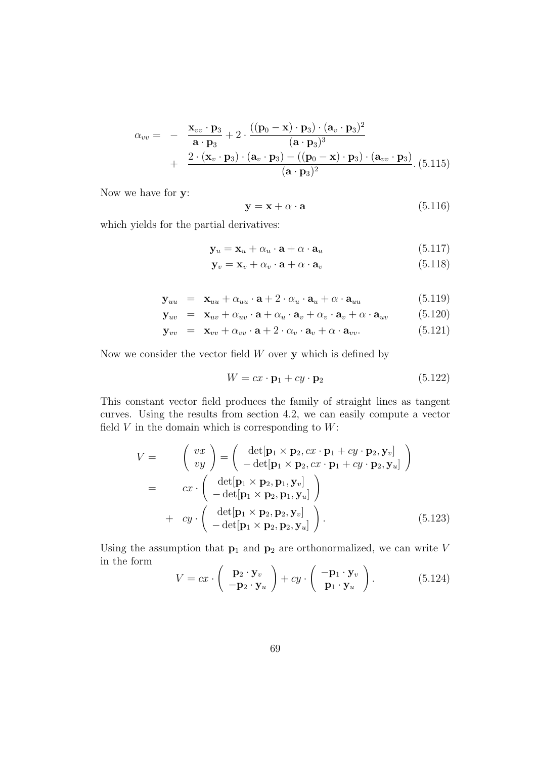$$
\alpha_{vv} = -\frac{\mathbf{x}_{vv} \cdot \mathbf{p}_3}{\mathbf{a} \cdot \mathbf{p}_3} + 2 \cdot \frac{((\mathbf{p}_0 - \mathbf{x}) \cdot \mathbf{p}_3) \cdot (\mathbf{a}_v \cdot \mathbf{p}_3)^2}{(\mathbf{a} \cdot \mathbf{p}_3)^3} + \frac{2 \cdot (\mathbf{x}_v \cdot \mathbf{p}_3) \cdot (\mathbf{a}_v \cdot \mathbf{p}_3) - ((\mathbf{p}_0 - \mathbf{x}) \cdot \mathbf{p}_3) \cdot (\mathbf{a}_{vv} \cdot \mathbf{p}_3)}{(\mathbf{a} \cdot \mathbf{p}_3)^2} \cdot (5.115)
$$

Now we have for **y**:

$$
y = x + \alpha \cdot a \tag{5.116}
$$

which yields for the partial derivatives:

$$
\mathbf{y}_u = \mathbf{x}_u + \alpha_u \cdot \mathbf{a} + \alpha \cdot \mathbf{a}_u \tag{5.117}
$$

$$
\mathbf{y}_v = \mathbf{x}_v + \alpha_v \cdot \mathbf{a} + \alpha \cdot \mathbf{a}_v \tag{5.118}
$$

$$
\mathbf{y}_{uu} = \mathbf{x}_{uu} + \alpha_{uu} \cdot \mathbf{a} + 2 \cdot \alpha_u \cdot \mathbf{a}_u + \alpha \cdot \mathbf{a}_{uu} \tag{5.119}
$$

$$
\mathbf{y}_{uv} = \mathbf{x}_{uv} + \alpha_{uv} \cdot \mathbf{a} + \alpha_u \cdot \mathbf{a}_v + \alpha_v \cdot \mathbf{a}_v + \alpha \cdot \mathbf{a}_{uv} \tag{5.120}
$$

$$
\mathbf{y}_{vv} = \mathbf{x}_{vv} + \alpha_{vv} \cdot \mathbf{a} + 2 \cdot \alpha_v \cdot \mathbf{a}_v + \alpha \cdot \mathbf{a}_{vv}. \tag{5.121}
$$

Now we consider the vector field W over **y** which is defined by

$$
W = cx \cdot \mathbf{p}_1 + cy \cdot \mathbf{p}_2 \tag{5.122}
$$

This constant vector field produces the family of straight lines as tangent curves. Using the results from section 4.2, we can easily compute a vector field  $V$  in the domain which is corresponding to  $W$ :

$$
V = \begin{pmatrix} vx \\ vy \end{pmatrix} = \begin{pmatrix} det[\mathbf{p}_1 \times \mathbf{p}_2, cx \cdot \mathbf{p}_1 + cy \cdot \mathbf{p}_2, \mathbf{y}_v] \\ - det[\mathbf{p}_1 \times \mathbf{p}_2, cx \cdot \mathbf{p}_1 + cy \cdot \mathbf{p}_2, \mathbf{y}_u] \end{pmatrix}
$$
  
= 
$$
cx \cdot \begin{pmatrix} det[\mathbf{p}_1 \times \mathbf{p}_2, \mathbf{p}_1, \mathbf{y}_v] \\ - det[\mathbf{p}_1 \times \mathbf{p}_2, \mathbf{p}_1, \mathbf{y}_u] \end{pmatrix}
$$
  
+ 
$$
cy \cdot \begin{pmatrix} det[\mathbf{p}_1 \times \mathbf{p}_2, \mathbf{p}_2, \mathbf{y}_v] \\ - det[\mathbf{p}_1 \times \mathbf{p}_2, \mathbf{p}_2, \mathbf{y}_u] \end{pmatrix}.
$$
(5.123)

Using the assumption that  $\mathbf{p}_1$  and  $\mathbf{p}_2$  are orthonormalized, we can write V in the form  $\sim$ 

$$
V = cx \cdot \begin{pmatrix} \mathbf{p}_2 \cdot \mathbf{y}_v \\ -\mathbf{p}_2 \cdot \mathbf{y}_u \end{pmatrix} + cy \cdot \begin{pmatrix} -\mathbf{p}_1 \cdot \mathbf{y}_v \\ \mathbf{p}_1 \cdot \mathbf{y}_u \end{pmatrix}.
$$
 (5.124)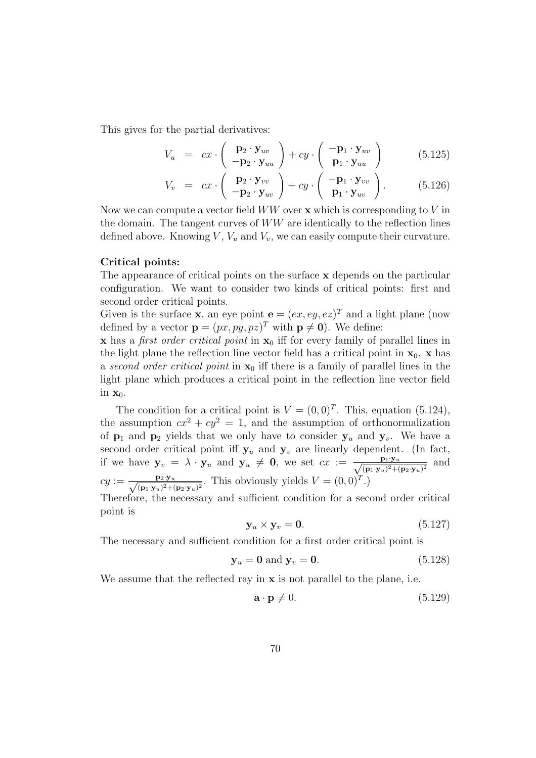This gives for the partial derivatives:

$$
V_u = cx \cdot \left( \begin{array}{c} \mathbf{p}_2 \cdot \mathbf{y}_{uv} \\ -\mathbf{p}_2 \cdot \mathbf{y}_{uu} \end{array} \right) + cy \cdot \left( \begin{array}{c} -\mathbf{p}_1 \cdot \mathbf{y}_{uv} \\ \mathbf{p}_1 \cdot \mathbf{y}_{uu} \end{array} \right) \tag{5.125}
$$

$$
V_v = cx \cdot \left( \begin{array}{c} \mathbf{p}_2 \cdot \mathbf{y}_{vv} \\ -\mathbf{p}_2 \cdot \mathbf{y}_{uv} \end{array} \right) + cy \cdot \left( \begin{array}{c} -\mathbf{p}_1 \cdot \mathbf{y}_{vv} \\ \mathbf{p}_1 \cdot \mathbf{y}_{uv} \end{array} \right). \tag{5.126}
$$

Now we can compute a vector field WW over **x** which is corresponding to V in the domain. The tangent curves of WW are identically to the reflection lines defined above. Knowing  $V, V_u$  and  $V_v$ , we can easily compute their curvature.

#### **Critical points:**

The appearance of critical points on the surface **x** depends on the particular configuration. We want to consider two kinds of critical points: first and second order critical points.

Given is the surface **x**, an eye point  $\mathbf{e} = (ex, ey, ez)^T$  and a light plane (now defined by a vector  $\mathbf{p} = (px, py, pz)^T$  with  $\mathbf{p} \neq \mathbf{0}$ ). We define:

**x** has a *first order critical point* in **x**<sub>0</sub> iff for every family of parallel lines in the light plane the reflection line vector field has a critical point in  $\mathbf{x}_0$ . **x** has a second order critical point in **x**<sup>0</sup> iff there is a family of parallel lines in the light plane which produces a critical point in the reflection line vector field in  $\mathbf{x}_0$ .

The condition for a critical point is  $V = (0, 0)^T$ . This, equation (5.124), the assumption  $cx^2 + cy^2 = 1$ , and the assumption of orthonormalization of  $p_1$  and  $p_2$  yields that we only have to consider  $y_u$  and  $y_v$ . We have a second order critical point iff  $y_u$  and  $y_v$  are linearly dependent. (In fact, if we have  $\mathbf{y}_v = \lambda \cdot \mathbf{y}_u$  and  $\mathbf{y}_u \neq \mathbf{0}$ , we set  $cx := \frac{\mathbf{p}_1 \cdot \mathbf{y}_u}{\sqrt{(\mathbf{p}_1 \cdot \mathbf{y}_u)^2 + (\mathbf{p}_2 \cdot \mathbf{y}_u)^2}}$  and  $cy := \frac{\mathbf{p}_2 \cdot \mathbf{y}_u}{\sqrt{(\mathbf{p}_1 \cdot \mathbf{y}_u)^2 + (\mathbf{p}_2 \cdot \mathbf{y}_u)^2}}$ . This obviously yields  $V = (0, 0)^T$ .)

Therefore, the necessary and sufficient condition for a second order critical point is

$$
\mathbf{y}_u \times \mathbf{y}_v = \mathbf{0}.\tag{5.127}
$$

The necessary and sufficient condition for a first order critical point is

$$
\mathbf{y}_u = \mathbf{0} \text{ and } \mathbf{y}_v = \mathbf{0}.\tag{5.128}
$$

We assume that the reflected ray in **x** is not parallel to the plane, i.e.

$$
\mathbf{a} \cdot \mathbf{p} \neq 0. \tag{5.129}
$$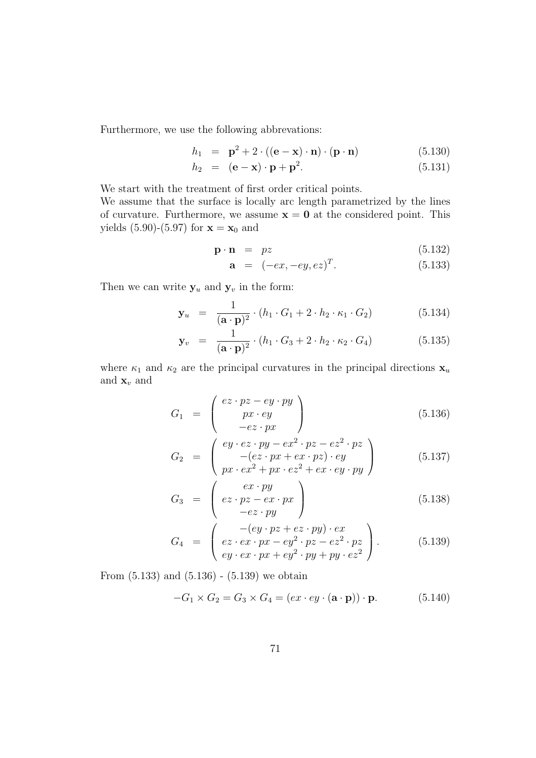Furthermore, we use the following abbrevations:

$$
h_1 = \mathbf{p}^2 + 2 \cdot ((\mathbf{e} - \mathbf{x}) \cdot \mathbf{n}) \cdot (\mathbf{p} \cdot \mathbf{n}) \tag{5.130}
$$

$$
h_2 = (\mathbf{e} - \mathbf{x}) \cdot \mathbf{p} + \mathbf{p}^2. \tag{5.131}
$$

We start with the treatment of first order critical points. We assume that the surface is locally arc length parametrized by the lines of curvature. Furthermore, we assume  $\mathbf{x} = \mathbf{0}$  at the considered point. This yields  $(5.90)$ - $(5.97)$  for  $x = x_0$  and

$$
\mathbf{p} \cdot \mathbf{n} = pz \tag{5.132}
$$

$$
a = (-ex, -ey, ez)^{T}.
$$
 (5.133)

Then we can write  $y_u$  and  $y_v$  in the form:

$$
\mathbf{y}_u = \frac{1}{(\mathbf{a} \cdot \mathbf{p})^2} \cdot (h_1 \cdot G_1 + 2 \cdot h_2 \cdot \kappa_1 \cdot G_2) \tag{5.134}
$$

$$
\mathbf{y}_v = \frac{1}{(\mathbf{a} \cdot \mathbf{p})^2} \cdot (h_1 \cdot G_3 + 2 \cdot h_2 \cdot \kappa_2 \cdot G_4) \tag{5.135}
$$

where  $\kappa_1$  and  $\kappa_2$  are the principal curvatures in the principal directions  $\mathbf{x}_u$ and  $\mathbf{x}_v$  and

$$
G_1 = \begin{pmatrix} ez \cdot pz - ey \cdot py \\ px \cdot ey \\ -ez \cdot px \end{pmatrix}
$$
 (5.136)

$$
G_2 = \begin{pmatrix} ey \cdot ez \cdot py - ex^2 \cdot pz - ez^2 \cdot pz \\ -(ez \cdot px + ex \cdot pz) \cdot ey \\ px \cdot ex^2 + px \cdot ez^2 + ex \cdot ey \cdot py \end{pmatrix}
$$
 (5.137)

$$
G_3 = \begin{pmatrix} ex \cdot py \\ ez \cdot pz - ex \cdot px \\ -ez \cdot py \end{pmatrix}
$$
 (5.138)

$$
G_4 = \begin{pmatrix} -(ey \cdot pz + ez \cdot py) \cdot ex \\ ez \cdot ex \cdot px - ey^2 \cdot pz - ez^2 \cdot pz \\ ey \cdot ex \cdot px + ey^2 \cdot py + py \cdot ez^2 \end{pmatrix}.
$$
 (5.139)

From (5.133) and (5.136) - (5.139) we obtain

$$
-G_1 \times G_2 = G_3 \times G_4 = (ex \cdot ey \cdot (\mathbf{a} \cdot \mathbf{p})) \cdot \mathbf{p}.
$$
 (5.140)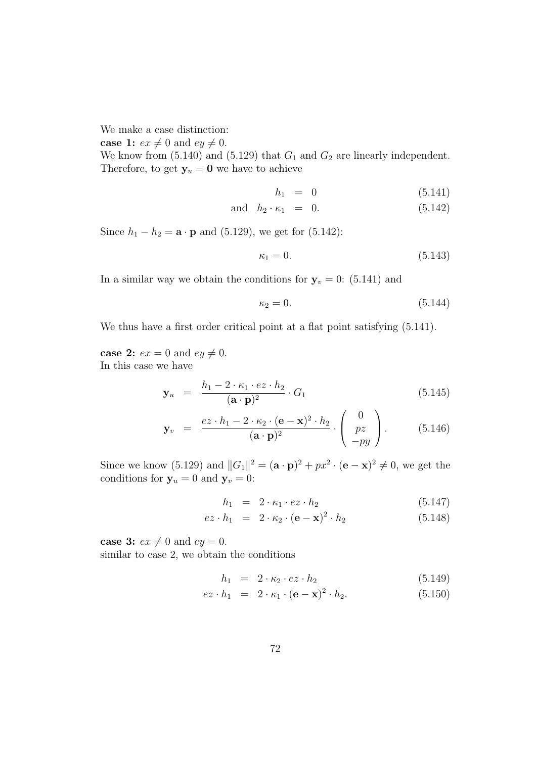We make a case distinction:

**case 1:**  $ex \neq 0$  and  $ey \neq 0$ .

We know from  $(5.140)$  and  $(5.129)$  that  $G_1$  and  $G_2$  are linearly independent. Therefore, to get  $y_u = 0$  we have to achieve

$$
h_1 = 0 \t\t(5.141)
$$

and 
$$
h_2 \cdot \kappa_1 = 0. \tag{5.142}
$$

Since  $h_1 - h_2 = \mathbf{a} \cdot \mathbf{p}$  and (5.129), we get for (5.142):

$$
\kappa_1 = 0.\tag{5.143}
$$

In a similar way we obtain the conditions for  $y_v = 0$ : (5.141) and

$$
\kappa_2 = 0.\tag{5.144}
$$

We thus have a first order critical point at a flat point satisfying  $(5.141)$ .

**case 2:**  $ex = 0$  and  $ey \neq 0$ . In this case we have

$$
\mathbf{y}_u = \frac{h_1 - 2 \cdot \kappa_1 \cdot e \mathbf{z} \cdot h_2}{(\mathbf{a} \cdot \mathbf{p})^2} \cdot G_1 \tag{5.145}
$$

$$
\mathbf{y}_v = \frac{ez \cdot h_1 - 2 \cdot \kappa_2 \cdot (\mathbf{e} - \mathbf{x})^2 \cdot h_2}{(\mathbf{a} \cdot \mathbf{p})^2} \cdot \begin{pmatrix} 0 \\ pz \\ -py \end{pmatrix} . \tag{5.146}
$$

Since we know (5.129) and  $||G_1||^2 = (\mathbf{a} \cdot \mathbf{p})^2 + px^2 \cdot (\mathbf{e} - \mathbf{x})^2 \neq 0$ , we get the conditions for  $y_u = 0$  and  $y_v = 0$ :

$$
h_1 = 2 \cdot \kappa_1 \cdot e \cdot h_2 \tag{5.147}
$$

$$
ez \cdot h_1 = 2 \cdot \kappa_2 \cdot (\mathbf{e} - \mathbf{x})^2 \cdot h_2 \tag{5.148}
$$

**case 3:**  $ex \neq 0$  and  $ey = 0$ .

similar to case 2, we obtain the conditions

$$
h_1 = 2 \cdot \kappa_2 \cdot e \cdot h_2 \tag{5.149}
$$

$$
ez \cdot h_1 = 2 \cdot \kappa_1 \cdot (\mathbf{e} - \mathbf{x})^2 \cdot h_2. \tag{5.150}
$$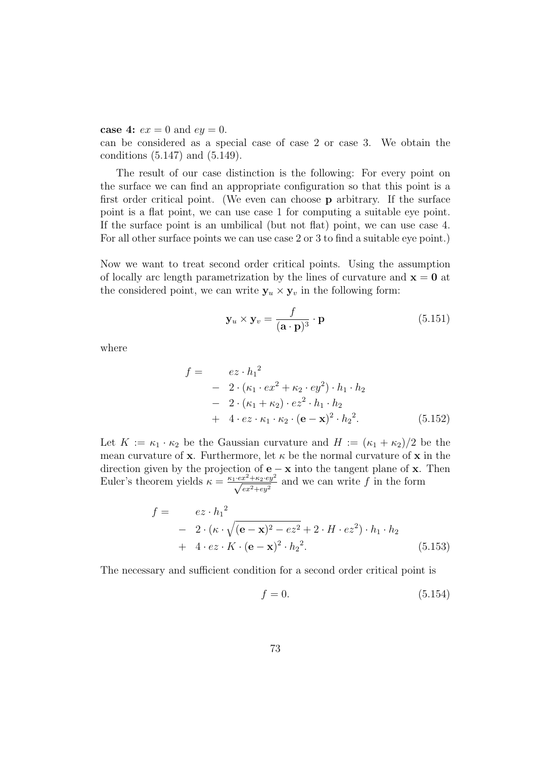**case 4:**  $ex = 0$  and  $ey = 0$ .

can be considered as a special case of case 2 or case 3. We obtain the conditions (5.147) and (5.149).

The result of our case distinction is the following: For every point on the surface we can find an appropriate configuration so that this point is a first order critical point. (We even can choose **p** arbitrary. If the surface point is a flat point, we can use case 1 for computing a suitable eye point. If the surface point is an umbilical (but not flat) point, we can use case 4. For all other surface points we can use case 2 or 3 to find a suitable eye point.)

Now we want to treat second order critical points. Using the assumption of locally arc length parametrization by the lines of curvature and  $\mathbf{x} = \mathbf{0}$  at the considered point, we can write  $y_u \times y_v$  in the following form:

$$
\mathbf{y}_u \times \mathbf{y}_v = \frac{f}{(\mathbf{a} \cdot \mathbf{p})^3} \cdot \mathbf{p}
$$
 (5.151)

where

$$
f = \n e z \cdot h_1^2\n - 2 \cdot (\kappa_1 \cdot e x^2 + \kappa_2 \cdot e y^2) \cdot h_1 \cdot h_2\n - 2 \cdot (\kappa_1 + \kappa_2) \cdot e z^2 \cdot h_1 \cdot h_2\n + 4 \cdot e z \cdot \kappa_1 \cdot \kappa_2 \cdot (\mathbf{e} - \mathbf{x})^2 \cdot h_2^2.
$$
\n(5.152)

Let  $K := \kappa_1 \cdot \kappa_2$  be the Gaussian curvature and  $H := (\kappa_1 + \kappa_2)/2$  be the mean curvature of **x**. Furthermore, let  $\kappa$  be the normal curvature of **x** in the direction given by the projection of **e** − **x** into the tangent plane of **x**. Then Euler's theorem yields  $\kappa = \frac{\kappa_1 \cdot e x^2 + \kappa_2 \cdot e y^2}{\sqrt{e x^2 + e y^2}}$  and we can write f in the form

$$
f = \frac{ez \cdot h_1^2}{-2 \cdot (\kappa \cdot \sqrt{(\mathbf{e} - \mathbf{x})^2 - ez^2 + 2 \cdot H \cdot ez^2}) \cdot h_1 \cdot h_2}
$$
  
+ 4 \cdot ez \cdot K \cdot (\mathbf{e} - \mathbf{x})^2 \cdot h\_2^2. (5.153)

The necessary and sufficient condition for a second order critical point is

$$
f = 0.\t\t(5.154)
$$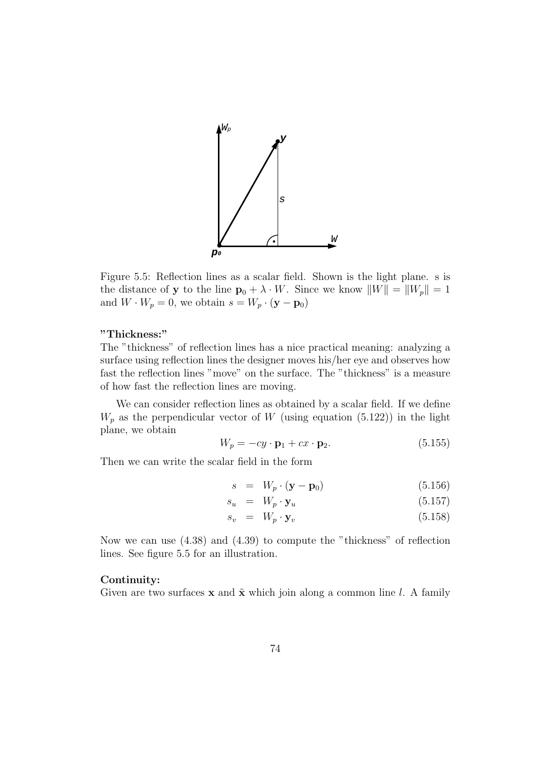

Figure 5.5: Reflection lines as a scalar field. Shown is the light plane. s is the distance of **y** to the line  $\mathbf{p}_0 + \lambda \cdot W$ . Since we know  $||W|| = ||W_p|| = 1$ and  $W \cdot W_p = 0$ , we obtain  $s = W_p \cdot (\mathbf{y} - \mathbf{p}_0)$ 

#### **"Thickness:"**

The "thickness" of reflection lines has a nice practical meaning: analyzing a surface using reflection lines the designer moves his/her eye and observes how fast the reflection lines "move" on the surface. The "thickness" is a measure of how fast the reflection lines are moving.

We can consider reflection lines as obtained by a scalar field. If we define  $W_p$  as the perpendicular vector of W (using equation (5.122)) in the light plane, we obtain

$$
W_p = -cy \cdot \mathbf{p}_1 + cx \cdot \mathbf{p}_2. \tag{5.155}
$$

Then we can write the scalar field in the form

$$
s = W_p \cdot (\mathbf{y} - \mathbf{p}_0) \tag{5.156}
$$

$$
s_u = W_p \cdot \mathbf{y}_u \tag{5.157}
$$

$$
s_v = W_p \cdot \mathbf{y}_v \tag{5.158}
$$

Now we can use (4.38) and (4.39) to compute the "thickness" of reflection lines. See figure 5.5 for an illustration.

#### **Continuity:**

Given are two surfaces **x** and  $\tilde{\mathbf{x}}$  which join along a common line l. A family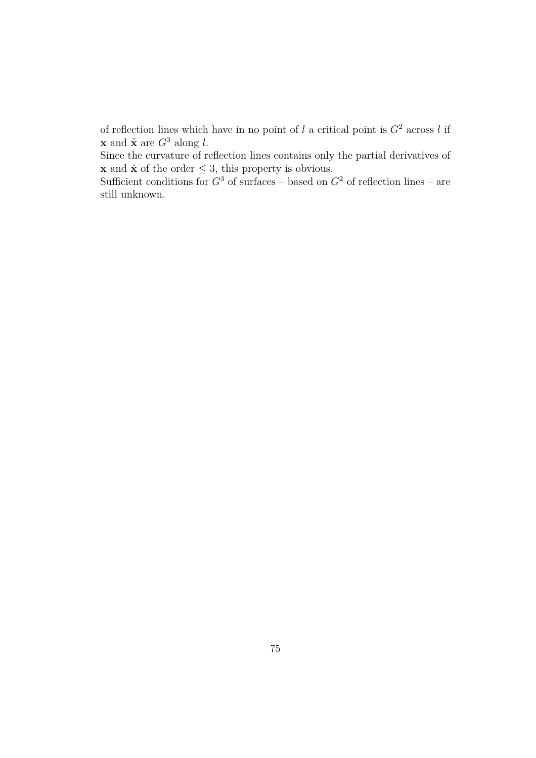of reflection lines which have in no point of l a critical point is  $G^2$  across l if **x** and  $\tilde{\mathbf{x}}$  are  $G^3$  along l.

Since the curvature of reflection lines contains only the partial derivatives of **x** and  $\tilde{\mathbf{x}}$  of the order  $\leq 3$ , this property is obvious.

Sufficient conditions for  $G^3$  of surfaces – based on  $G^2$  of reflection lines – are still unknown.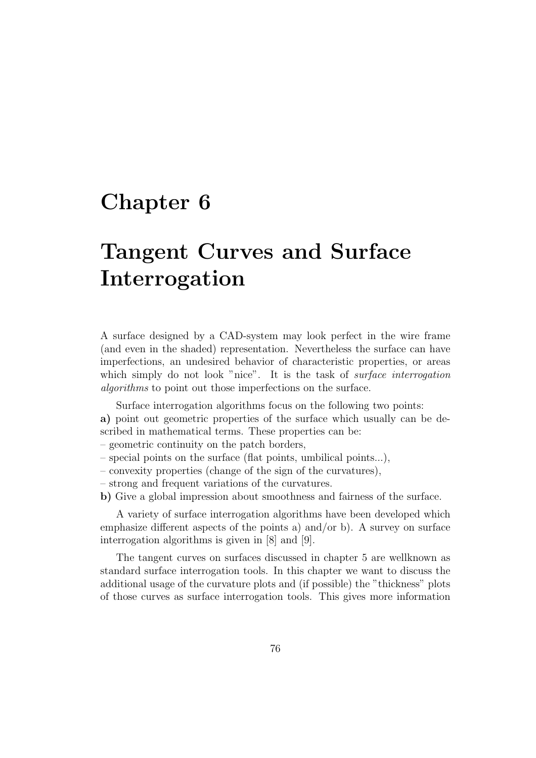## **Chapter 6**

# **Tangent Curves and Surface Interrogation**

A surface designed by a CAD-system may look perfect in the wire frame (and even in the shaded) representation. Nevertheless the surface can have imperfections, an undesired behavior of characteristic properties, or areas which simply do not look "nice". It is the task of *surface interrogation* algorithms to point out those imperfections on the surface.

Surface interrogation algorithms focus on the following two points: **a)** point out geometric properties of the surface which usually can be described in mathematical terms. These properties can be:

- geometric continuity on the patch borders,
- special points on the surface (flat points, umbilical points...),
- convexity properties (change of the sign of the curvatures),
- strong and frequent variations of the curvatures.
- **b)** Give a global impression about smoothness and fairness of the surface.

A variety of surface interrogation algorithms have been developed which emphasize different aspects of the points a) and/or b). A survey on surface interrogation algorithms is given in [8] and [9].

The tangent curves on surfaces discussed in chapter 5 are wellknown as standard surface interrogation tools. In this chapter we want to discuss the additional usage of the curvature plots and (if possible) the "thickness" plots of those curves as surface interrogation tools. This gives more information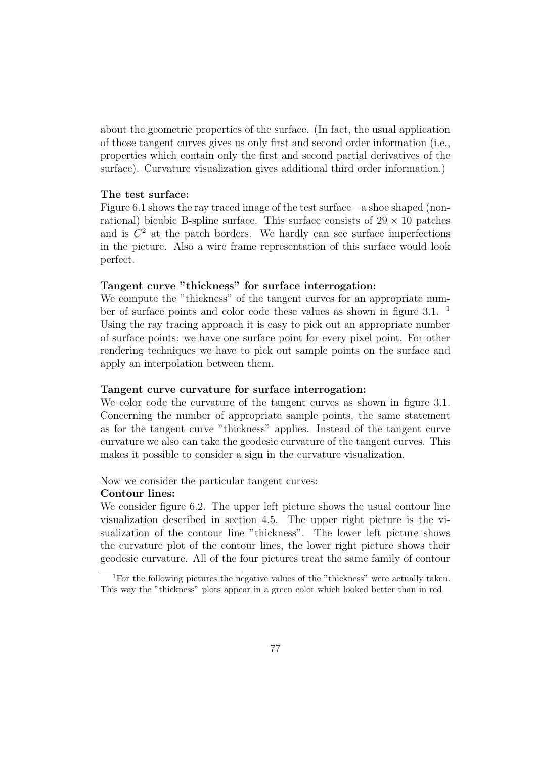about the geometric properties of the surface. (In fact, the usual application of those tangent curves gives us only first and second order information (i.e., properties which contain only the first and second partial derivatives of the surface). Curvature visualization gives additional third order information.)

#### **The test surface:**

Figure 6.1 shows the ray traced image of the test surface – a shoe shaped (nonrational) bicubic B-spline surface. This surface consists of  $29 \times 10$  patches and is  $C<sup>2</sup>$  at the patch borders. We hardly can see surface imperfections in the picture. Also a wire frame representation of this surface would look perfect.

#### **Tangent curve "thickness" for surface interrogation:**

We compute the "thickness" of the tangent curves for an appropriate number of surface points and color code these values as shown in figure  $3.1$ . <sup>1</sup> Using the ray tracing approach it is easy to pick out an appropriate number of surface points: we have one surface point for every pixel point. For other rendering techniques we have to pick out sample points on the surface and apply an interpolation between them.

#### **Tangent curve curvature for surface interrogation:**

We color code the curvature of the tangent curves as shown in figure 3.1. Concerning the number of appropriate sample points, the same statement as for the tangent curve "thickness" applies. Instead of the tangent curve curvature we also can take the geodesic curvature of the tangent curves. This makes it possible to consider a sign in the curvature visualization.

Now we consider the particular tangent curves:

#### **Contour lines:**

We consider figure 6.2. The upper left picture shows the usual contour line visualization described in section 4.5. The upper right picture is the visualization of the contour line "thickness". The lower left picture shows the curvature plot of the contour lines, the lower right picture shows their geodesic curvature. All of the four pictures treat the same family of contour

<sup>&</sup>lt;sup>1</sup>For the following pictures the negative values of the "thickness" were actually taken. This way the "thickness" plots appear in a green color which looked better than in red.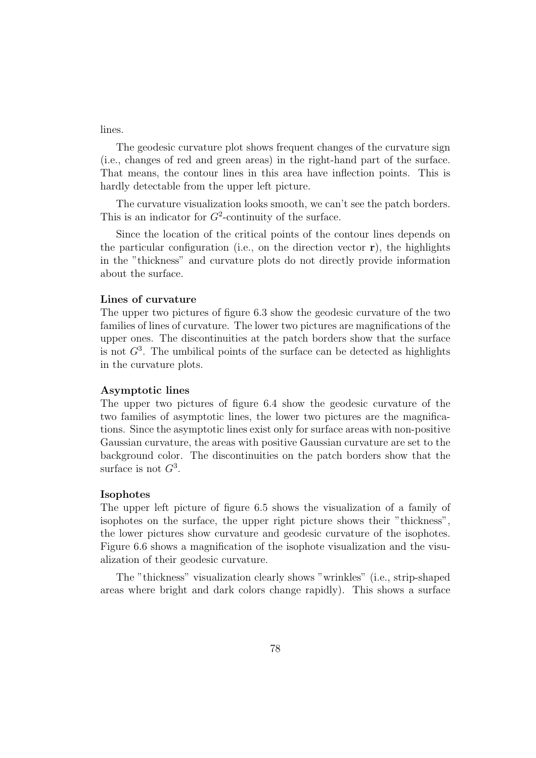lines.

The geodesic curvature plot shows frequent changes of the curvature sign (i.e., changes of red and green areas) in the right-hand part of the surface. That means, the contour lines in this area have inflection points. This is hardly detectable from the upper left picture.

The curvature visualization looks smooth, we can't see the patch borders. This is an indicator for  $G^2$ -continuity of the surface.

Since the location of the critical points of the contour lines depends on the particular configuration (i.e., on the direction vector **r**), the highlights in the "thickness" and curvature plots do not directly provide information about the surface.

#### **Lines of curvature**

The upper two pictures of figure 6.3 show the geodesic curvature of the two families of lines of curvature. The lower two pictures are magnifications of the upper ones. The discontinuities at the patch borders show that the surface is not  $G<sup>3</sup>$ . The umbilical points of the surface can be detected as highlights in the curvature plots.

#### **Asymptotic lines**

The upper two pictures of figure 6.4 show the geodesic curvature of the two families of asymptotic lines, the lower two pictures are the magnifications. Since the asymptotic lines exist only for surface areas with non-positive Gaussian curvature, the areas with positive Gaussian curvature are set to the background color. The discontinuities on the patch borders show that the surface is not  $G^3$ .

#### **Isophotes**

The upper left picture of figure 6.5 shows the visualization of a family of isophotes on the surface, the upper right picture shows their "thickness", the lower pictures show curvature and geodesic curvature of the isophotes. Figure 6.6 shows a magnification of the isophote visualization and the visualization of their geodesic curvature.

The "thickness" visualization clearly shows "wrinkles" (i.e., strip-shaped areas where bright and dark colors change rapidly). This shows a surface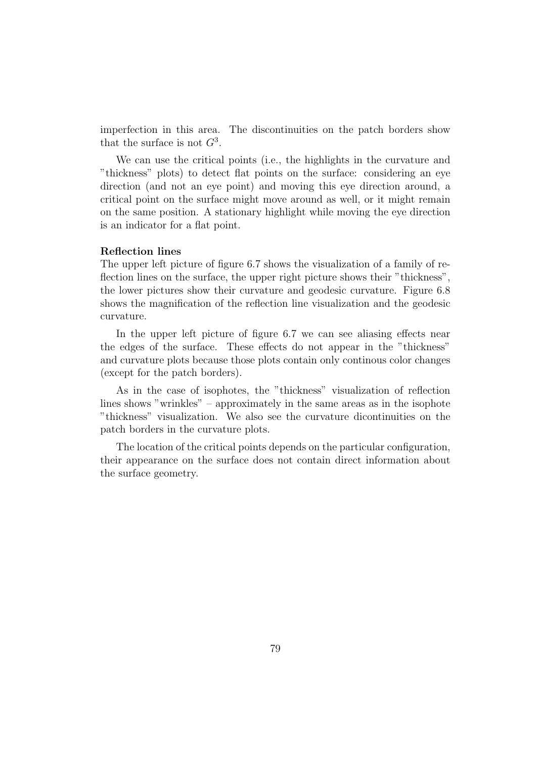imperfection in this area. The discontinuities on the patch borders show that the surface is not  $G^3$ .

We can use the critical points (i.e., the highlights in the curvature and "thickness" plots) to detect flat points on the surface: considering an eye direction (and not an eye point) and moving this eye direction around, a critical point on the surface might move around as well, or it might remain on the same position. A stationary highlight while moving the eye direction is an indicator for a flat point.

#### **Reflection lines**

The upper left picture of figure 6.7 shows the visualization of a family of reflection lines on the surface, the upper right picture shows their "thickness", the lower pictures show their curvature and geodesic curvature. Figure 6.8 shows the magnification of the reflection line visualization and the geodesic curvature.

In the upper left picture of figure 6.7 we can see aliasing effects near the edges of the surface. These effects do not appear in the "thickness" and curvature plots because those plots contain only continous color changes (except for the patch borders).

As in the case of isophotes, the "thickness" visualization of reflection lines shows "wrinkles" – approximately in the same areas as in the isophote "thickness" visualization. We also see the curvature dicontinuities on the patch borders in the curvature plots.

The location of the critical points depends on the particular configuration, their appearance on the surface does not contain direct information about the surface geometry.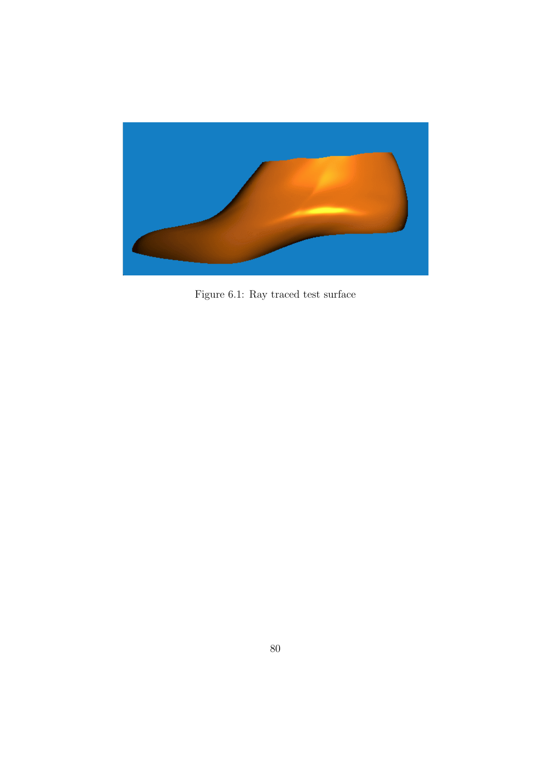

Figure 6.1: Ray traced test surface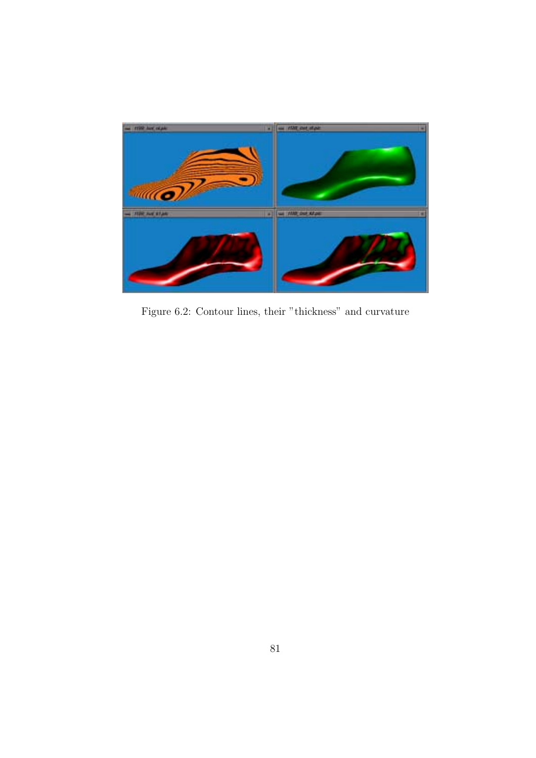

Figure 6.2: Contour lines, their "thickness" and curvature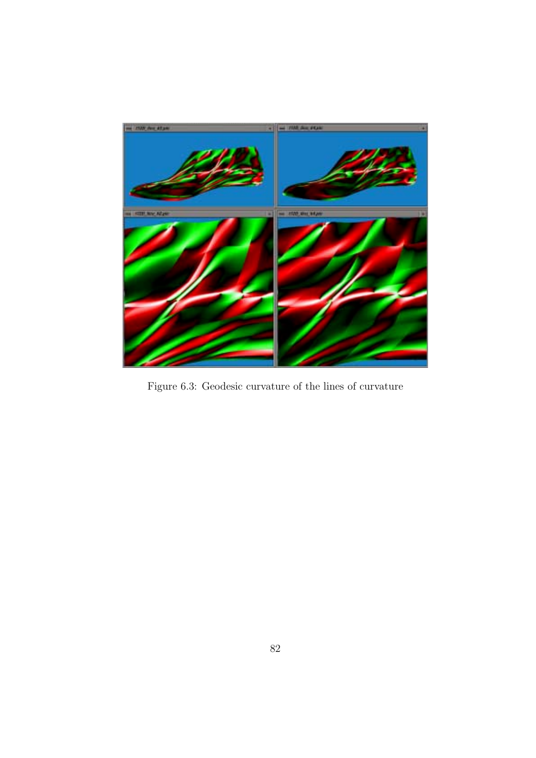

Figure 6.3: Geodesic curvature of the lines of curvature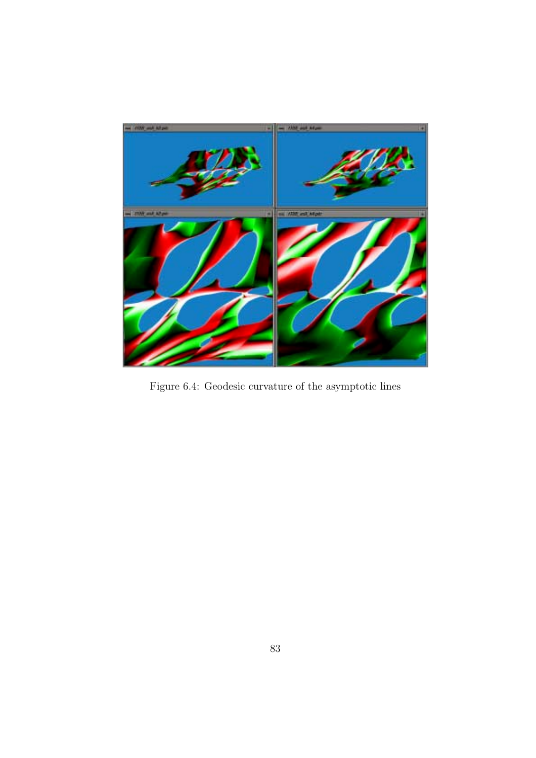

Figure 6.4: Geodesic curvature of the asymptotic lines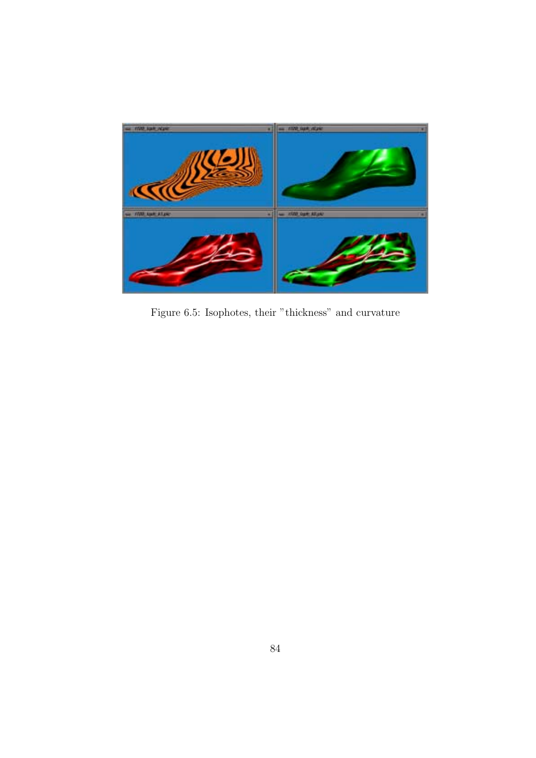

Figure 6.5: Isophotes, their "thickness" and curvature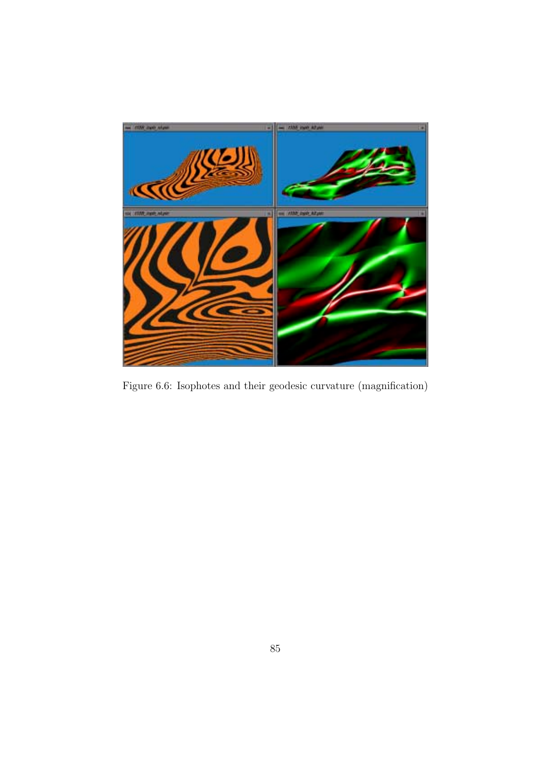

Figure 6.6: Isophotes and their geodesic curvature (magnification)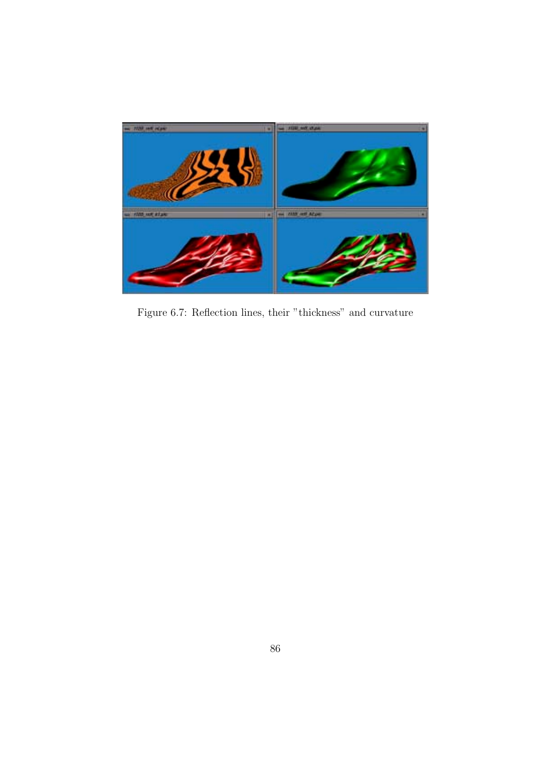

Figure 6.7: Reflection lines, their "thickness" and curvature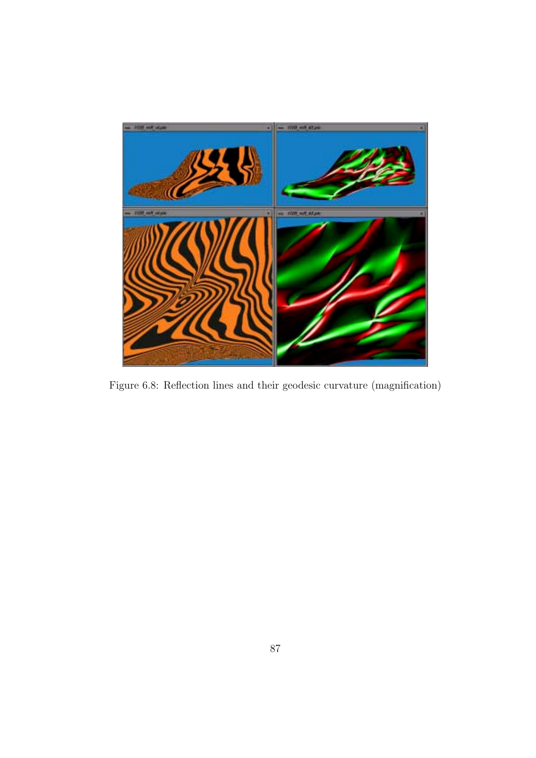

Figure 6.8: Reflection lines and their geodesic curvature (magnification)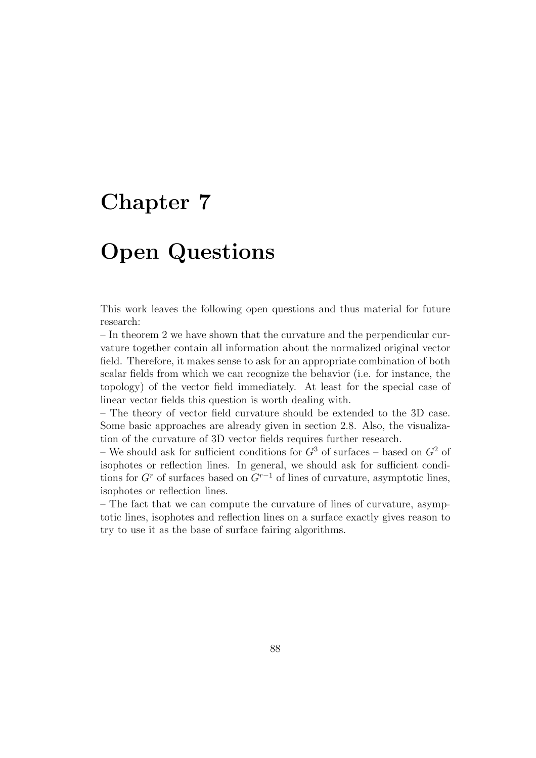## **Chapter 7**

# **Open Questions**

This work leaves the following open questions and thus material for future research:

– In theorem 2 we have shown that the curvature and the perpendicular curvature together contain all information about the normalized original vector field. Therefore, it makes sense to ask for an appropriate combination of both scalar fields from which we can recognize the behavior (i.e. for instance, the topology) of the vector field immediately. At least for the special case of linear vector fields this question is worth dealing with.

– The theory of vector field curvature should be extended to the 3D case. Some basic approaches are already given in section 2.8. Also, the visualization of the curvature of 3D vector fields requires further research.

– We should ask for sufficient conditions for  $G<sup>3</sup>$  of surfaces – based on  $G<sup>2</sup>$  of isophotes or reflection lines. In general, we should ask for sufficient conditions for  $G<sup>r</sup>$  of surfaces based on  $G<sup>r-1</sup>$  of lines of curvature, asymptotic lines, isophotes or reflection lines.

– The fact that we can compute the curvature of lines of curvature, asymptotic lines, isophotes and reflection lines on a surface exactly gives reason to try to use it as the base of surface fairing algorithms.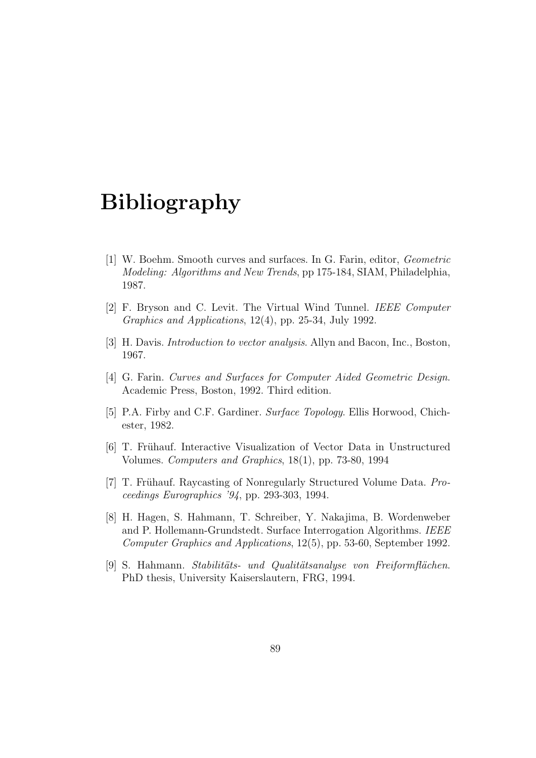## **Bibliography**

- [1] W. Boehm. Smooth curves and surfaces. In G. Farin, editor, Geometric Modeling: Algorithms and New Trends, pp 175-184, SIAM, Philadelphia, 1987.
- [2] F. Bryson and C. Levit. The Virtual Wind Tunnel. IEEE Computer Graphics and Applications, 12(4), pp. 25-34, July 1992.
- [3] H. Davis. Introduction to vector analysis. Allyn and Bacon, Inc., Boston, 1967.
- [4] G. Farin. Curves and Surfaces for Computer Aided Geometric Design. Academic Press, Boston, 1992. Third edition.
- [5] P.A. Firby and C.F. Gardiner. Surface Topology. Ellis Horwood, Chichester, 1982.
- [6] T. Frühauf. Interactive Visualization of Vector Data in Unstructured Volumes. Computers and Graphics, 18(1), pp. 73-80, 1994
- [7] T. Frühauf. Raycasting of Nonregularly Structured Volume Data. *Pro*ceedings Eurographics '94, pp. 293-303, 1994.
- [8] H. Hagen, S. Hahmann, T. Schreiber, Y. Nakajima, B. Wordenweber and P. Hollemann-Grundstedt. Surface Interrogation Algorithms. IEEE Computer Graphics and Applications, 12(5), pp. 53-60, September 1992.
- [9] S. Hahmann. Stabilitäts- und Qualitätsanalyse von Freiformflächen. PhD thesis, University Kaiserslautern, FRG, 1994.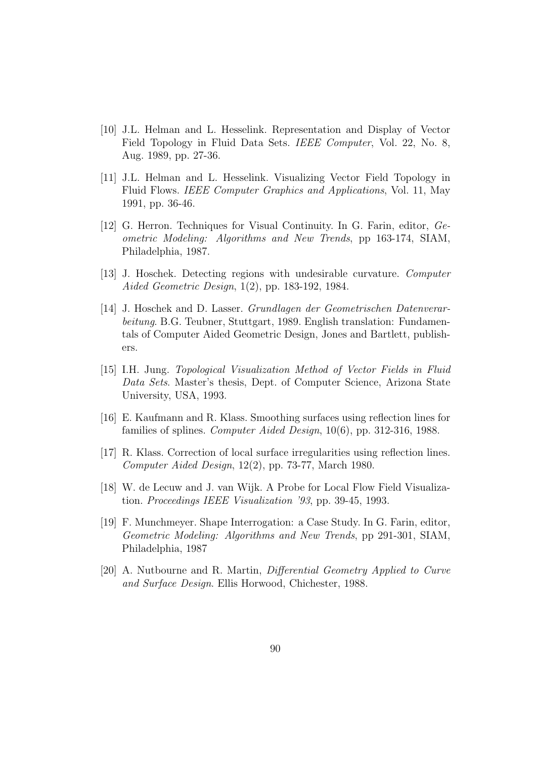- [10] J.L. Helman and L. Hesselink. Representation and Display of Vector Field Topology in Fluid Data Sets. IEEE Computer, Vol. 22, No. 8, Aug. 1989, pp. 27-36.
- [11] J.L. Helman and L. Hesselink. Visualizing Vector Field Topology in Fluid Flows. IEEE Computer Graphics and Applications, Vol. 11, May 1991, pp. 36-46.
- [12] G. Herron. Techniques for Visual Continuity. In G. Farin, editor, Geometric Modeling: Algorithms and New Trends, pp 163-174, SIAM, Philadelphia, 1987.
- [13] J. Hoschek. Detecting regions with undesirable curvature. Computer Aided Geometric Design, 1(2), pp. 183-192, 1984.
- [14] J. Hoschek and D. Lasser. Grundlagen der Geometrischen Datenverarbeitung. B.G. Teubner, Stuttgart, 1989. English translation: Fundamentals of Computer Aided Geometric Design, Jones and Bartlett, publishers.
- [15] I.H. Jung. Topological Visualization Method of Vector Fields in Fluid Data Sets. Master's thesis, Dept. of Computer Science, Arizona State University, USA, 1993.
- [16] E. Kaufmann and R. Klass. Smoothing surfaces using reflection lines for families of splines. Computer Aided Design, 10(6), pp. 312-316, 1988.
- [17] R. Klass. Correction of local surface irregularities using reflection lines. Computer Aided Design, 12(2), pp. 73-77, March 1980.
- [18] W. de Lecuw and J. van Wijk. A Probe for Local Flow Field Visualization. Proceedings IEEE Visualization '93, pp. 39-45, 1993.
- [19] F. Munchmeyer. Shape Interrogation: a Case Study. In G. Farin, editor, Geometric Modeling: Algorithms and New Trends, pp 291-301, SIAM, Philadelphia, 1987
- [20] A. Nutbourne and R. Martin, Differential GeometryApplied to Curve and Surface Design. Ellis Horwood, Chichester, 1988.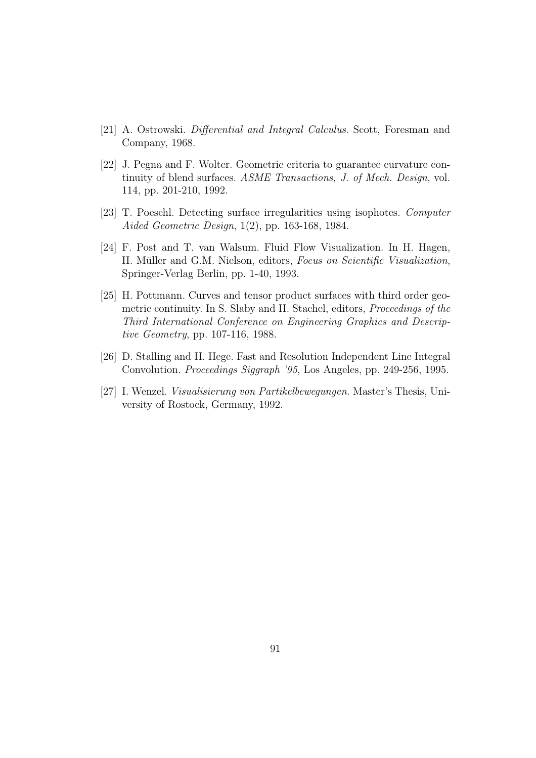- [21] A. Ostrowski. Differential and Integral Calculus. Scott, Foresman and Company, 1968.
- [22] J. Pegna and F. Wolter. Geometric criteria to guarantee curvature continuity of blend surfaces. ASME Transactions, J. of Mech. Design, vol. 114, pp. 201-210, 1992.
- [23] T. Poeschl. Detecting surface irregularities using isophotes. Computer Aided Geometric Design, 1(2), pp. 163-168, 1984.
- [24] F. Post and T. van Walsum. Fluid Flow Visualization. In H. Hagen, H. Müller and G.M. Nielson, editors, Focus on Scientific Visualization, Springer-Verlag Berlin, pp. 1-40, 1993.
- [25] H. Pottmann. Curves and tensor product surfaces with third order geometric continuity. In S. Slaby and H. Stachel, editors, Proceedings of the Third International Conference on Engineering Graphics and Descriptive Geometry, pp. 107-116, 1988.
- [26] D. Stalling and H. Hege. Fast and Resolution Independent Line Integral Convolution. Proceedings Siggraph '95, Los Angeles, pp. 249-256, 1995.
- [27] I. Wenzel. Visualisierung von Partikelbewegungen. Master's Thesis, University of Rostock, Germany, 1992.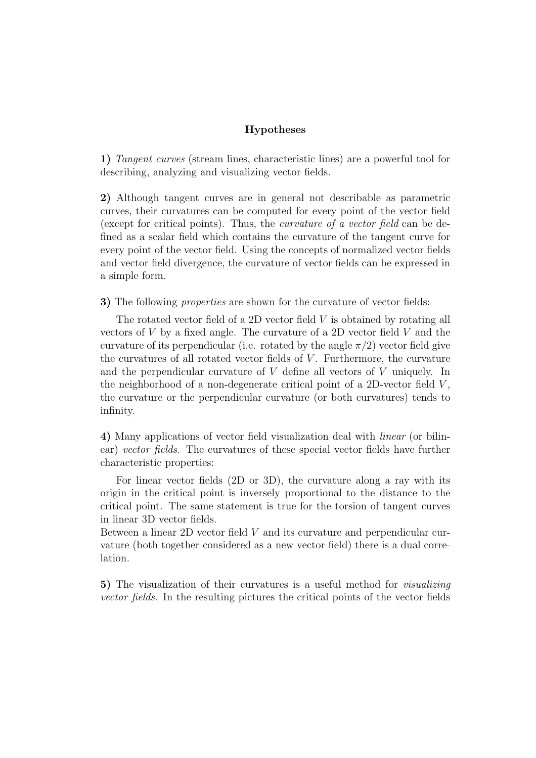### **Hypotheses**

**1)** Tangent curves (stream lines, characteristic lines) are a powerful tool for describing, analyzing and visualizing vector fields.

**2)** Although tangent curves are in general not describable as parametric curves, their curvatures can be computed for every point of the vector field (except for critical points). Thus, the curvature of a vector field can be defined as a scalar field which contains the curvature of the tangent curve for every point of the vector field. Using the concepts of normalized vector fields and vector field divergence, the curvature of vector fields can be expressed in a simple form.

**3)** The following properties are shown for the curvature of vector fields:

The rotated vector field of a 2D vector field  $V$  is obtained by rotating all vectors of  $V$  by a fixed angle. The curvature of a 2D vector field  $V$  and the curvature of its perpendicular (i.e. rotated by the angle  $\pi/2$ ) vector field give the curvatures of all rotated vector fields of V. Furthermore, the curvature and the perpendicular curvature of V define all vectors of V uniquely. In the neighborhood of a non-degenerate critical point of a 2D-vector field  $V$ , the curvature or the perpendicular curvature (or both curvatures) tends to infinity.

**4)** Many applications of vector field visualization deal with linear (or bilinear) vector fields. The curvatures of these special vector fields have further characteristic properties:

For linear vector fields (2D or 3D), the curvature along a ray with its origin in the critical point is inversely proportional to the distance to the critical point. The same statement is true for the torsion of tangent curves in linear 3D vector fields.

Between a linear 2D vector field V and its curvature and perpendicular curvature (both together considered as a new vector field) there is a dual correlation.

**5)** The visualization of their curvatures is a useful method for visualizing vector fields. In the resulting pictures the critical points of the vector fields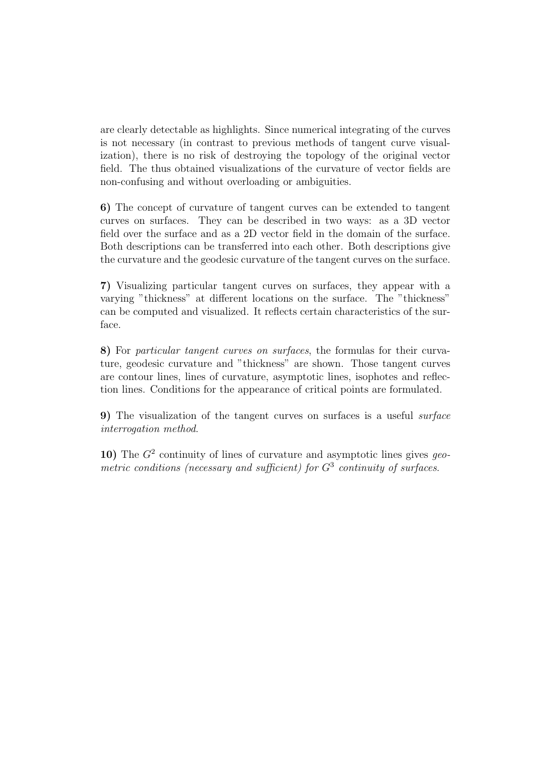are clearly detectable as highlights. Since numerical integrating of the curves is not necessary (in contrast to previous methods of tangent curve visualization), there is no risk of destroying the topology of the original vector field. The thus obtained visualizations of the curvature of vector fields are non-confusing and without overloading or ambiguities.

**6)** The concept of curvature of tangent curves can be extended to tangent curves on surfaces. They can be described in two ways: as a 3D vector field over the surface and as a 2D vector field in the domain of the surface. Both descriptions can be transferred into each other. Both descriptions give the curvature and the geodesic curvature of the tangent curves on the surface.

**7)** Visualizing particular tangent curves on surfaces, they appear with a varying "thickness" at different locations on the surface. The "thickness" can be computed and visualized. It reflects certain characteristics of the surface.

**8)** For particular tangent curves on surfaces, the formulas for their curvature, geodesic curvature and "thickness" are shown. Those tangent curves are contour lines, lines of curvature, asymptotic lines, isophotes and reflection lines. Conditions for the appearance of critical points are formulated.

**9)** The visualization of the tangent curves on surfaces is a useful surface interrogation method.

**10)** The  $G^2$  continuity of lines of curvature and asymptotic lines gives geometric conditions (necessary and sufficient) for  $G<sup>3</sup>$  continuity of surfaces.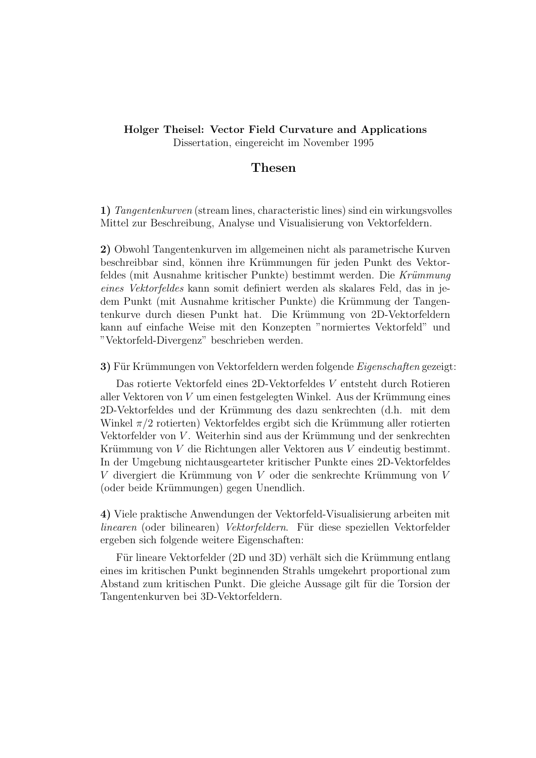### **Holger Theisel: Vector Field Curvature and Applications** Dissertation, eingereicht im November 1995

## **Thesen**

**1)** Tangentenkurven (stream lines, characteristic lines) sind ein wirkungsvolles Mittel zur Beschreibung, Analyse und Visualisierung von Vektorfeldern.

**2)** Obwohl Tangentenkurven im allgemeinen nicht als parametrische Kurven beschreibbar sind, können ihre Krümmungen für jeden Punkt des Vektorfeldes (mit Ausnahme kritischer Punkte) bestimmt werden. Die Krümmung eines Vektorfeldes kann somit definiert werden als skalares Feld, das in jedem Punkt (mit Ausnahme kritischer Punkte) die Krümmung der Tangentenkurve durch diesen Punkt hat. Die Krümmung von 2D-Vektorfeldern kann auf einfache Weise mit den Konzepten "normiertes Vektorfeld" und "Vektorfeld-Divergenz" beschrieben werden.

**3)** Für Krümmungen von Vektorfeldern werden folgende *Eigenschaften* gezeigt:

Das rotierte Vektorfeld eines 2D-Vektorfeldes V entsteht durch Rotieren aller Vektoren von  $V$  um einen festgelegten Winkel. Aus der Krümmung eines 2D-Vektorfeldes und der Kr¨ummung des dazu senkrechten (d.h. mit dem Winkel  $\pi/2$  rotierten) Vektorfeldes ergibt sich die Krümmung aller rotierten Vektorfelder von V. Weiterhin sind aus der Krümmung und der senkrechten Krümmung von  $V$  die Richtungen aller Vektoren aus  $V$  eindeutig bestimmt. In der Umgebung nichtausgearteter kritischer Punkte eines 2D-Vektorfeldes  $V$  divergiert die Krümmung von  $V$  oder die senkrechte Krümmung von  $V$ (oder beide Krümmungen) gegen Unendlich.

**4)** Viele praktische Anwendungen der Vektorfeld-Visualisierung arbeiten mit linearen (oder bilinearen) Vektorfeldern. Für diese speziellen Vektorfelder ergeben sich folgende weitere Eigenschaften:

Für lineare Vektorfelder (2D und 3D) verhält sich die Krümmung entlang eines im kritischen Punkt beginnenden Strahls umgekehrt proportional zum Abstand zum kritischen Punkt. Die gleiche Aussage gilt für die Torsion der Tangentenkurven bei 3D-Vektorfeldern.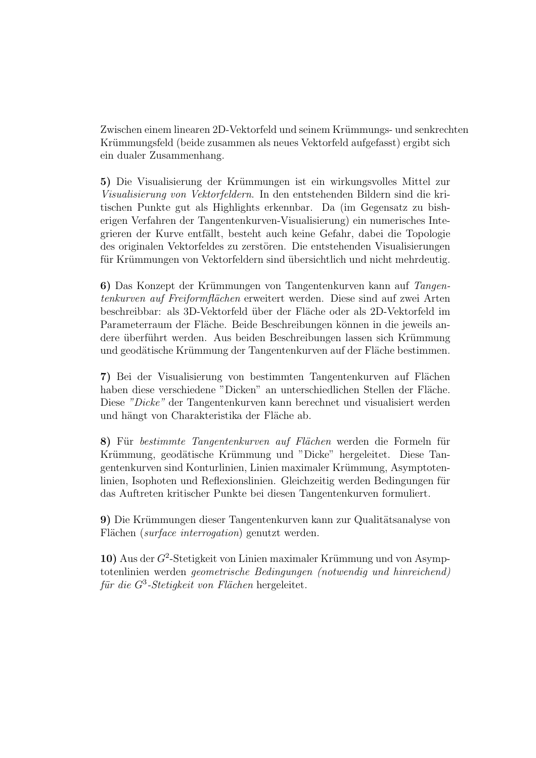Zwischen einem linearen 2D-Vektorfeld und seinem Krümmungs- und senkrechten Krümmungsfeld (beide zusammen als neues Vektorfeld aufgefasst) ergibt sich ein dualer Zusammenhang.

**5)** Die Visualisierung der Krümmungen ist ein wirkungsvolles Mittel zur Visualisierung von Vektorfeldern. In den entstehenden Bildern sind die kritischen Punkte gut als Highlights erkennbar. Da (im Gegensatz zu bisherigen Verfahren der Tangentenkurven-Visualisierung) ein numerisches Integrieren der Kurve entfällt, besteht auch keine Gefahr, dabei die Topologie des originalen Vektorfeldes zu zerstören. Die entstehenden Visualisierungen für Krümmungen von Vektorfeldern sind übersichtlich und nicht mehrdeutig.

**6)** Das Konzept der Krümmungen von Tangentenkurven kann auf Tangentenkurven auf Freiformflächen erweitert werden. Diese sind auf zwei Arten beschreibbar: als 3D-Vektorfeld über der Fläche oder als 2D-Vektorfeld im Parameterraum der Fläche. Beide Beschreibungen können in die jeweils andere überführt werden. Aus beiden Beschreibungen lassen sich Krümmung und geodätische Krümmung der Tangentenkurven auf der Fläche bestimmen.

**7)** Bei der Visualisierung von bestimmten Tangentenkurven auf Flächen haben diese verschiedene "Dicken" an unterschiedlichen Stellen der Fläche. Diese "Dicke" der Tangentenkurven kann berechnet und visualisiert werden und hängt von Charakteristika der Fläche ab.

8) Für bestimmte Tangentenkurven auf Flächen werden die Formeln für Krümmung, geodätische Krümmung und "Dicke" hergeleitet. Diese Tangentenkurven sind Konturlinien, Linien maximaler Krümmung, Asymptotenlinien, Isophoten und Reflexionslinien. Gleichzeitig werden Bedingungen für das Auftreten kritischer Punkte bei diesen Tangentenkurven formuliert.

**9)** Die Krümmungen dieser Tangentenkurven kann zur Qualitätsanalyse von Flächen (surface interrogation) genutzt werden.

10) Aus der  $G^2$ -Stetigkeit von Linien maximaler Krümmung und von Asymptotenlinien werden geometrische Bedingungen (notwendig und hinreichend) für die  $G^3$ -Stetigkeit von Flächen hergeleitet.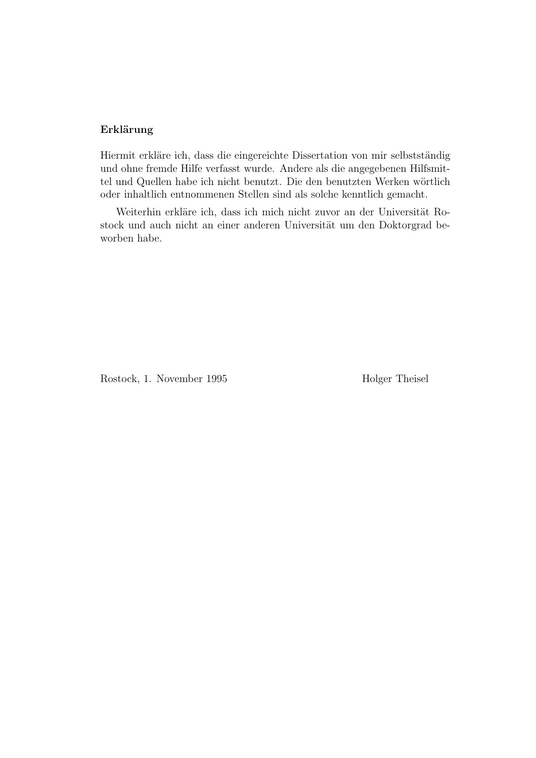### **Erklärung**

Hiermit erkläre ich, dass die eingereichte Dissertation von mir selbstständig und ohne fremde Hilfe verfasst wurde. Andere als die angegebenen Hilfsmittel und Quellen habe ich nicht benutzt. Die den benutzten Werken wörtlich oder inhaltlich entnommenen Stellen sind als solche kenntlich gemacht.

Weiterhin erkläre ich, dass ich mich nicht zuvor an der Universität Rostock und auch nicht an einer anderen Universität um den Doktorgrad beworben habe.

Rostock, 1. November 1995 Holger Theisel